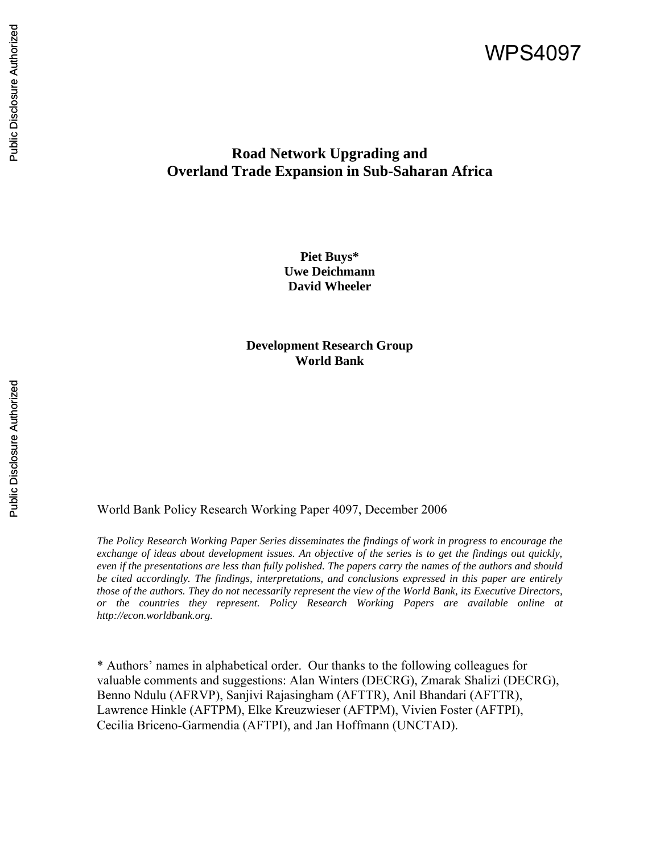# WPS4097

## **Road Network Upgrading and Overland Trade Expansion in Sub-Saharan Africa**

**Piet Buys\* Uwe Deichmann David Wheeler** 

**Development Research Group World Bank** 

World Bank Policy Research Working Paper 4097, December 2006

*The Policy Research Working Paper Series disseminates the findings of work in progress to encourage the exchange of ideas about development issues. An objective of the series is to get the findings out quickly, even if the presentations are less than fully polished. The papers carry the names of the authors and should be cited accordingly. The findings, interpretations, and conclusions expressed in this paper are entirely those of the authors. They do not necessarily represent the view of the World Bank, its Executive Directors, or the countries they represent. Policy Research Working Papers are available online at http://econ.worldbank.org.* 

\* Authors' names in alphabetical order. Our thanks to the following colleagues for valuable comments and suggestions: Alan Winters (DECRG), Zmarak Shalizi (DECRG), Benno Ndulu (AFRVP), Sanjivi Rajasingham (AFTTR), Anil Bhandari (AFTTR), Lawrence Hinkle (AFTPM), Elke Kreuzwieser (AFTPM), Vivien Foster (AFTPI), Cecilia Briceno-Garmendia (AFTPI), and Jan Hoffmann (UNCTAD).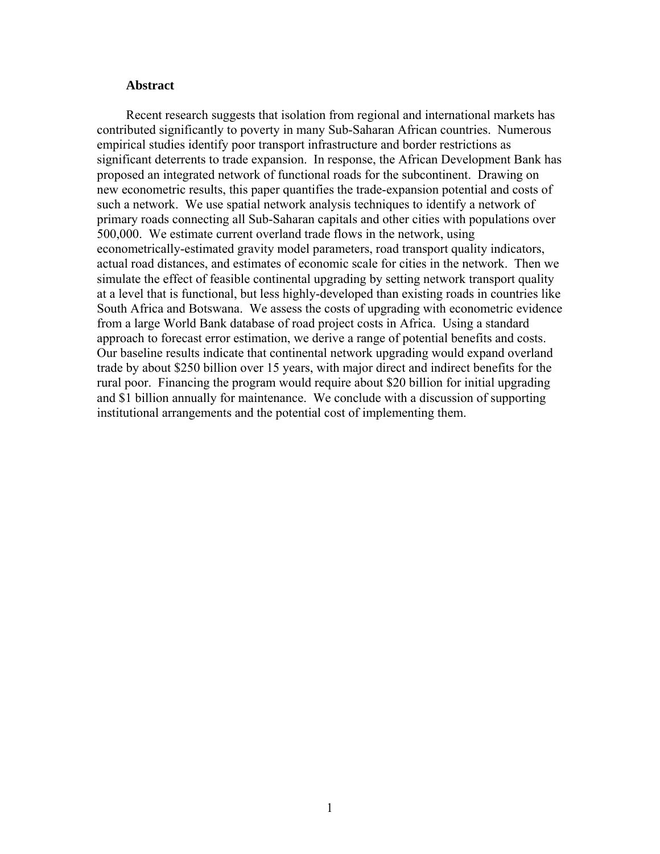## **Abstract**

Recent research suggests that isolation from regional and international markets has contributed significantly to poverty in many Sub-Saharan African countries. Numerous empirical studies identify poor transport infrastructure and border restrictions as significant deterrents to trade expansion. In response, the African Development Bank has proposed an integrated network of functional roads for the subcontinent. Drawing on new econometric results, this paper quantifies the trade-expansion potential and costs of such a network. We use spatial network analysis techniques to identify a network of primary roads connecting all Sub-Saharan capitals and other cities with populations over 500,000. We estimate current overland trade flows in the network, using econometrically-estimated gravity model parameters, road transport quality indicators, actual road distances, and estimates of economic scale for cities in the network. Then we simulate the effect of feasible continental upgrading by setting network transport quality at a level that is functional, but less highly-developed than existing roads in countries like South Africa and Botswana. We assess the costs of upgrading with econometric evidence from a large World Bank database of road project costs in Africa. Using a standard approach to forecast error estimation, we derive a range of potential benefits and costs. Our baseline results indicate that continental network upgrading would expand overland trade by about \$250 billion over 15 years, with major direct and indirect benefits for the rural poor. Financing the program would require about \$20 billion for initial upgrading and \$1 billion annually for maintenance. We conclude with a discussion of supporting institutional arrangements and the potential cost of implementing them.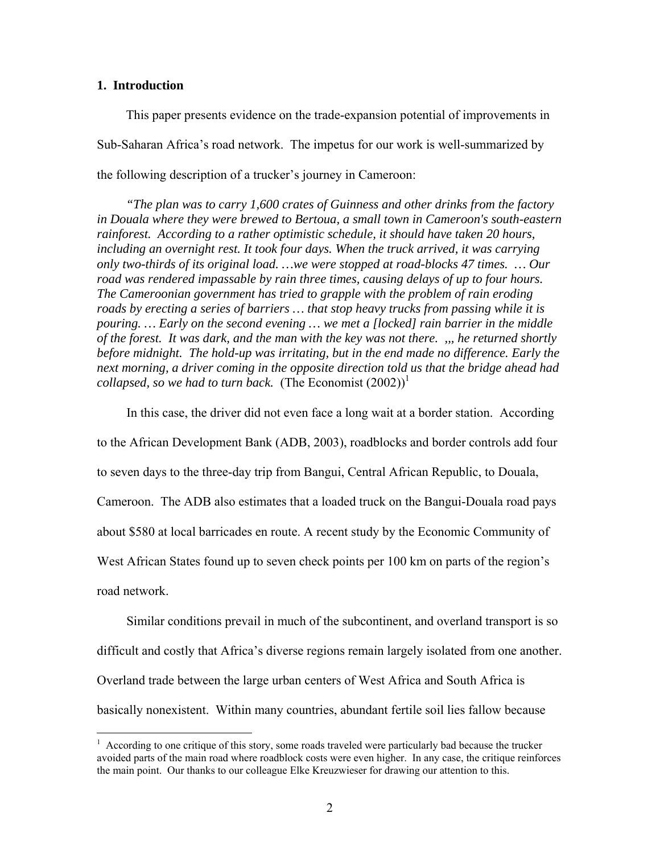## **1. Introduction**

 $\overline{a}$ 

This paper presents evidence on the trade-expansion potential of improvements in Sub-Saharan Africa's road network. The impetus for our work is well-summarized by the following description of a trucker's journey in Cameroon:

*"The plan was to carry 1,600 crates of Guinness and other drinks from the factory in Douala where they were brewed to Bertoua, a small town in Cameroon's south-eastern rainforest. According to a rather optimistic schedule, it should have taken 20 hours, including an overnight rest. It took four days. When the truck arrived, it was carrying only two-thirds of its original load. …we were stopped at road-blocks 47 times. … Our road was rendered impassable by rain three times, causing delays of up to four hours. The Cameroonian government has tried to grapple with the problem of rain eroding roads by erecting a series of barriers … that stop heavy trucks from passing while it is pouring. … Early on the second evening … we met a [locked] rain barrier in the middle of the forest. It was dark, and the man with the key was not there. ,,, he returned shortly before midnight. The hold-up was irritating, but in the end made no difference. Early the next morning, a driver coming in the opposite direction told us that the bridge ahead had collapsed, so we had to turn back.* (The Economist  $(2002)^{1}$ )

In this case, the driver did not even face a long wait at a border station. According to the African Development Bank (ADB, 2003), roadblocks and border controls add four to seven days to the three-day trip from Bangui, Central African Republic, to Douala, Cameroon. The ADB also estimates that a loaded truck on the Bangui-Douala road pays about \$580 at local barricades en route. A recent study by the Economic Community of West African States found up to seven check points per 100 km on parts of the region's road network.

Similar conditions prevail in much of the subcontinent, and overland transport is so difficult and costly that Africa's diverse regions remain largely isolated from one another. Overland trade between the large urban centers of West Africa and South Africa is basically nonexistent. Within many countries, abundant fertile soil lies fallow because

<sup>&</sup>lt;sup>1</sup> According to one critique of this story, some roads traveled were particularly bad because the trucker avoided parts of the main road where roadblock costs were even higher. In any case, the critique reinforces the main point. Our thanks to our colleague Elke Kreuzwieser for drawing our attention to this.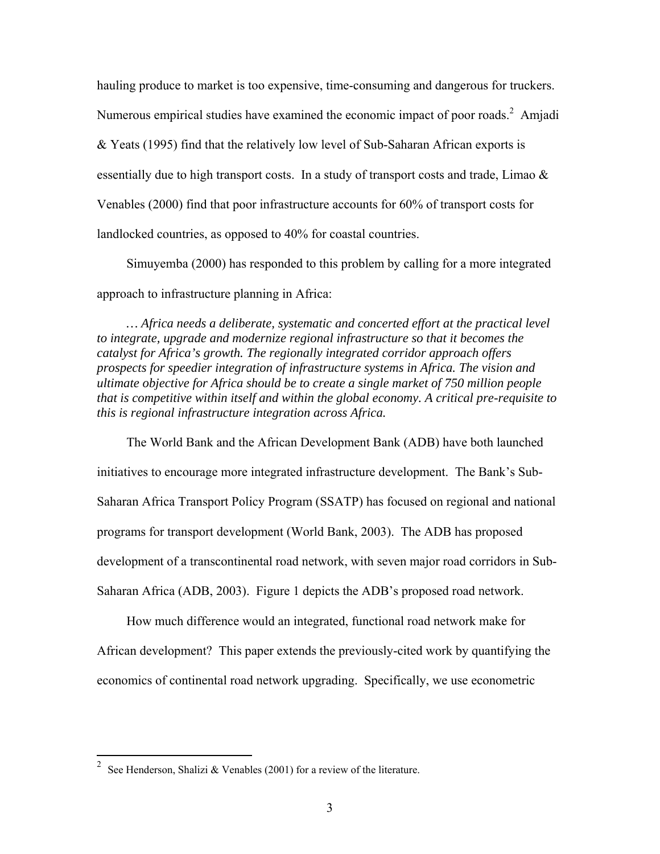hauling produce to market is too expensive, time-consuming and dangerous for truckers. Numerous empirical studies have examined the economic impact of poor roads.<sup>2</sup> Amjadi & Yeats (1995) find that the relatively low level of Sub-Saharan African exports is essentially due to high transport costs. In a study of transport costs and trade, Limao & Venables (2000) find that poor infrastructure accounts for 60% of transport costs for landlocked countries, as opposed to 40% for coastal countries.

Simuyemba (2000) has responded to this problem by calling for a more integrated approach to infrastructure planning in Africa:

*… Africa needs a deliberate, systematic and concerted effort at the practical level to integrate, upgrade and modernize regional infrastructure so that it becomes the catalyst for Africa's growth. The regionally integrated corridor approach offers prospects for speedier integration of infrastructure systems in Africa. The vision and ultimate objective for Africa should be to create a single market of 750 million people that is competitive within itself and within the global economy. A critical pre-requisite to this is regional infrastructure integration across Africa.* 

The World Bank and the African Development Bank (ADB) have both launched initiatives to encourage more integrated infrastructure development. The Bank's Sub-Saharan Africa Transport Policy Program (SSATP) has focused on regional and national programs for transport development (World Bank, 2003). The ADB has proposed development of a transcontinental road network, with seven major road corridors in Sub-Saharan Africa (ADB, 2003). Figure 1 depicts the ADB's proposed road network.

How much difference would an integrated, functional road network make for African development? This paper extends the previously-cited work by quantifying the economics of continental road network upgrading. Specifically, we use econometric

<sup>&</sup>lt;sup>2</sup> See Henderson, Shalizi & Venables (2001) for a review of the literature.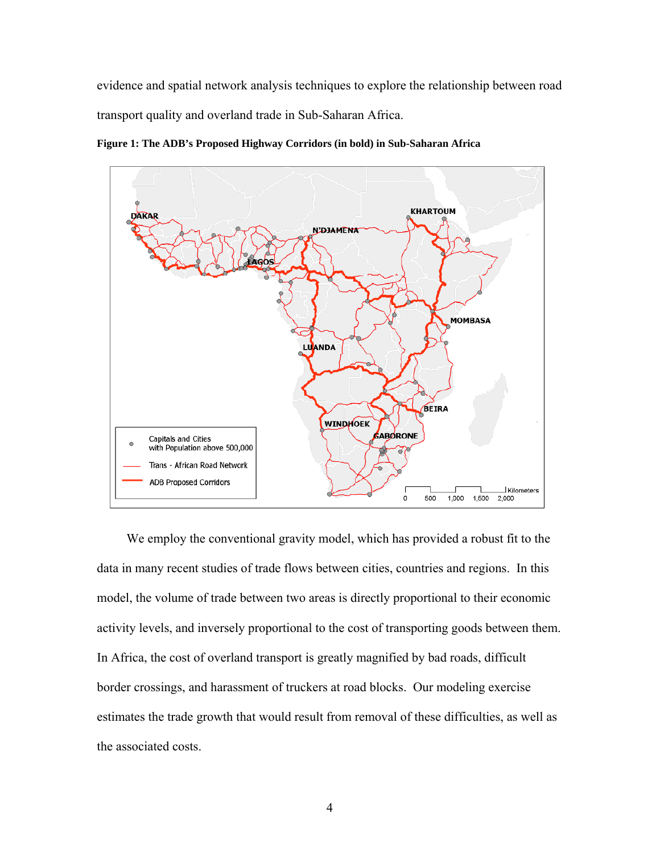evidence and spatial network analysis techniques to explore the relationship between road transport quality and overland trade in Sub-Saharan Africa.

**Figure 1: The ADB's Proposed Highway Corridors (in bold) in Sub-Saharan Africa** 



We employ the conventional gravity model, which has provided a robust fit to the data in many recent studies of trade flows between cities, countries and regions. In this model, the volume of trade between two areas is directly proportional to their economic activity levels, and inversely proportional to the cost of transporting goods between them. In Africa, the cost of overland transport is greatly magnified by bad roads, difficult border crossings, and harassment of truckers at road blocks. Our modeling exercise estimates the trade growth that would result from removal of these difficulties, as well as the associated costs.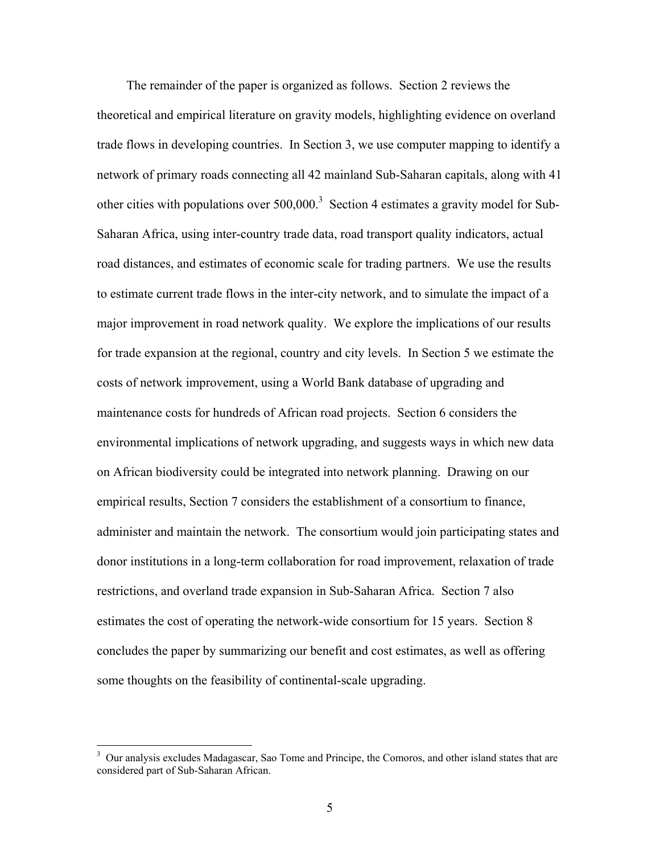The remainder of the paper is organized as follows. Section 2 reviews the theoretical and empirical literature on gravity models, highlighting evidence on overland trade flows in developing countries. In Section 3, we use computer mapping to identify a network of primary roads connecting all 42 mainland Sub-Saharan capitals, along with 41 other cities with populations over  $500,000$ <sup>3</sup> Section 4 estimates a gravity model for Sub-Saharan Africa, using inter-country trade data, road transport quality indicators, actual road distances, and estimates of economic scale for trading partners. We use the results to estimate current trade flows in the inter-city network, and to simulate the impact of a major improvement in road network quality. We explore the implications of our results for trade expansion at the regional, country and city levels. In Section 5 we estimate the costs of network improvement, using a World Bank database of upgrading and maintenance costs for hundreds of African road projects. Section 6 considers the environmental implications of network upgrading, and suggests ways in which new data on African biodiversity could be integrated into network planning. Drawing on our empirical results, Section 7 considers the establishment of a consortium to finance, administer and maintain the network. The consortium would join participating states and donor institutions in a long-term collaboration for road improvement, relaxation of trade restrictions, and overland trade expansion in Sub-Saharan Africa. Section 7 also estimates the cost of operating the network-wide consortium for 15 years. Section 8 concludes the paper by summarizing our benefit and cost estimates, as well as offering some thoughts on the feasibility of continental-scale upgrading.

<sup>&</sup>lt;sup>3</sup> Our analysis excludes Madagascar, Sao Tome and Principe, the Comoros, and other island states that are considered part of Sub-Saharan African.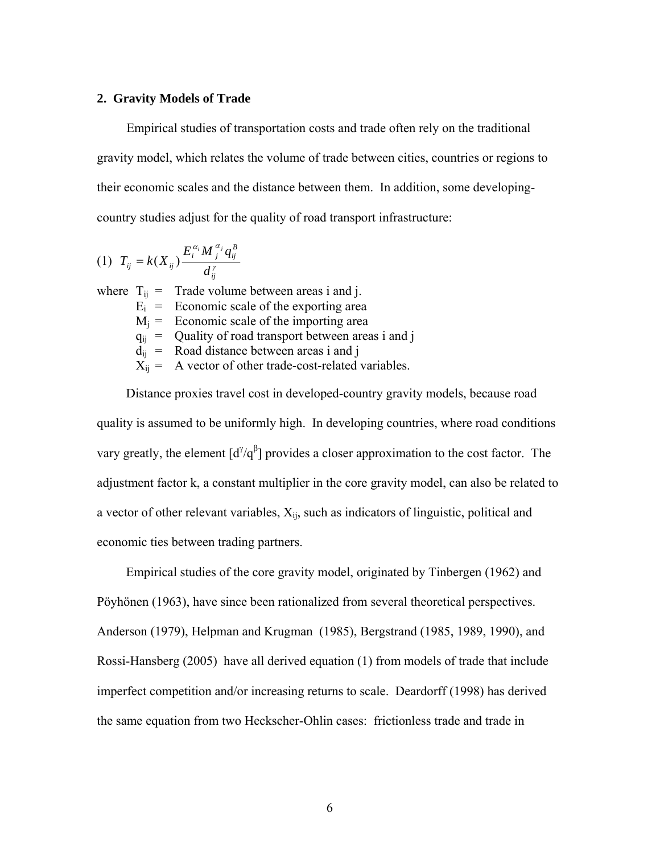#### **2. Gravity Models of Trade**

Empirical studies of transportation costs and trade often rely on the traditional gravity model, which relates the volume of trade between cities, countries or regions to their economic scales and the distance between them. In addition, some developingcountry studies adjust for the quality of road transport infrastructure:

$$
(1) T_{ij} = k(X_{ij}) \frac{E_i^{a_i} M_j^{a_j} q_{ij}^B}{d_{ij}^{\gamma}}
$$

where  $T_{ii}$  = Trade volume between areas i and j.  $E_i$  = Economic scale of the exporting area  $M_i$  = Economic scale of the importing area  $q_{ij}$  = Quality of road transport between areas i and j  $d_{ii}$  = Road distance between areas i and j  $X_{ii}$  = A vector of other trade-cost-related variables.

Distance proxies travel cost in developed-country gravity models, because road quality is assumed to be uniformly high. In developing countries, where road conditions vary greatly, the element  $\left[\frac{d^{7}}{q^{6}}\right]$  provides a closer approximation to the cost factor. The adjustment factor k, a constant multiplier in the core gravity model, can also be related to a vector of other relevant variables,  $X_{ii}$ , such as indicators of linguistic, political and economic ties between trading partners.

Empirical studies of the core gravity model, originated by Tinbergen (1962) and Pöyhönen (1963), have since been rationalized from several theoretical perspectives. Anderson (1979), Helpman and Krugman (1985), Bergstrand (1985, 1989, 1990), and Rossi-Hansberg (2005) have all derived equation (1) from models of trade that include imperfect competition and/or increasing returns to scale. Deardorff (1998) has derived the same equation from two Heckscher-Ohlin cases: frictionless trade and trade in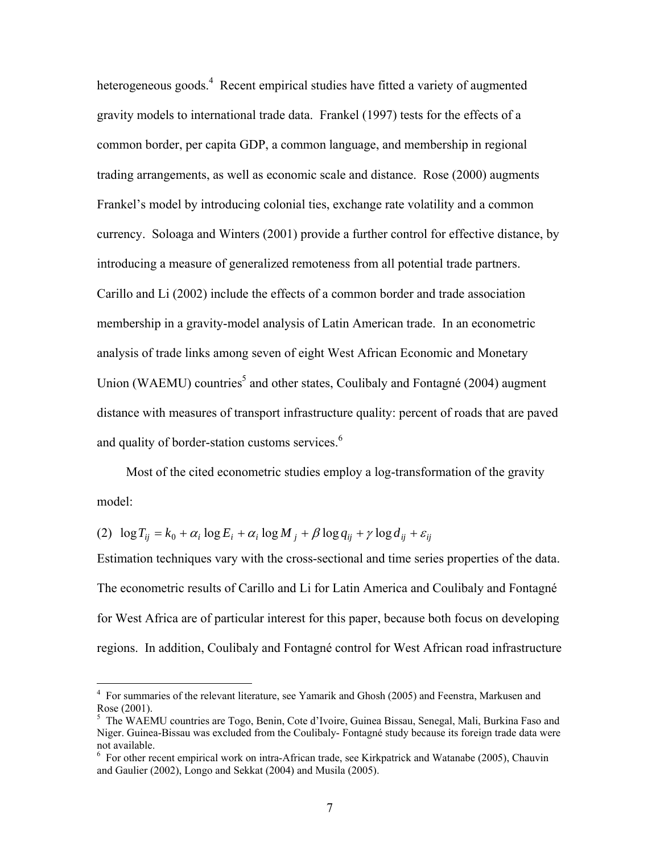heterogeneous goods.<sup>4</sup> Recent empirical studies have fitted a variety of augmented gravity models to international trade data. Frankel (1997) tests for the effects of a common border, per capita GDP, a common language, and membership in regional trading arrangements, as well as economic scale and distance. Rose (2000) augments Frankel's model by introducing colonial ties, exchange rate volatility and a common currency. Soloaga and Winters (2001) provide a further control for effective distance, by introducing a measure of generalized remoteness from all potential trade partners. Carillo and Li (2002) include the effects of a common border and trade association membership in a gravity-model analysis of Latin American trade. In an econometric analysis of trade links among seven of eight West African Economic and Monetary Union (WAEMU) countries<sup>5</sup> and other states, Coulibaly and Fontagné (2004) augment distance with measures of transport infrastructure quality: percent of roads that are paved and quality of border-station customs services. $6$ 

Most of the cited econometric studies employ a log-transformation of the gravity model:

(2)  $\log T_{ii} = k_0 + \alpha_i \log E_i + \alpha_i \log M_i + \beta \log q_{ii} + \gamma \log d_{ii} + \varepsilon_{ii}$ 

Estimation techniques vary with the cross-sectional and time series properties of the data. The econometric results of Carillo and Li for Latin America and Coulibaly and Fontagné for West Africa are of particular interest for this paper, because both focus on developing regions. In addition, Coulibaly and Fontagné control for West African road infrastructure

 4 For summaries of the relevant literature, see Yamarik and Ghosh (2005) and Feenstra, Markusen and Rose (2001).

<sup>5</sup> The WAEMU countries are Togo, Benin, Cote d'Ivoire, Guinea Bissau, Senegal, Mali, Burkina Faso and Niger. Guinea-Bissau was excluded from the Coulibaly- Fontagné study because its foreign trade data were not available.

<sup>&</sup>lt;sup>6</sup> For other recent empirical work on intra-African trade, see Kirkpatrick and Watanabe (2005), Chauvin and Gaulier (2002), Longo and Sekkat (2004) and Musila (2005).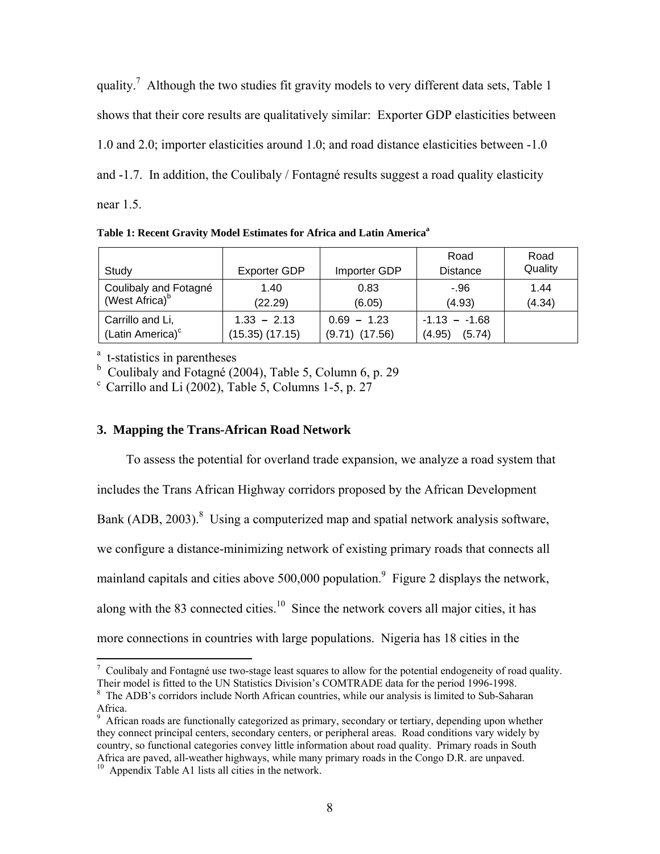quality.<sup>7</sup> Although the two studies fit gravity models to very different data sets, Table 1 shows that their core results are qualitatively similar: Exporter GDP elasticities between 1.0 and 2.0; importer elasticities around 1.0; and road distance elasticities between -1.0 and -1.7. In addition, the Coulibaly / Fontagné results suggest a road quality elasticity near 1.5.

**Table 1: Recent Gravity Model Estimates for Africa and Latin America<sup>a</sup>**

| Study                                               | <b>Exporter GDP</b>                  | Importer GDP                        | Road<br><b>Distance</b>             | Road<br>Quality |
|-----------------------------------------------------|--------------------------------------|-------------------------------------|-------------------------------------|-----------------|
| Coulibaly and Fotagné<br>(West Africa) <sup>b</sup> | 1.40<br>(22.29)                      | 0.83<br>(6.05)                      | $-96$<br>(4.93)                     | 1.44<br>(4.34)  |
| Carrillo and Li,<br>(Latin America) <sup>c</sup>    | $1.33 - 2.13$<br>$(15.35)$ $(17.15)$ | $0.69 - 1.23$<br>$(9.71)$ $(17.56)$ | $-1.13 - -1.68$<br>(4.95)<br>(5.74) |                 |

<sup>a</sup> t-statistics in parentheses

b Coulibaly and Fotagné (2004), Table 5, Column 6, p. 29

 $\degree$  Carrillo and Li (2002), Table 5, Columns 1-5, p. 27

## **3. Mapping the Trans-African Road Network**

To assess the potential for overland trade expansion, we analyze a road system that includes the Trans African Highway corridors proposed by the African Development Bank (ADB,  $2003$ ).<sup>8</sup> Using a computerized map and spatial network analysis software, we configure a distance-minimizing network of existing primary roads that connects all mainland capitals and cities above 500,000 population.<sup>9</sup> Figure 2 displays the network, along with the 83 connected cities.<sup>10</sup> Since the network covers all major cities, it has more connections in countries with large populations. Nigeria has 18 cities in the

The Coulibaly and Fontagné use two-stage least squares to allow for the potential endogeneity of road quality. Their model is fitted to the UN Statistics Division's COMTRADE data for the period 1996-1998. 8

<sup>&</sup>lt;sup>8</sup> The ADB's corridors include North African countries, while our analysis is limited to Sub-Saharan Africa.

<sup>&</sup>lt;sup>9</sup> African roads are functionally categorized as primary, secondary or tertiary, depending upon whether they connect principal centers, secondary centers, or peripheral areas. Road conditions vary widely by country, so functional categories convey little information about road quality. Primary roads in South Africa are paved, all-weather highways, while many primary roads in the Congo D.R. are unpaved.

<sup>10</sup> Appendix Table A1 lists all cities in the network.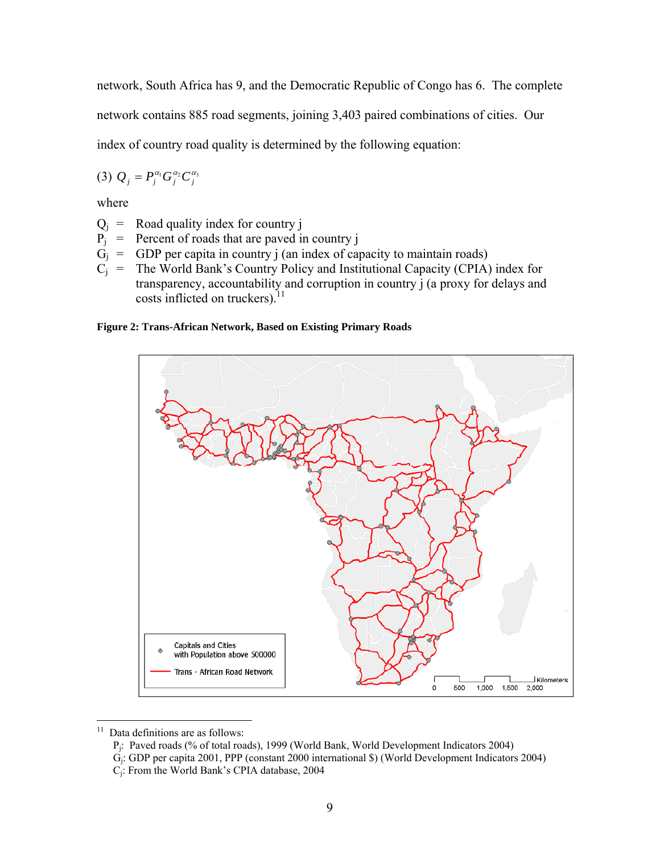network, South Africa has 9, and the Democratic Republic of Congo has 6. The complete

network contains 885 road segments, joining 3,403 paired combinations of cities. Our

index of country road quality is determined by the following equation:

$$
(3) Q_j = P_j^{\alpha_1} G_j^{\alpha_2} C_j^{\alpha_3}
$$

where

- $Q_i$  = Road quality index for country j
- $P_1$  = Percent of roads that are paved in country j
- $G_i$  = GDP per capita in country j (an index of capacity to maintain roads)
- $C_i$  = The World Bank's Country Policy and Institutional Capacity (CPIA) index for transparency, accountability and corruption in country j (a proxy for delays and costs inflicted on truckers). $^{11}$

#### **Figure 2: Trans-African Network, Based on Existing Primary Roads**



 $11\,$ Data definitions are as follows:

Pj: Paved roads (% of total roads), 1999 (World Bank, World Development Indicators 2004)

Gj: GDP per capita 2001, PPP (constant 2000 international \$) (World Development Indicators 2004)

Cj: From the World Bank's CPIA database, 2004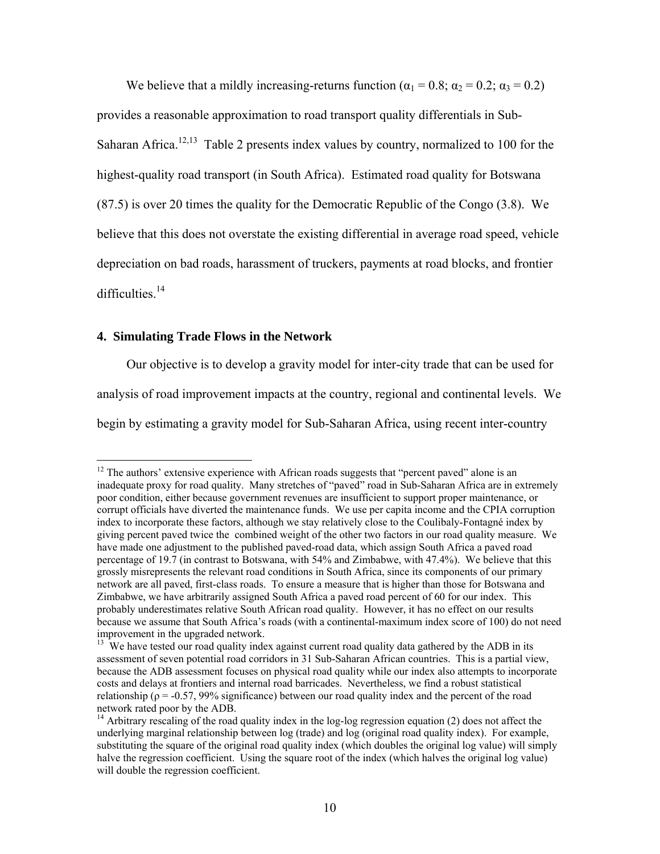We believe that a mildly increasing-returns function ( $\alpha_1 = 0.8$ ;  $\alpha_2 = 0.2$ ;  $\alpha_3 = 0.2$ ) provides a reasonable approximation to road transport quality differentials in Sub-Saharan Africa.<sup>12,13</sup> Table 2 presents index values by country, normalized to 100 for the highest-quality road transport (in South Africa). Estimated road quality for Botswana (87.5) is over 20 times the quality for the Democratic Republic of the Congo (3.8). We believe that this does not overstate the existing differential in average road speed, vehicle depreciation on bad roads, harassment of truckers, payments at road blocks, and frontier difficulties.<sup>14</sup>

## **4. Simulating Trade Flows in the Network**

1

Our objective is to develop a gravity model for inter-city trade that can be used for analysis of road improvement impacts at the country, regional and continental levels. We begin by estimating a gravity model for Sub-Saharan Africa, using recent inter-country

 $12$  The authors' extensive experience with African roads suggests that "percent paved" alone is an inadequate proxy for road quality. Many stretches of "paved" road in Sub-Saharan Africa are in extremely poor condition, either because government revenues are insufficient to support proper maintenance, or corrupt officials have diverted the maintenance funds. We use per capita income and the CPIA corruption index to incorporate these factors, although we stay relatively close to the Coulibaly-Fontagné index by giving percent paved twice the combined weight of the other two factors in our road quality measure. We have made one adjustment to the published paved-road data, which assign South Africa a paved road percentage of 19.7 (in contrast to Botswana, with 54% and Zimbabwe, with 47.4%). We believe that this grossly misrepresents the relevant road conditions in South Africa, since its components of our primary network are all paved, first-class roads. To ensure a measure that is higher than those for Botswana and Zimbabwe, we have arbitrarily assigned South Africa a paved road percent of 60 for our index. This probably underestimates relative South African road quality. However, it has no effect on our results because we assume that South Africa's roads (with a continental-maximum index score of 100) do not need improvement in the upgraded network.

<sup>&</sup>lt;sup>13</sup> We have tested our road quality index against current road quality data gathered by the ADB in its assessment of seven potential road corridors in 31 Sub-Saharan African countries. This is a partial view, because the ADB assessment focuses on physical road quality while our index also attempts to incorporate costs and delays at frontiers and internal road barricades. Nevertheless, we find a robust statistical relationship ( $\rho = -0.57$ , 99% significance) between our road quality index and the percent of the road network rated poor by the ADB.

<sup>&</sup>lt;sup>14</sup> Arbitrary rescaling of the road quality index in the log-log regression equation (2) does not affect the underlying marginal relationship between log (trade) and log (original road quality index). For example, substituting the square of the original road quality index (which doubles the original log value) will simply halve the regression coefficient. Using the square root of the index (which halves the original log value) will double the regression coefficient.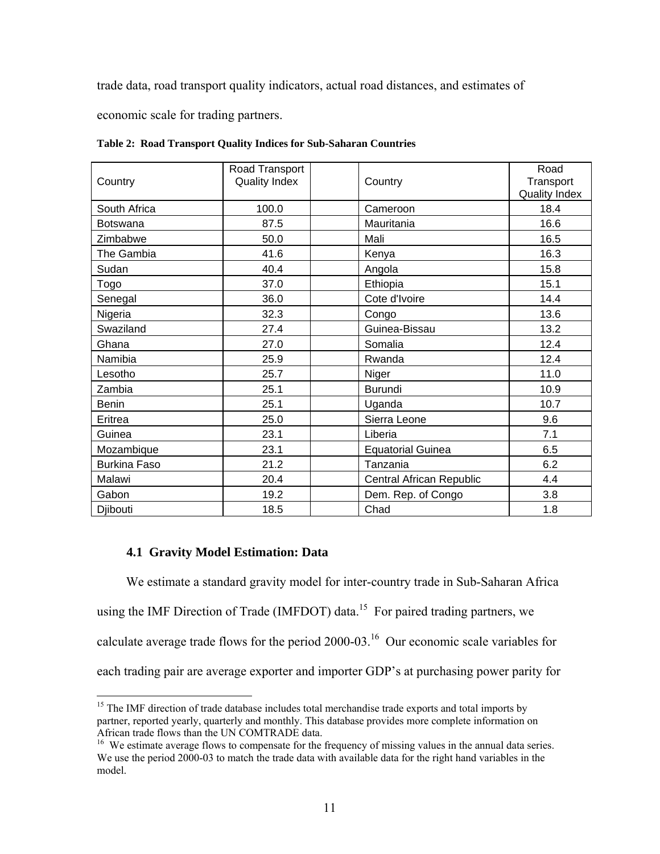trade data, road transport quality indicators, actual road distances, and estimates of

economic scale for trading partners.

| Country             | Road Transport<br><b>Quality Index</b> | Country                  | Road<br>Transport<br><b>Quality Index</b> |
|---------------------|----------------------------------------|--------------------------|-------------------------------------------|
| South Africa        | 100.0                                  | Cameroon                 | 18.4                                      |
| <b>Botswana</b>     | 87.5                                   | Mauritania               | 16.6                                      |
| Zimbabwe            | 50.0                                   | Mali                     | 16.5                                      |
| The Gambia          | 41.6                                   | Kenya                    | 16.3                                      |
| Sudan               | 40.4                                   | Angola                   | 15.8                                      |
| Togo                | 37.0                                   | Ethiopia                 | 15.1                                      |
| Senegal             | 36.0                                   | Cote d'Ivoire            | 14.4                                      |
| Nigeria             | 32.3                                   | Congo                    | 13.6                                      |
| Swaziland           | 27.4                                   | Guinea-Bissau            | 13.2                                      |
| Ghana               | 27.0                                   | Somalia                  | 12.4                                      |
| Namibia             | 25.9                                   | Rwanda                   | 12.4                                      |
| Lesotho             | 25.7                                   | Niger                    | 11.0                                      |
| Zambia              | 25.1                                   | <b>Burundi</b>           | 10.9                                      |
| <b>Benin</b>        | 25.1                                   | Uganda                   | 10.7                                      |
| Eritrea             | 25.0                                   | Sierra Leone             | 9.6                                       |
| Guinea              | 23.1                                   | Liberia                  | 7.1                                       |
| Mozambique          | 23.1                                   | <b>Equatorial Guinea</b> | 6.5                                       |
| <b>Burkina Faso</b> | 21.2                                   | Tanzania                 | 6.2                                       |
| Malawi              | 20.4                                   | Central African Republic | 4.4                                       |
| Gabon               | 19.2                                   | Dem. Rep. of Congo       | 3.8                                       |
| Djibouti            | 18.5                                   | Chad                     | 1.8                                       |

**Table 2: Road Transport Quality Indices for Sub-Saharan Countries** 

## **4.1 Gravity Model Estimation: Data**

We estimate a standard gravity model for inter-country trade in Sub-Saharan Africa using the IMF Direction of Trade (IMFDOT) data.<sup>15</sup> For paired trading partners, we calculate average trade flows for the period 2000-03.16 Our economic scale variables for each trading pair are average exporter and importer GDP's at purchasing power parity for

 $\overline{a}$ <sup>15</sup> The IMF direction of trade database includes total merchandise trade exports and total imports by partner, reported yearly, quarterly and monthly. This database provides more complete information on African trade flows than the UN COMTRADE data.

<sup>&</sup>lt;sup>16</sup> We estimate average flows to compensate for the frequency of missing values in the annual data series. We use the period 2000-03 to match the trade data with available data for the right hand variables in the model.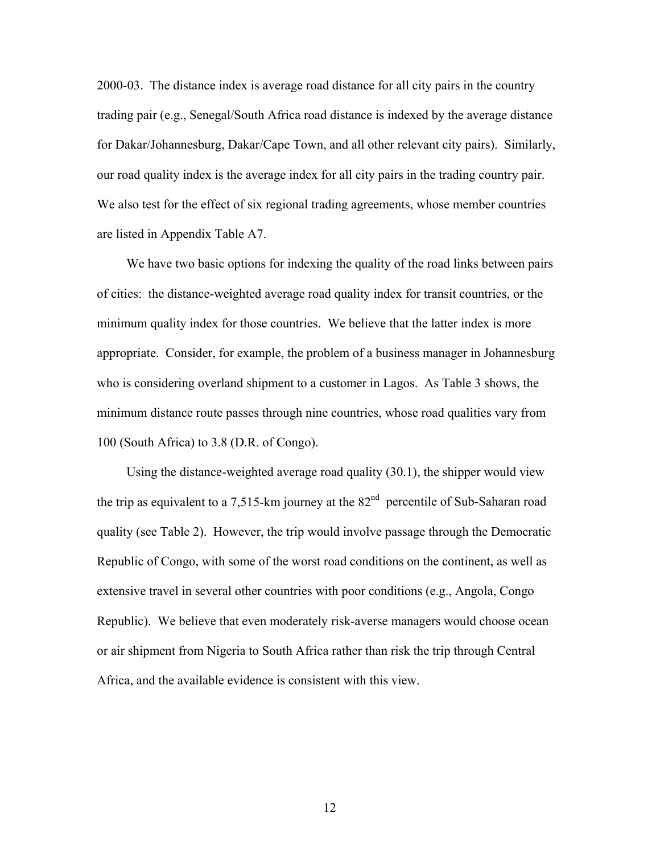2000-03. The distance index is average road distance for all city pairs in the country trading pair (e.g., Senegal/South Africa road distance is indexed by the average distance for Dakar/Johannesburg, Dakar/Cape Town, and all other relevant city pairs). Similarly, our road quality index is the average index for all city pairs in the trading country pair. We also test for the effect of six regional trading agreements, whose member countries are listed in Appendix Table A7.

We have two basic options for indexing the quality of the road links between pairs of cities: the distance-weighted average road quality index for transit countries, or the minimum quality index for those countries. We believe that the latter index is more appropriate. Consider, for example, the problem of a business manager in Johannesburg who is considering overland shipment to a customer in Lagos. As Table 3 shows, the minimum distance route passes through nine countries, whose road qualities vary from 100 (South Africa) to 3.8 (D.R. of Congo).

Using the distance-weighted average road quality (30.1), the shipper would view the trip as equivalent to a 7,515-km journey at the  $82<sup>nd</sup>$  percentile of Sub-Saharan road quality (see Table 2). However, the trip would involve passage through the Democratic Republic of Congo, with some of the worst road conditions on the continent, as well as extensive travel in several other countries with poor conditions (e.g., Angola, Congo Republic). We believe that even moderately risk-averse managers would choose ocean or air shipment from Nigeria to South Africa rather than risk the trip through Central Africa, and the available evidence is consistent with this view.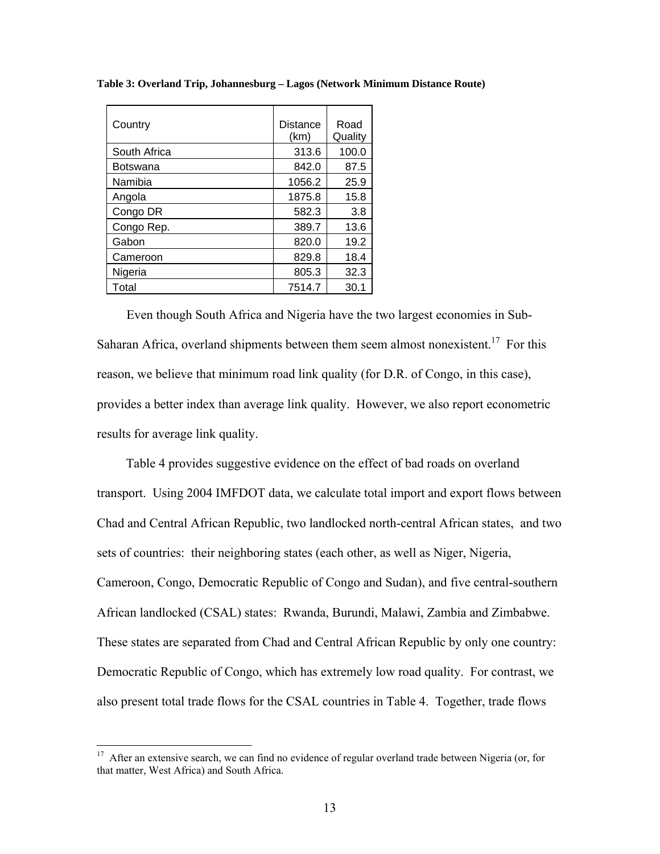| Country      | Distance<br>(km) | Road<br>Quality |
|--------------|------------------|-----------------|
| South Africa | 313.6            | 100.0           |
| Botswana     | 842.0            | 87.5            |
| Namibia      | 1056.2           | 25.9            |
| Angola       | 1875.8           | 15.8            |
| Congo DR     | 582.3            | 3.8             |
| Congo Rep.   | 389.7            | 13.6            |
| Gabon        | 820.0            | 19.2            |
| Cameroon     | 829.8            | 18.4            |
| Nigeria      | 805.3            | 32.3            |
| Total        | 7514.7           | 30.1            |

**Table 3: Overland Trip, Johannesburg – Lagos (Network Minimum Distance Route)** 

Even though South Africa and Nigeria have the two largest economies in Sub-Saharan Africa, overland shipments between them seem almost nonexistent.<sup>17</sup> For this reason, we believe that minimum road link quality (for D.R. of Congo, in this case), provides a better index than average link quality. However, we also report econometric results for average link quality.

Table 4 provides suggestive evidence on the effect of bad roads on overland transport. Using 2004 IMFDOT data, we calculate total import and export flows between Chad and Central African Republic, two landlocked north-central African states, and two sets of countries: their neighboring states (each other, as well as Niger, Nigeria, Cameroon, Congo, Democratic Republic of Congo and Sudan), and five central-southern African landlocked (CSAL) states: Rwanda, Burundi, Malawi, Zambia and Zimbabwe. These states are separated from Chad and Central African Republic by only one country: Democratic Republic of Congo, which has extremely low road quality. For contrast, we also present total trade flows for the CSAL countries in Table 4. Together, trade flows

 $17$  After an extensive search, we can find no evidence of regular overland trade between Nigeria (or, for that matter, West Africa) and South Africa.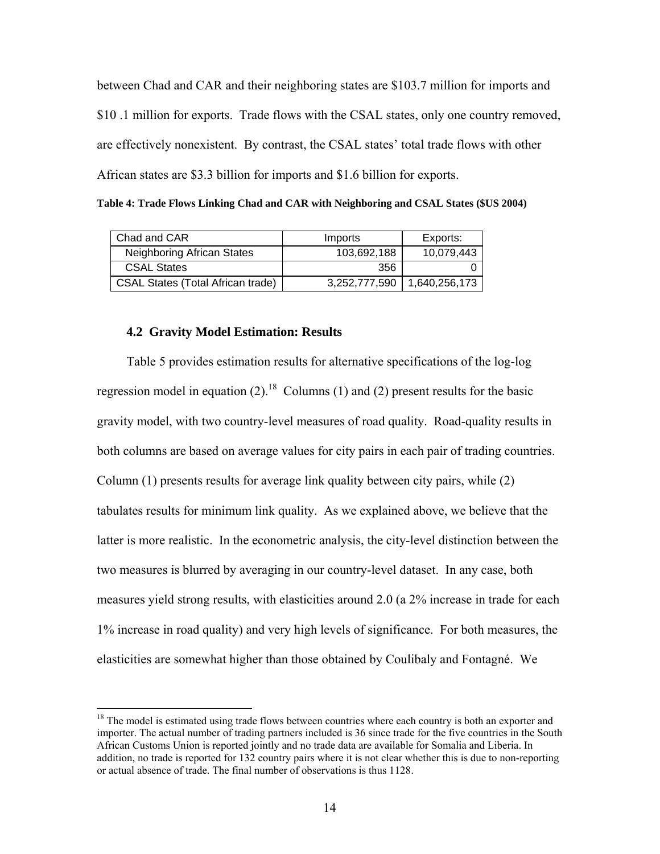between Chad and CAR and their neighboring states are \$103.7 million for imports and \$10 .1 million for exports. Trade flows with the CSAL states, only one country removed, are effectively nonexistent. By contrast, the CSAL states' total trade flows with other African states are \$3.3 billion for imports and \$1.6 billion for exports.

**Table 4: Trade Flows Linking Chad and CAR with Neighboring and CSAL States (\$US 2004)** 

| Chad and CAR                             | Imports       | Exports:      |
|------------------------------------------|---------------|---------------|
| Neighboring African States               | 103,692,188   | 10,079,443    |
| <b>CSAL States</b>                       | 356           |               |
| <b>CSAL States (Total African trade)</b> | 3,252,777,590 | 1,640,256,173 |

#### **4.2 Gravity Model Estimation: Results**

1

Table 5 provides estimation results for alternative specifications of the log-log regression model in equation (2).<sup>18</sup> Columns (1) and (2) present results for the basic gravity model, with two country-level measures of road quality. Road-quality results in both columns are based on average values for city pairs in each pair of trading countries. Column (1) presents results for average link quality between city pairs, while (2) tabulates results for minimum link quality. As we explained above, we believe that the latter is more realistic. In the econometric analysis, the city-level distinction between the two measures is blurred by averaging in our country-level dataset. In any case, both measures yield strong results, with elasticities around 2.0 (a 2% increase in trade for each 1% increase in road quality) and very high levels of significance. For both measures, the elasticities are somewhat higher than those obtained by Coulibaly and Fontagné. We

 $18$  The model is estimated using trade flows between countries where each country is both an exporter and importer. The actual number of trading partners included is 36 since trade for the five countries in the South African Customs Union is reported jointly and no trade data are available for Somalia and Liberia. In addition, no trade is reported for 132 country pairs where it is not clear whether this is due to non-reporting or actual absence of trade. The final number of observations is thus 1128.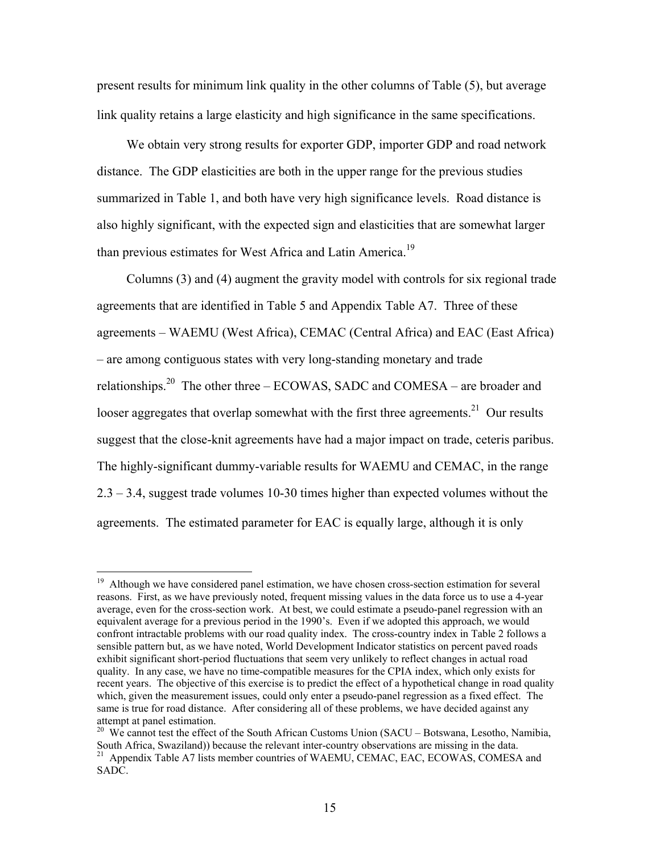present results for minimum link quality in the other columns of Table (5), but average link quality retains a large elasticity and high significance in the same specifications.

We obtain very strong results for exporter GDP, importer GDP and road network distance. The GDP elasticities are both in the upper range for the previous studies summarized in Table 1, and both have very high significance levels. Road distance is also highly significant, with the expected sign and elasticities that are somewhat larger than previous estimates for West Africa and Latin America.<sup>19</sup>

Columns (3) and (4) augment the gravity model with controls for six regional trade agreements that are identified in Table 5 and Appendix Table A7. Three of these agreements – WAEMU (West Africa), CEMAC (Central Africa) and EAC (East Africa) – are among contiguous states with very long-standing monetary and trade relationships.<sup>20</sup> The other three – ECOWAS, SADC and COMESA – are broader and looser aggregates that overlap somewhat with the first three agreements.<sup>21</sup> Our results suggest that the close-knit agreements have had a major impact on trade, ceteris paribus. The highly-significant dummy-variable results for WAEMU and CEMAC, in the range 2.3 – 3.4, suggest trade volumes 10-30 times higher than expected volumes without the agreements. The estimated parameter for EAC is equally large, although it is only

 $\overline{a}$ 

<sup>&</sup>lt;sup>19</sup> Although we have considered panel estimation, we have chosen cross-section estimation for several reasons. First, as we have previously noted, frequent missing values in the data force us to use a 4-year average, even for the cross-section work. At best, we could estimate a pseudo-panel regression with an equivalent average for a previous period in the 1990's. Even if we adopted this approach, we would confront intractable problems with our road quality index. The cross-country index in Table 2 follows a sensible pattern but, as we have noted, World Development Indicator statistics on percent paved roads exhibit significant short-period fluctuations that seem very unlikely to reflect changes in actual road quality. In any case, we have no time-compatible measures for the CPIA index, which only exists for recent years. The objective of this exercise is to predict the effect of a hypothetical change in road quality which, given the measurement issues, could only enter a pseudo-panel regression as a fixed effect. The same is true for road distance. After considering all of these problems, we have decided against any attempt at panel estimation.

<sup>&</sup>lt;sup>20</sup> We cannot test the effect of the South African Customs Union (SACU – Botswana, Lesotho, Namibia, South Africa, Swaziland)) because the relevant inter-country observations are missing in the data.<br><sup>21</sup> Appendix Table A7 lists member countries of WAEMU, CEMAC, EAC, ECOWAS, COMESA and SADC.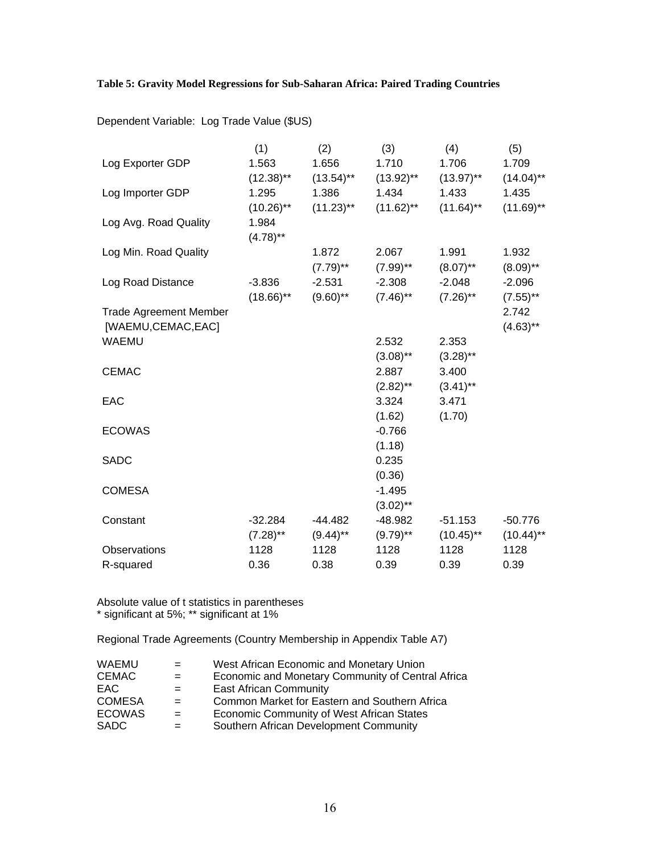## **Table 5: Gravity Model Regressions for Sub-Saharan Africa: Paired Trading Countries**

|                               | (1)          | (2)          | (3)                    | (4)          | (5)          |
|-------------------------------|--------------|--------------|------------------------|--------------|--------------|
| Log Exporter GDP              | 1.563        | 1.656        | 1.710                  | 1.706        | 1.709        |
|                               | $(12.38)$ ** | $(13.54)$ ** | $(13.92)$ **           | $(13.97)$ ** | $(14.04)$ ** |
| Log Importer GDP              | 1.295        | 1.386        | 1.434                  | 1.433        | 1.435        |
|                               | $(10.26)$ ** | $(11.23)$ ** | $(11.62)$ **           | $(11.64)$ ** | $(11.69)$ ** |
| Log Avg. Road Quality         | 1.984        |              |                        |              |              |
|                               | $(4.78)$ **  |              |                        |              |              |
| Log Min. Road Quality         |              | 1.872        | 2.067                  | 1.991        | 1.932        |
|                               |              | $(7.79)$ **  | $(7.99)$ **            | $(8.07)$ **  | $(8.09)$ **  |
| Log Road Distance             | $-3.836$     | $-2.531$     | $-2.308$               | $-2.048$     | $-2.096$     |
|                               | $(18.66)$ ** | $(9.60)$ **  | $(7.46)$ <sup>**</sup> | $(7.26)$ **  | $(7.55)$ **  |
| <b>Trade Agreement Member</b> |              |              |                        |              | 2.742        |
| [WAEMU,CEMAC,EAC]             |              |              |                        |              | $(4.63)$ **  |
| <b>WAEMU</b>                  |              |              | 2.532                  | 2.353        |              |
|                               |              |              | $(3.08)$ **            | $(3.28)$ **  |              |
| <b>CEMAC</b>                  |              |              | 2.887                  | 3.400        |              |
|                               |              |              | $(2.82)$ **            | $(3.41)$ **  |              |
| EAC                           |              |              | 3.324                  | 3.471        |              |
|                               |              |              | (1.62)                 | (1.70)       |              |
| <b>ECOWAS</b>                 |              |              | $-0.766$               |              |              |
| <b>SADC</b>                   |              |              | (1.18)<br>0.235        |              |              |
|                               |              |              | (0.36)                 |              |              |
| <b>COMESA</b>                 |              |              | $-1.495$               |              |              |
|                               |              |              | $(3.02)$ **            |              |              |
| Constant                      | $-32.284$    | $-44.482$    | -48.982                | $-51.153$    | $-50.776$    |
|                               | $(7.28)$ **  | $(9.44)$ **  | $(9.79)$ **            | $(10.45)$ ** | $(10.44)$ ** |
| Observations                  | 1128         | 1128         | 1128                   | 1128         | 1128         |
| R-squared                     | 0.36         | 0.38         | 0.39                   | 0.39         | 0.39         |

Absolute value of t statistics in parentheses \* significant at 5%; \*\* significant at 1%

Regional Trade Agreements (Country Membership in Appendix Table A7)

| WAEMU<br>CEMAC.<br>EAC.<br><b>COMESA</b><br><b>ECOWAS</b> | $=$<br>$=$<br>$=$ | West African Economic and Monetary Union<br>Economic and Monetary Community of Central Africa<br><b>East African Community</b><br>Common Market for Eastern and Southern Africa<br>Economic Community of West African States |
|-----------------------------------------------------------|-------------------|------------------------------------------------------------------------------------------------------------------------------------------------------------------------------------------------------------------------------|
| <b>SADC</b>                                               | $=$               | Southern African Development Community                                                                                                                                                                                       |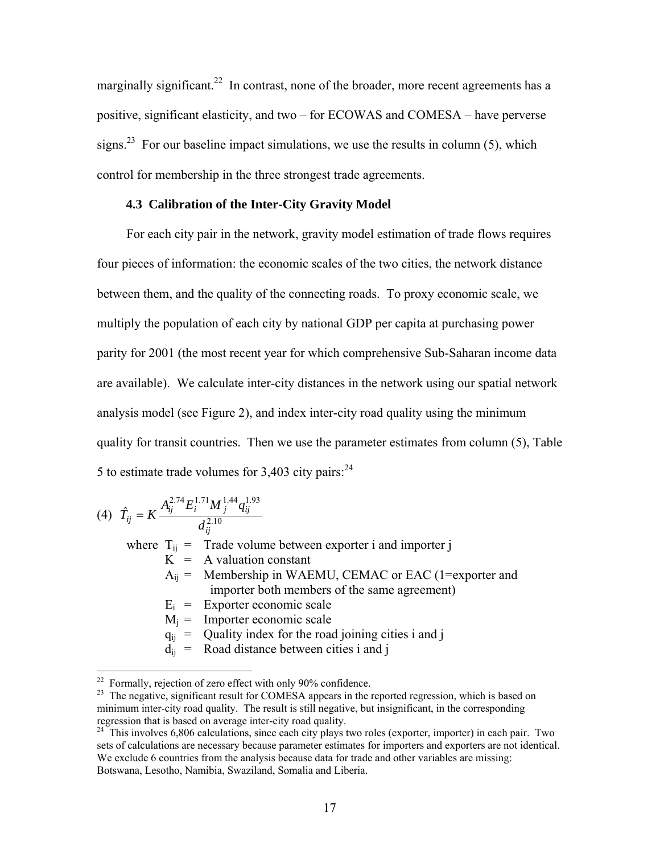marginally significant.<sup>22</sup> In contrast, none of the broader, more recent agreements has a positive, significant elasticity, and two – for ECOWAS and COMESA – have perverse signs.<sup>23</sup> For our baseline impact simulations, we use the results in column (5), which control for membership in the three strongest trade agreements.

## **4.3 Calibration of the Inter-City Gravity Model**

For each city pair in the network, gravity model estimation of trade flows requires four pieces of information: the economic scales of the two cities, the network distance between them, and the quality of the connecting roads. To proxy economic scale, we multiply the population of each city by national GDP per capita at purchasing power parity for 2001 (the most recent year for which comprehensive Sub-Saharan income data are available). We calculate inter-city distances in the network using our spatial network analysis model (see Figure 2), and index inter-city road quality using the minimum quality for transit countries. Then we use the parameter estimates from column (5), Table 5 to estimate trade volumes for  $3,403$  city pairs:<sup>24</sup>

$$
(4) \ \ \hat{T}_{ij} = K \frac{A_{ij}^{2.74} E_i^{1.71} M_j^{1.44} q_{ij}^{1.93}}{d_{ij}^{2.10}}
$$

where  $T_{ij}$  = Trade volume between exporter i and importer j  $K = A$  valuation constant

- $A_{ii}$  = Membership in WAEMU, CEMAC or EAC (1=exporter and importer both members of the same agreement)
- $E_i$  = Exporter economic scale
- $M_i$  = Importer economic scale

 $q_{ii}$  = Quality index for the road joining cities i and j

 $d_{ii}$  = Road distance between cities i and j

 $^{22}$  Formally, rejection of zero effect with only 90% confidence.

<sup>&</sup>lt;sup>23</sup> The negative, significant result for COMESA appears in the reported regression, which is based on minimum inter-city road quality. The result is still negative, but insignificant, in the corresponding regression that is based on average inter-city road quality.

 $24$  This involves 6,806 calculations, since each city plays two roles (exporter, importer) in each pair. Two sets of calculations are necessary because parameter estimates for importers and exporters are not identical. We exclude 6 countries from the analysis because data for trade and other variables are missing: Botswana, Lesotho, Namibia, Swaziland, Somalia and Liberia.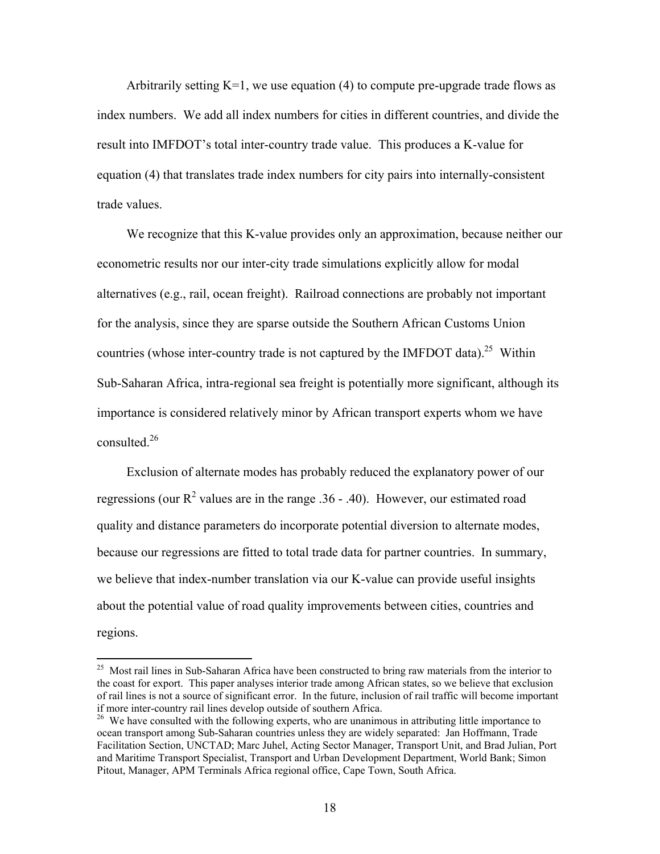Arbitrarily setting  $K=1$ , we use equation (4) to compute pre-upgrade trade flows as index numbers. We add all index numbers for cities in different countries, and divide the result into IMFDOT's total inter-country trade value. This produces a K-value for equation (4) that translates trade index numbers for city pairs into internally-consistent trade values.

We recognize that this K-value provides only an approximation, because neither our econometric results nor our inter-city trade simulations explicitly allow for modal alternatives (e.g., rail, ocean freight). Railroad connections are probably not important for the analysis, since they are sparse outside the Southern African Customs Union countries (whose inter-country trade is not captured by the IMFDOT data).<sup>25</sup> Within Sub-Saharan Africa, intra-regional sea freight is potentially more significant, although its importance is considered relatively minor by African transport experts whom we have consulted  $^{26}$ 

Exclusion of alternate modes has probably reduced the explanatory power of our regressions (our  $\mathbb{R}^2$  values are in the range .36 - .40). However, our estimated road quality and distance parameters do incorporate potential diversion to alternate modes, because our regressions are fitted to total trade data for partner countries. In summary, we believe that index-number translation via our K-value can provide useful insights about the potential value of road quality improvements between cities, countries and regions.

<sup>&</sup>lt;sup>25</sup> Most rail lines in Sub-Saharan Africa have been constructed to bring raw materials from the interior to the coast for export. This paper analyses interior trade among African states, so we believe that exclusion of rail lines is not a source of significant error. In the future, inclusion of rail traffic will become important if more inter-country rail lines develop outside of southern Africa.

<sup>&</sup>lt;sup>26</sup> We have consulted with the following experts, who are unanimous in attributing little importance to ocean transport among Sub-Saharan countries unless they are widely separated: Jan Hoffmann, Trade Facilitation Section, UNCTAD; Marc Juhel, Acting Sector Manager, Transport Unit, and Brad Julian, Port and Maritime Transport Specialist, Transport and Urban Development Department, World Bank; Simon Pitout, Manager, APM Terminals Africa regional office, Cape Town, South Africa.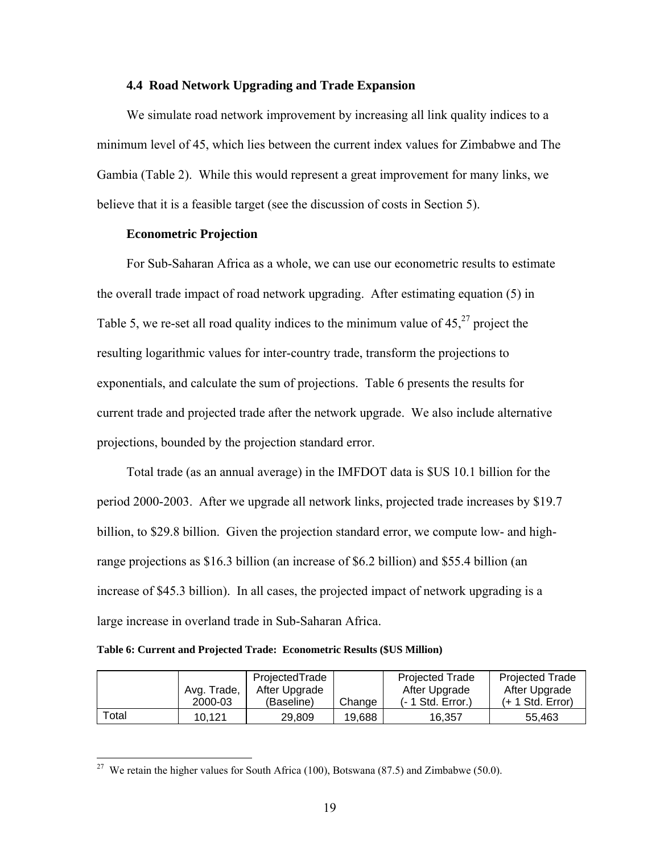#### **4.4 Road Network Upgrading and Trade Expansion**

We simulate road network improvement by increasing all link quality indices to a minimum level of 45, which lies between the current index values for Zimbabwe and The Gambia (Table 2). While this would represent a great improvement for many links, we believe that it is a feasible target (see the discussion of costs in Section 5).

## **Econometric Projection**

For Sub-Saharan Africa as a whole, we can use our econometric results to estimate the overall trade impact of road network upgrading. After estimating equation (5) in Table 5, we re-set all road quality indices to the minimum value of  $45<sup>27</sup>$  project the resulting logarithmic values for inter-country trade, transform the projections to exponentials, and calculate the sum of projections. Table 6 presents the results for current trade and projected trade after the network upgrade. We also include alternative projections, bounded by the projection standard error.

Total trade (as an annual average) in the IMFDOT data is \$US 10.1 billion for the period 2000-2003. After we upgrade all network links, projected trade increases by \$19.7 billion, to \$29.8 billion. Given the projection standard error, we compute low- and highrange projections as \$16.3 billion (an increase of \$6.2 billion) and \$55.4 billion (an increase of \$45.3 billion). In all cases, the projected impact of network upgrading is a large increase in overland trade in Sub-Saharan Africa.

#### **Table 6: Current and Projected Trade: Econometric Results (\$US Million)**

 $\overline{a}$ 

|       |             | ProjectedTrade |        | <b>Projected Trade</b> | <b>Projected Trade</b> |
|-------|-------------|----------------|--------|------------------------|------------------------|
|       | Avg. Trade, | After Upgrade  |        | After Upgrade          | After Upgrade          |
|       | 2000-03     | (Baseline)     | Change | $(-1$ Std. Error.)     | $(+ 1 Std. Error)$     |
| Total | 10.121      | 29.809         | 19.688 | 16.357                 | 55.463                 |

<sup>&</sup>lt;sup>27</sup> We retain the higher values for South Africa (100), Botswana (87.5) and Zimbabwe (50.0).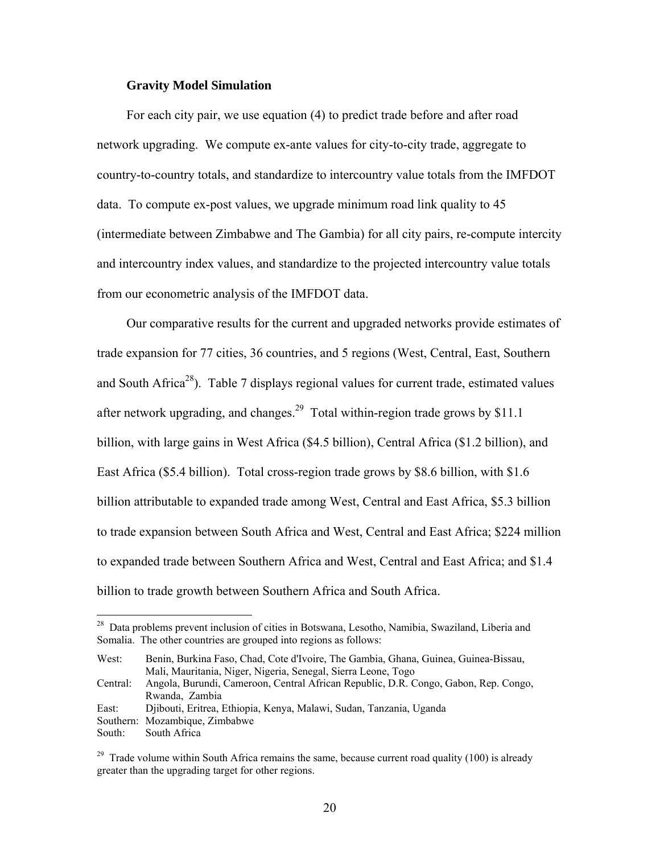## **Gravity Model Simulation**

For each city pair, we use equation (4) to predict trade before and after road network upgrading. We compute ex-ante values for city-to-city trade, aggregate to country-to-country totals, and standardize to intercountry value totals from the IMFDOT data. To compute ex-post values, we upgrade minimum road link quality to 45 (intermediate between Zimbabwe and The Gambia) for all city pairs, re-compute intercity and intercountry index values, and standardize to the projected intercountry value totals from our econometric analysis of the IMFDOT data.

Our comparative results for the current and upgraded networks provide estimates of trade expansion for 77 cities, 36 countries, and 5 regions (West, Central, East, Southern and South Africa<sup>28</sup>). Table 7 displays regional values for current trade, estimated values after network upgrading, and changes.<sup>29</sup> Total within-region trade grows by \$11.1 billion, with large gains in West Africa (\$4.5 billion), Central Africa (\$1.2 billion), and East Africa (\$5.4 billion). Total cross-region trade grows by \$8.6 billion, with \$1.6 billion attributable to expanded trade among West, Central and East Africa, \$5.3 billion to trade expansion between South Africa and West, Central and East Africa; \$224 million to expanded trade between Southern Africa and West, Central and East Africa; and \$1.4 billion to trade growth between Southern Africa and South Africa.

West: Benin, Burkina Faso, Chad, Cote d'Ivoire, The Gambia, Ghana, Guinea, Guinea-Bissau, Mali, Mauritania, Niger, Nigeria, Senegal, Sierra Leone, Togo

East: Djibouti, Eritrea, Ethiopia, Kenya, Malawi, Sudan, Tanzania, Uganda

South: South Africa

<sup>&</sup>lt;sup>28</sup> Data problems prevent inclusion of cities in Botswana, Lesotho, Namibia, Swaziland, Liberia and Somalia. The other countries are grouped into regions as follows:

Central: Angola, Burundi, Cameroon, Central African Republic, D.R. Congo, Gabon, Rep. Congo, Rwanda, Zambia

Southern: Mozambique, Zimbabwe

<sup>&</sup>lt;sup>29</sup> Trade volume within South Africa remains the same, because current road quality (100) is already greater than the upgrading target for other regions.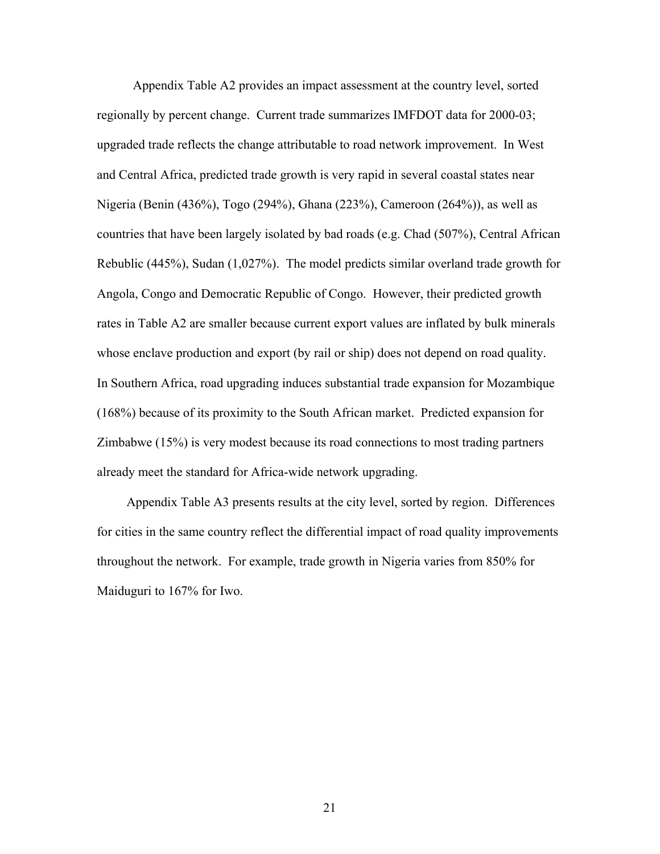Appendix Table A2 provides an impact assessment at the country level, sorted regionally by percent change. Current trade summarizes IMFDOT data for 2000-03; upgraded trade reflects the change attributable to road network improvement. In West and Central Africa, predicted trade growth is very rapid in several coastal states near Nigeria (Benin (436%), Togo (294%), Ghana (223%), Cameroon (264%)), as well as countries that have been largely isolated by bad roads (e.g. Chad (507%), Central African Rebublic (445%), Sudan (1,027%). The model predicts similar overland trade growth for Angola, Congo and Democratic Republic of Congo. However, their predicted growth rates in Table A2 are smaller because current export values are inflated by bulk minerals whose enclave production and export (by rail or ship) does not depend on road quality. In Southern Africa, road upgrading induces substantial trade expansion for Mozambique (168%) because of its proximity to the South African market. Predicted expansion for Zimbabwe (15%) is very modest because its road connections to most trading partners already meet the standard for Africa-wide network upgrading.

Appendix Table A3 presents results at the city level, sorted by region. Differences for cities in the same country reflect the differential impact of road quality improvements throughout the network. For example, trade growth in Nigeria varies from 850% for Maiduguri to 167% for Iwo.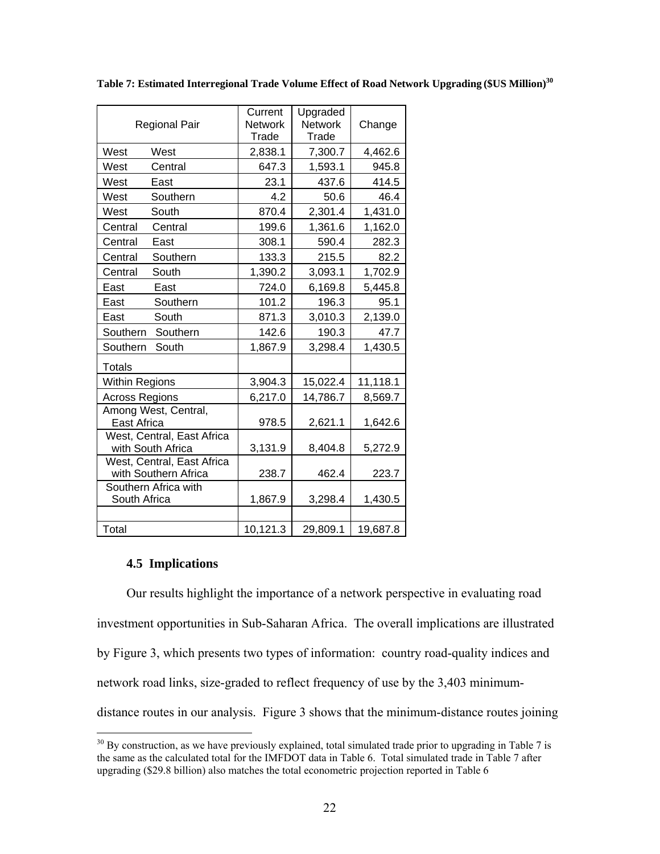|                            | Current        | Upgraded       |          |
|----------------------------|----------------|----------------|----------|
| <b>Regional Pair</b>       | <b>Network</b> | <b>Network</b> | Change   |
|                            | Trade          | Trade          |          |
| West<br>West               | 2,838.1        | 7,300.7        | 4,462.6  |
| West<br>Central            | 647.3          | 1,593.1        | 945.8    |
| West<br>East               | 23.1           | 437.6          | 414.5    |
| West<br>Southern           | 4.2            | 50.6           | 46.4     |
| West<br>South              | 870.4          | 2,301.4        | 1,431.0  |
| Central<br>Central         | 199.6          | 1,361.6        | 1,162.0  |
| Central<br>East            | 308.1          | 590.4          | 282.3    |
| Central<br>Southern        | 133.3          | 215.5          | 82.2     |
| South<br>Central           | 1,390.2        | 3,093.1        | 1,702.9  |
| East<br>East               | 724.0          | 6,169.8        | 5,445.8  |
| East<br>Southern           | 101.2          | 196.3          | 95.1     |
| East<br>South              | 871.3          | 3,010.3        | 2,139.0  |
| Southern<br>Southern       | 142.6          | 190.3          | 47.7     |
| Southern<br>South          | 1,867.9        | 3,298.4        | 1,430.5  |
| <b>Totals</b>              |                |                |          |
| <b>Within Regions</b>      | 3,904.3        | 15,022.4       | 11,118.1 |
| <b>Across Regions</b>      | 6,217.0        | 14,786.7       | 8,569.7  |
| Among West, Central,       |                |                |          |
| East Africa                | 978.5          | 2,621.1        | 1,642.6  |
| West, Central, East Africa |                |                |          |
| with South Africa          | 3,131.9        | 8,404.8        | 5,272.9  |
| West, Central, East Africa |                |                |          |
| with Southern Africa       | 238.7          | 462.4          | 223.7    |
| Southern Africa with       |                |                |          |
| South Africa               | 1,867.9        | 3,298.4        | 1,430.5  |
|                            |                |                |          |
| Total                      | 10,121.3       | 29,809.1       | 19,687.8 |

**Table 7: Estimated Interregional Trade Volume Effect of Road Network Upgrading (\$US Million)<sup>30</sup>**

## **4.5 Implications**

1

Our results highlight the importance of a network perspective in evaluating road investment opportunities in Sub-Saharan Africa. The overall implications are illustrated by Figure 3, which presents two types of information: country road-quality indices and network road links, size-graded to reflect frequency of use by the 3,403 minimumdistance routes in our analysis. Figure 3 shows that the minimum-distance routes joining

 $30$  By construction, as we have previously explained, total simulated trade prior to upgrading in Table 7 is the same as the calculated total for the IMFDOT data in Table 6. Total simulated trade in Table 7 after upgrading (\$29.8 billion) also matches the total econometric projection reported in Table 6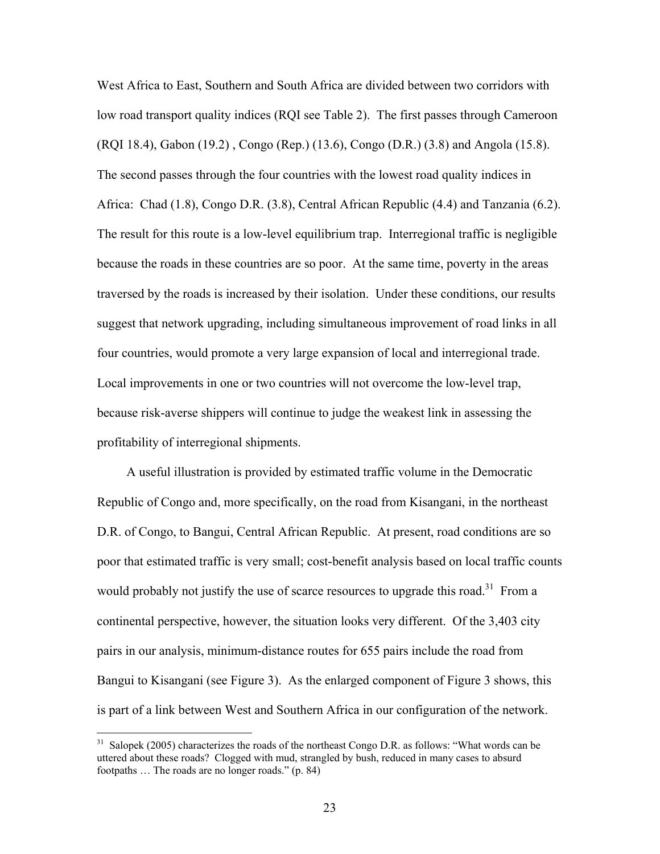West Africa to East, Southern and South Africa are divided between two corridors with low road transport quality indices (RQI see Table 2). The first passes through Cameroon (RQI 18.4), Gabon (19.2) , Congo (Rep.) (13.6), Congo (D.R.) (3.8) and Angola (15.8). The second passes through the four countries with the lowest road quality indices in Africa: Chad (1.8), Congo D.R. (3.8), Central African Republic (4.4) and Tanzania (6.2). The result for this route is a low-level equilibrium trap. Interregional traffic is negligible because the roads in these countries are so poor. At the same time, poverty in the areas traversed by the roads is increased by their isolation. Under these conditions, our results suggest that network upgrading, including simultaneous improvement of road links in all four countries, would promote a very large expansion of local and interregional trade. Local improvements in one or two countries will not overcome the low-level trap, because risk-averse shippers will continue to judge the weakest link in assessing the profitability of interregional shipments.

A useful illustration is provided by estimated traffic volume in the Democratic Republic of Congo and, more specifically, on the road from Kisangani, in the northeast D.R. of Congo, to Bangui, Central African Republic. At present, road conditions are so poor that estimated traffic is very small; cost-benefit analysis based on local traffic counts would probably not justify the use of scarce resources to upgrade this road.<sup>31</sup> From a continental perspective, however, the situation looks very different. Of the 3,403 city pairs in our analysis, minimum-distance routes for 655 pairs include the road from Bangui to Kisangani (see Figure 3). As the enlarged component of Figure 3 shows, this is part of a link between West and Southern Africa in our configuration of the network.

<sup>&</sup>lt;sup>31</sup> Salopek (2005) characterizes the roads of the northeast Congo D.R. as follows: "What words can be uttered about these roads? Clogged with mud, strangled by bush, reduced in many cases to absurd footpaths … The roads are no longer roads." (p. 84)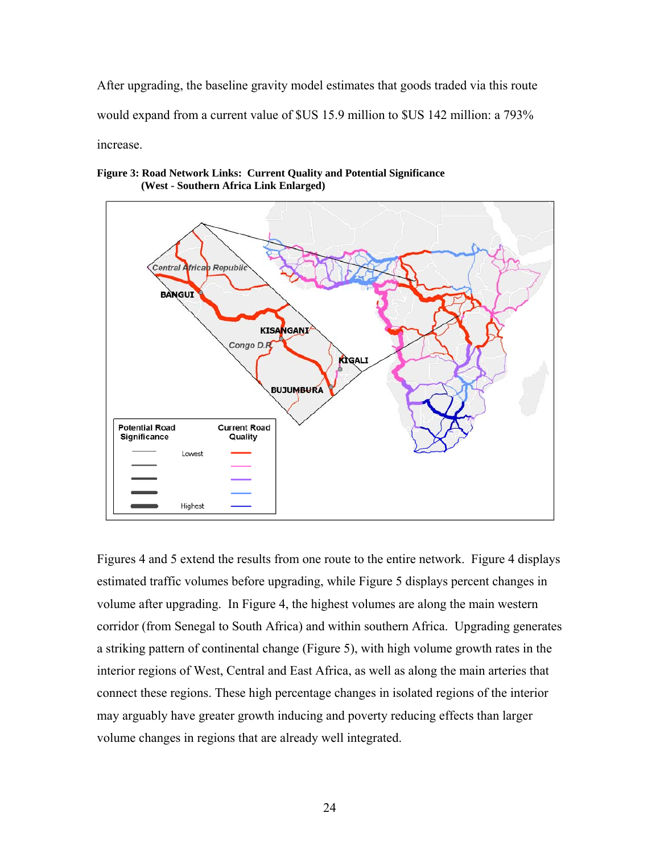After upgrading, the baseline gravity model estimates that goods traded via this route would expand from a current value of \$US 15.9 million to \$US 142 million: a 793% increase.





Figures 4 and 5 extend the results from one route to the entire network. Figure 4 displays estimated traffic volumes before upgrading, while Figure 5 displays percent changes in volume after upgrading. In Figure 4, the highest volumes are along the main western corridor (from Senegal to South Africa) and within southern Africa. Upgrading generates a striking pattern of continental change (Figure 5), with high volume growth rates in the interior regions of West, Central and East Africa, as well as along the main arteries that connect these regions. These high percentage changes in isolated regions of the interior may arguably have greater growth inducing and poverty reducing effects than larger volume changes in regions that are already well integrated.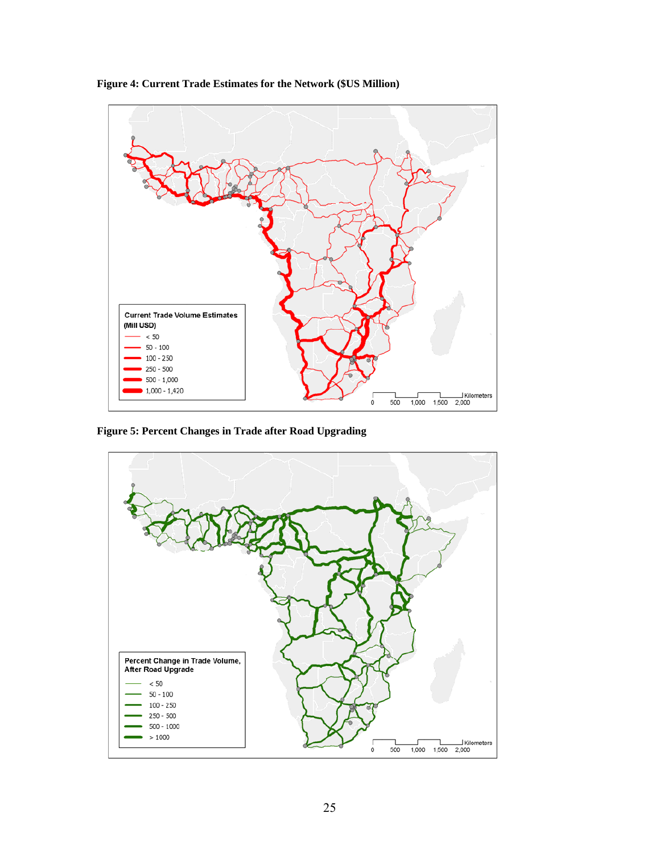

**Figure 4: Current Trade Estimates for the Network (\$US Million)** 

**Figure 5: Percent Changes in Trade after Road Upgrading** 

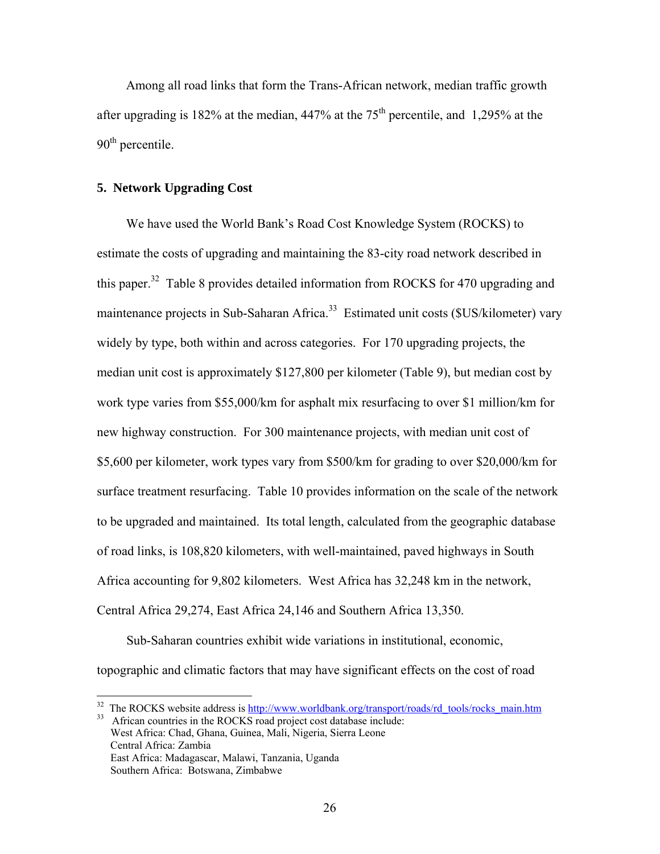Among all road links that form the Trans-African network, median traffic growth after upgrading is 182% at the median,  $447%$  at the 75<sup>th</sup> percentile, and 1,295% at the  $90<sup>th</sup>$  percentile.

### **5. Network Upgrading Cost**

1

We have used the World Bank's Road Cost Knowledge System (ROCKS) to estimate the costs of upgrading and maintaining the 83-city road network described in this paper.<sup>32</sup> Table 8 provides detailed information from ROCKS for 470 upgrading and maintenance projects in Sub-Saharan Africa.<sup>33</sup> Estimated unit costs (\$US/kilometer) vary widely by type, both within and across categories. For 170 upgrading projects, the median unit cost is approximately \$127,800 per kilometer (Table 9), but median cost by work type varies from \$55,000/km for asphalt mix resurfacing to over \$1 million/km for new highway construction. For 300 maintenance projects, with median unit cost of \$5,600 per kilometer, work types vary from \$500/km for grading to over \$20,000/km for surface treatment resurfacing. Table 10 provides information on the scale of the network to be upgraded and maintained. Its total length, calculated from the geographic database of road links, is 108,820 kilometers, with well-maintained, paved highways in South Africa accounting for 9,802 kilometers. West Africa has 32,248 km in the network, Central Africa 29,274, East Africa 24,146 and Southern Africa 13,350.

Sub-Saharan countries exhibit wide variations in institutional, economic, topographic and climatic factors that may have significant effects on the cost of road

<sup>&</sup>lt;sup>32</sup> The ROCKS website address is  $\frac{http://www.worldbank.org/transport/roads/rd_tools/rocks_main.htm}{\text{African countries in the ROCKS road project cost database include:}}$  West Africa: Chad, Ghana, Guinea, Mali, Nigeria, Sierra Leone Central Africa: Zambia East Africa: Madagascar, Malawi, Tanzania, Uganda Southern Africa: Botswana, Zimbabwe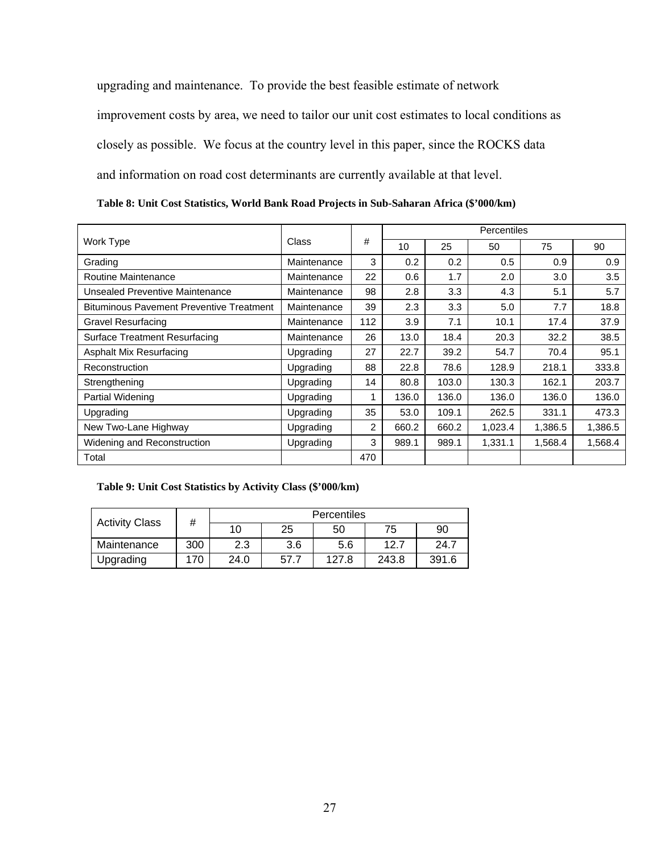upgrading and maintenance. To provide the best feasible estimate of network improvement costs by area, we need to tailor our unit cost estimates to local conditions as closely as possible. We focus at the country level in this paper, since the ROCKS data and information on road cost determinants are currently available at that level.

**Table 8: Unit Cost Statistics, World Bank Road Projects in Sub-Saharan Africa (\$'000/km)** 

|                                                 |             |                | Percentiles |       |         |         |         |
|-------------------------------------------------|-------------|----------------|-------------|-------|---------|---------|---------|
| Work Type                                       | Class       | #              | 10          | 25    | 50      | 75      | 90      |
| Grading                                         | Maintenance | 3              | 0.2         | 0.2   | 0.5     | 0.9     | 0.9     |
| <b>Routine Maintenance</b>                      | Maintenance | 22             | 0.6         | 1.7   | 2.0     | 3.0     | 3.5     |
| Unsealed Preventive Maintenance                 | Maintenance | 98             | 2.8         | 3.3   | 4.3     | 5.1     | 5.7     |
| <b>Bituminous Pavement Preventive Treatment</b> | Maintenance | 39             | 2.3         | 3.3   | 5.0     | 7.7     | 18.8    |
| <b>Gravel Resurfacing</b>                       | Maintenance | 112            | 3.9         | 7.1   | 10.1    | 17.4    | 37.9    |
| Surface Treatment Resurfacing                   | Maintenance | 26             | 13.0        | 18.4  | 20.3    | 32.2    | 38.5    |
| Asphalt Mix Resurfacing                         | Upgrading   | 27             | 22.7        | 39.2  | 54.7    | 70.4    | 95.1    |
| Reconstruction                                  | Upgrading   | 88             | 22.8        | 78.6  | 128.9   | 218.1   | 333.8   |
| Strengthening                                   | Upgrading   | 14             | 80.8        | 103.0 | 130.3   | 162.1   | 203.7   |
| <b>Partial Widening</b>                         | Upgrading   | 1              | 136.0       | 136.0 | 136.0   | 136.0   | 136.0   |
| Upgrading                                       | Upgrading   | 35             | 53.0        | 109.1 | 262.5   | 331.1   | 473.3   |
| New Two-Lane Highway                            | Upgrading   | $\overline{2}$ | 660.2       | 660.2 | 1,023.4 | 1,386.5 | 1,386.5 |
| Widening and Reconstruction                     | Upgrading   | 3              | 989.1       | 989.1 | 1,331.1 | 1,568.4 | 1,568.4 |
| Total                                           |             | 470            |             |       |         |         |         |

## **Table 9: Unit Cost Statistics by Activity Class (\$'000/km)**

| #                     |     | Percentiles |      |       |       |       |  |
|-----------------------|-----|-------------|------|-------|-------|-------|--|
| <b>Activity Class</b> |     | 10          | 25   | 50    | 75    | 90    |  |
| Maintenance           | 300 | 2.3         | 3.6  | 5.6   | 12.7  | 24.7  |  |
| Upgrading             | 170 | 24.0        | 57.7 | 127.8 | 243.8 | 391.6 |  |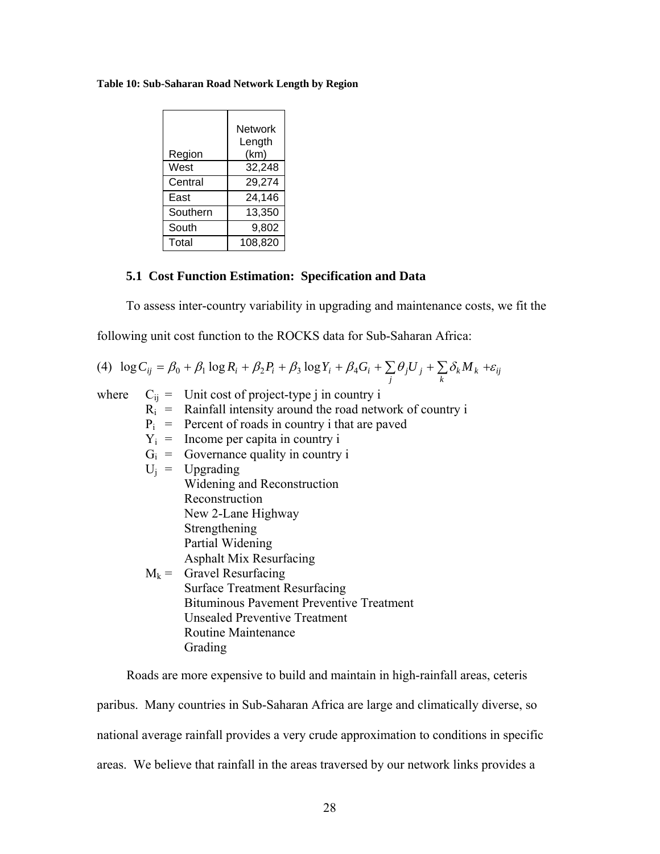#### **Table 10: Sub-Saharan Road Network Length by Region**

| Region   | <b>Network</b><br>Length<br>(km) |
|----------|----------------------------------|
| West     | 32,248                           |
| Central  | 29,274                           |
| East     | 24,146                           |
| Southern | 13,350                           |
| South    | 9,802                            |
| Total    | 108,820                          |

## **5.1 Cost Function Estimation: Specification and Data**

To assess inter-country variability in upgrading and maintenance costs, we fit the

following unit cost function to the ROCKS data for Sub-Saharan Africa:

(4) 
$$
\log C_{ij} = \beta_0 + \beta_1 \log R_i + \beta_2 P_i + \beta_3 \log Y_i + \beta_4 G_i + \sum_j \theta_j U_j + \sum_k \delta_k M_k + \varepsilon_{ij}
$$

where  $C_{ij}$  = Unit cost of project-type j in country i  $R_i$  = Rainfall intensity around the road network of country i

- $P_i$  = Percent of roads in country i that are paved
- $Y_i$  = Income per capita in country i
- $G_i$  = Governance quality in country i
- $U_i$  = Upgrading Widening and Reconstruction Reconstruction New 2-Lane Highway Strengthening Partial Widening Asphalt Mix Resurfacing  $M_k$  = Gravel Resurfacing Surface Treatment Resurfacing Bituminous Pavement Preventive Treatment Unsealed Preventive Treatment Routine Maintenance Grading

Roads are more expensive to build and maintain in high-rainfall areas, ceteris

paribus. Many countries in Sub-Saharan Africa are large and climatically diverse, so national average rainfall provides a very crude approximation to conditions in specific areas. We believe that rainfall in the areas traversed by our network links provides a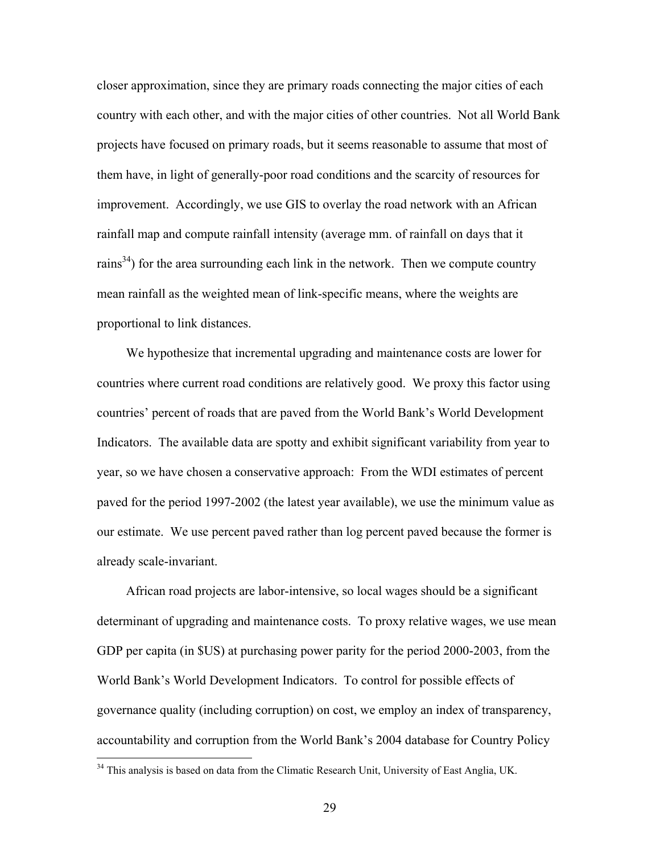closer approximation, since they are primary roads connecting the major cities of each country with each other, and with the major cities of other countries. Not all World Bank projects have focused on primary roads, but it seems reasonable to assume that most of them have, in light of generally-poor road conditions and the scarcity of resources for improvement. Accordingly, we use GIS to overlay the road network with an African rainfall map and compute rainfall intensity (average mm. of rainfall on days that it rains<sup>34</sup>) for the area surrounding each link in the network. Then we compute country mean rainfall as the weighted mean of link-specific means, where the weights are proportional to link distances.

We hypothesize that incremental upgrading and maintenance costs are lower for countries where current road conditions are relatively good. We proxy this factor using countries' percent of roads that are paved from the World Bank's World Development Indicators. The available data are spotty and exhibit significant variability from year to year, so we have chosen a conservative approach: From the WDI estimates of percent paved for the period 1997-2002 (the latest year available), we use the minimum value as our estimate. We use percent paved rather than log percent paved because the former is already scale-invariant.

African road projects are labor-intensive, so local wages should be a significant determinant of upgrading and maintenance costs. To proxy relative wages, we use mean GDP per capita (in \$US) at purchasing power parity for the period 2000-2003, from the World Bank's World Development Indicators. To control for possible effects of governance quality (including corruption) on cost, we employ an index of transparency, accountability and corruption from the World Bank's 2004 database for Country Policy

 $\overline{a}$ 

<sup>&</sup>lt;sup>34</sup> This analysis is based on data from the Climatic Research Unit, University of East Anglia, UK.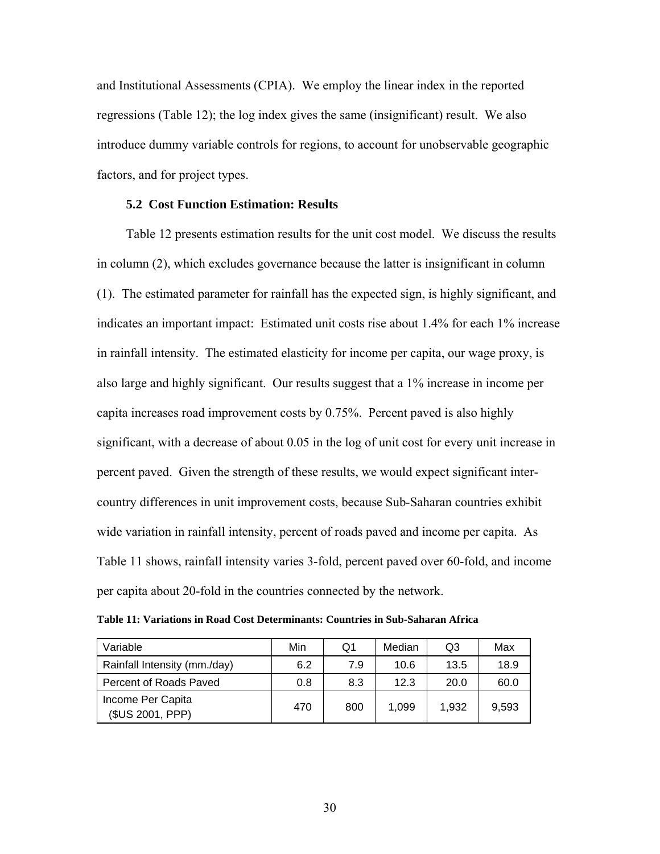and Institutional Assessments (CPIA). We employ the linear index in the reported regressions (Table 12); the log index gives the same (insignificant) result. We also introduce dummy variable controls for regions, to account for unobservable geographic factors, and for project types.

## **5.2 Cost Function Estimation: Results**

Table 12 presents estimation results for the unit cost model. We discuss the results in column (2), which excludes governance because the latter is insignificant in column (1). The estimated parameter for rainfall has the expected sign, is highly significant, and indicates an important impact: Estimated unit costs rise about 1.4% for each 1% increase in rainfall intensity. The estimated elasticity for income per capita, our wage proxy, is also large and highly significant. Our results suggest that a 1% increase in income per capita increases road improvement costs by 0.75%. Percent paved is also highly significant, with a decrease of about 0.05 in the log of unit cost for every unit increase in percent paved. Given the strength of these results, we would expect significant intercountry differences in unit improvement costs, because Sub-Saharan countries exhibit wide variation in rainfall intensity, percent of roads paved and income per capita. As Table 11 shows, rainfall intensity varies 3-fold, percent paved over 60-fold, and income per capita about 20-fold in the countries connected by the network.

| Table 11: Variations in Road Cost Determinants: Countries in Sub-Saharan Africa |  |
|---------------------------------------------------------------------------------|--|
|---------------------------------------------------------------------------------|--|

| Variable                              | Min | O1  | Median | Q3    | Max   |
|---------------------------------------|-----|-----|--------|-------|-------|
| Rainfall Intensity (mm./day)          | 6.2 | 7.9 | 10.6   | 13.5  | 18.9  |
| Percent of Roads Paved                | 0.8 | 8.3 | 12.3   | 20.0  | 60.0  |
| Income Per Capita<br>(\$US 2001, PPP) | 470 | 800 | 1,099  | 1,932 | 9.593 |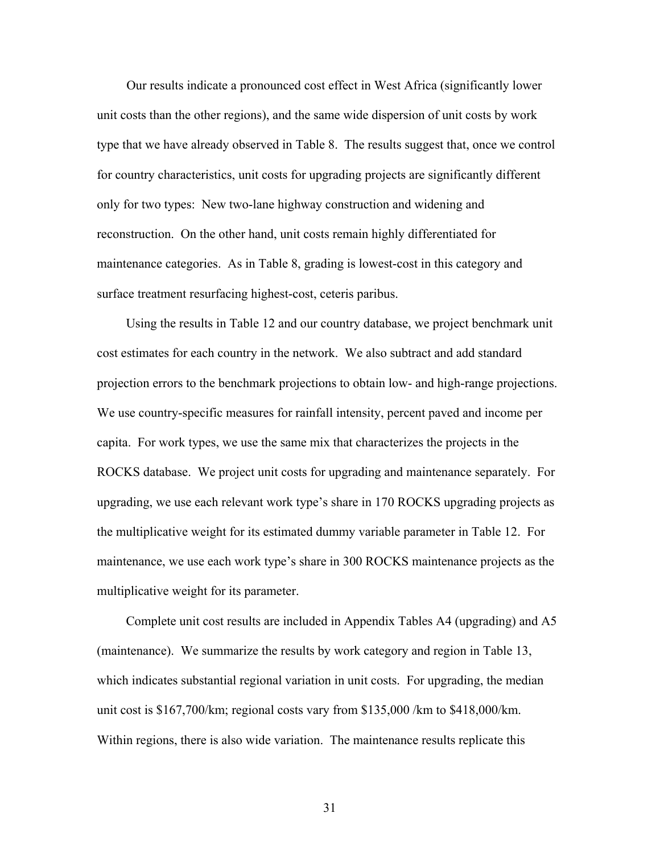Our results indicate a pronounced cost effect in West Africa (significantly lower unit costs than the other regions), and the same wide dispersion of unit costs by work type that we have already observed in Table 8. The results suggest that, once we control for country characteristics, unit costs for upgrading projects are significantly different only for two types: New two-lane highway construction and widening and reconstruction. On the other hand, unit costs remain highly differentiated for maintenance categories. As in Table 8, grading is lowest-cost in this category and surface treatment resurfacing highest-cost, ceteris paribus.

Using the results in Table 12 and our country database, we project benchmark unit cost estimates for each country in the network. We also subtract and add standard projection errors to the benchmark projections to obtain low- and high-range projections. We use country-specific measures for rainfall intensity, percent paved and income per capita. For work types, we use the same mix that characterizes the projects in the ROCKS database. We project unit costs for upgrading and maintenance separately. For upgrading, we use each relevant work type's share in 170 ROCKS upgrading projects as the multiplicative weight for its estimated dummy variable parameter in Table 12. For maintenance, we use each work type's share in 300 ROCKS maintenance projects as the multiplicative weight for its parameter.

 Complete unit cost results are included in Appendix Tables A4 (upgrading) and A5 (maintenance). We summarize the results by work category and region in Table 13, which indicates substantial regional variation in unit costs. For upgrading, the median unit cost is \$167,700/km; regional costs vary from \$135,000 /km to \$418,000/km. Within regions, there is also wide variation. The maintenance results replicate this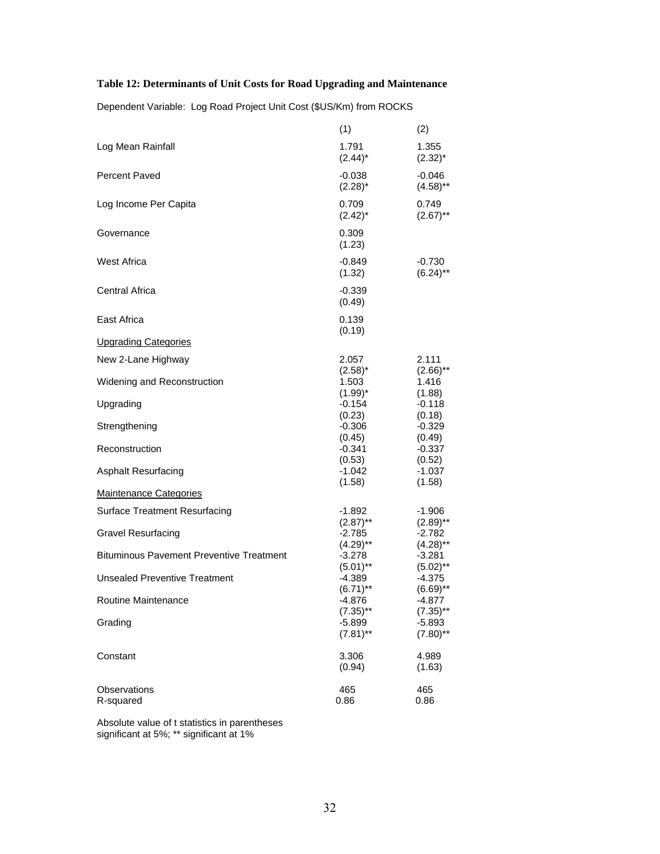## **Table 12: Determinants of Unit Costs for Road Upgrading and Maintenance**

Dependent Variable: Log Road Project Unit Cost (\$US/Km) from ROCKS

|                                                 | (1)                              | (2)                             |
|-------------------------------------------------|----------------------------------|---------------------------------|
| Log Mean Rainfall                               | 1.791<br>$(2.44)^*$              | 1.355<br>$(2.32)^{*}$           |
| Percent Paved                                   | $-0.038$<br>$(2.28)^*$           | $-0.046$<br>$(4.58)$ **         |
| Log Income Per Capita                           | 0.709<br>$(2.42)^*$              | 0.749<br>$(2.67)$ **            |
| Governance                                      | 0.309<br>(1.23)                  |                                 |
| <b>West Africa</b>                              | $-0.849$<br>(1.32)               | $-0.730$<br>$(6.24)$ **         |
| <b>Central Africa</b>                           | $-0.339$<br>(0.49)               |                                 |
| East Africa                                     | 0.139<br>(0.19)                  |                                 |
| <b>Upgrading Categories</b>                     |                                  |                                 |
| New 2-Lane Highway                              | 2.057<br>$(2.58)^*$              | 2.111<br>$(2.66)$ <sup>**</sup> |
| Widening and Reconstruction                     | 1.503                            | 1.416                           |
| Upgrading                                       | $(1.99)^*$<br>$-0.154$<br>(0.23) | (1.88)<br>$-0.118$<br>(0.18)    |
| Strengthening                                   | $-0.306$<br>(0.45)               | $-0.329$<br>(0.49)              |
| Reconstruction                                  | $-0.341$<br>(0.53)               | $-0.337$<br>(0.52)              |
| <b>Asphalt Resurfacing</b>                      | $-1.042$<br>(1.58)               | $-1.037$<br>(1.58)              |
| <b>Maintenance Categories</b>                   |                                  |                                 |
| <b>Surface Treatment Resurfacing</b>            | -1.892<br>$(2.87)$ **            | $-1.906$<br>$(2.89)$ **         |
| <b>Gravel Resurfacing</b>                       | -2.785<br>$(4.29)$ **            | $-2.782$<br>$(4.28)$ **         |
| <b>Bituminous Pavement Preventive Treatment</b> | $-3.278$<br>$(5.01)$ **          | $-3.281$<br>$(5.02)$ **         |
| <b>Unsealed Preventive Treatment</b>            | $-4.389$<br>$(6.71)$ **          | $-4.375$<br>$(6.69)$ **         |
| Routine Maintenance                             | -4.876<br>$(7.35)$ **            | $-4.877$<br>$(7.35)$ **         |
| Grading                                         | $-5.899$<br>$(7.81)$ **          | $-5.893$<br>$(7.80)$ **         |
| Constant                                        | 3.306<br>(0.94)                  | 4.989<br>(1.63)                 |
| Observations<br>R-squared                       | 465<br>0.86                      | 465<br>0.86                     |

Absolute value of t statistics in parentheses significant at 5%; \*\* significant at 1%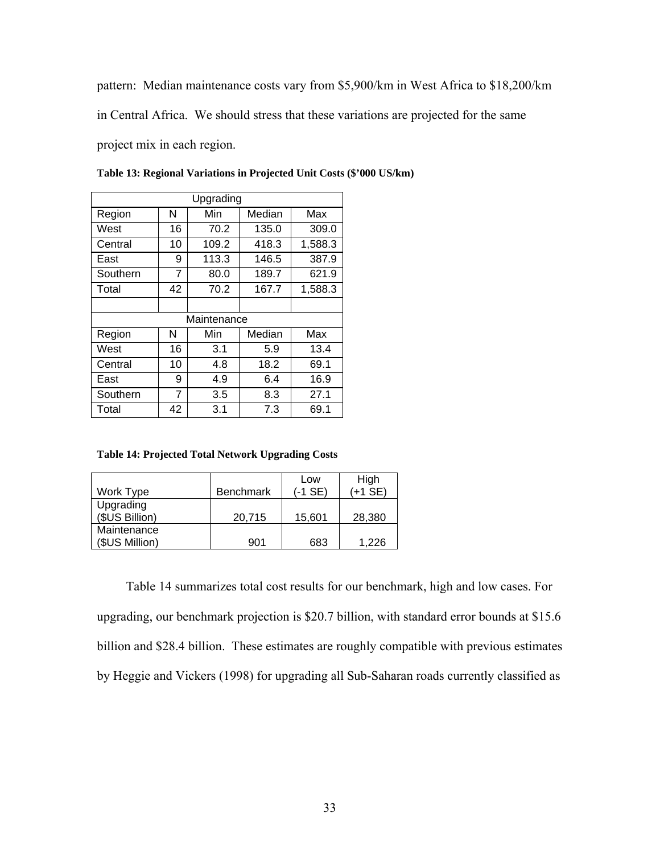pattern: Median maintenance costs vary from \$5,900/km in West Africa to \$18,200/km

in Central Africa. We should stress that these variations are projected for the same

project mix in each region.

| Upgrading |                |             |        |         |  |  |  |
|-----------|----------------|-------------|--------|---------|--|--|--|
| Region    | N              | Min         | Median | Max     |  |  |  |
| West      | 16             | 70.2        | 135.0  | 309.0   |  |  |  |
| Central   | 10             | 109.2       | 418.3  | 1,588.3 |  |  |  |
| East      | 9              | 113.3       | 146.5  | 387.9   |  |  |  |
| Southern  | 7              | 80.0        | 189.7  | 621.9   |  |  |  |
| Total     | 42             | 70.2        | 167.7  | 1,588.3 |  |  |  |
|           |                |             |        |         |  |  |  |
|           |                | Maintenance |        |         |  |  |  |
| Region    | N              | Min         | Median | Max     |  |  |  |
| West      | 16             | 3.1         | 5.9    | 13.4    |  |  |  |
| Central   | 10             | 4.8         | 18.2   | 69.1    |  |  |  |
| East      | 9              | 4.9         | 6.4    | 16.9    |  |  |  |
| Southern  | $\overline{7}$ | 3.5         | 8.3    | 27.1    |  |  |  |
| Total     | 42             | 3.1         | 7.3    | 69.1    |  |  |  |

**Table 13: Regional Variations in Projected Unit Costs (\$'000 US/km)** 

**Table 14: Projected Total Network Upgrading Costs** 

| Work Type                     | <b>Benchmark</b> | Low<br>(-1 SE) | High<br>(+1 SE) |
|-------------------------------|------------------|----------------|-----------------|
| Upgrading<br>(\$US Billion)   | 20,715           | 15,601         | 28,380          |
| Maintenance<br>(\$US Million) | 901              | 683            | 1.226           |

Table 14 summarizes total cost results for our benchmark, high and low cases. For upgrading, our benchmark projection is \$20.7 billion, with standard error bounds at \$15.6 billion and \$28.4 billion. These estimates are roughly compatible with previous estimates by Heggie and Vickers (1998) for upgrading all Sub-Saharan roads currently classified as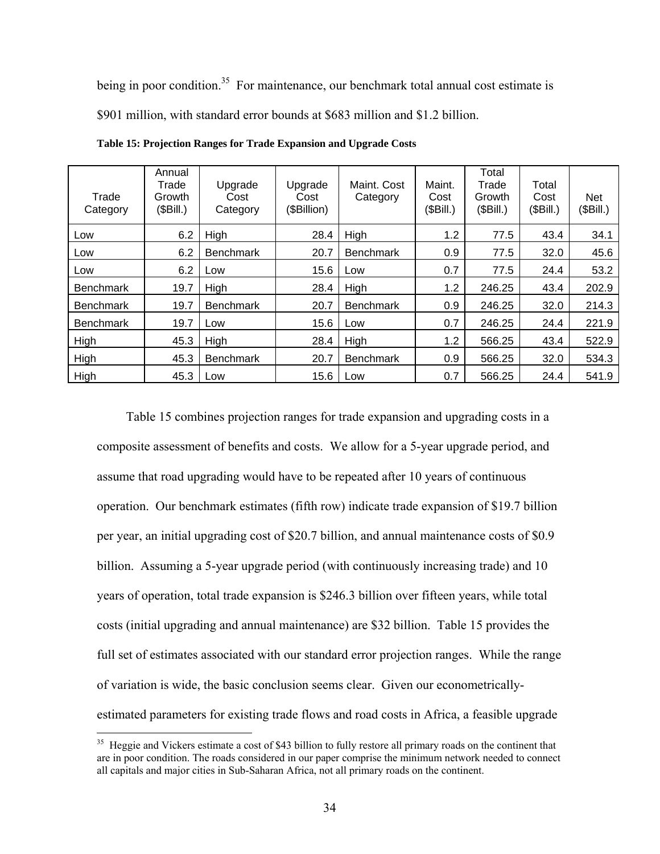being in poor condition.<sup>35</sup> For maintenance, our benchmark total annual cost estimate is \$901 million, with standard error bounds at \$683 million and \$1.2 billion.

| Trade<br>Category | Annual<br>Trade<br>Growth<br>(SBill.) | Upgrade<br>Cost<br>Category | Upgrade<br>Cost<br>(\$Billion) | Maint. Cost<br>Category | Maint.<br>Cost<br>(\$Bill.) | Total<br>Trade<br>Growth<br>(SBill.) | Total<br>Cost<br>(SBill.) | Net<br>(\$Bill.) |
|-------------------|---------------------------------------|-----------------------------|--------------------------------|-------------------------|-----------------------------|--------------------------------------|---------------------------|------------------|
| Low               | 6.2                                   | High                        | 28.4                           | High                    | 1.2                         | 77.5                                 | 43.4                      | 34.1             |
| Low               | 6.2                                   | <b>Benchmark</b>            | 20.7                           | <b>Benchmark</b>        | 0.9                         | 77.5                                 | 32.0                      | 45.6             |
| Low               | 6.2                                   | Low                         | 15.6                           | Low                     | 0.7                         | 77.5                                 | 24.4                      | 53.2             |
| <b>Benchmark</b>  | 19.7                                  | High                        | 28.4                           | High                    | 1.2                         | 246.25                               | 43.4                      | 202.9            |
| <b>Benchmark</b>  | 19.7                                  | <b>Benchmark</b>            | 20.7                           | <b>Benchmark</b>        | 0.9                         | 246.25                               | 32.0                      | 214.3            |
| <b>Benchmark</b>  | 19.7                                  | Low                         | 15.6                           | Low                     | 0.7                         | 246.25                               | 24.4                      | 221.9            |
| High              | 45.3                                  | High                        | 28.4                           | High                    | 1.2                         | 566.25                               | 43.4                      | 522.9            |
| High              | 45.3                                  | <b>Benchmark</b>            | 20.7                           | <b>Benchmark</b>        | 0.9                         | 566.25                               | 32.0                      | 534.3            |
| High              | 45.3                                  | Low                         | 15.6                           | Low                     | 0.7                         | 566.25                               | 24.4                      | 541.9            |

**Table 15: Projection Ranges for Trade Expansion and Upgrade Costs** 

Table 15 combines projection ranges for trade expansion and upgrading costs in a composite assessment of benefits and costs. We allow for a 5-year upgrade period, and assume that road upgrading would have to be repeated after 10 years of continuous operation. Our benchmark estimates (fifth row) indicate trade expansion of \$19.7 billion per year, an initial upgrading cost of \$20.7 billion, and annual maintenance costs of \$0.9 billion. Assuming a 5-year upgrade period (with continuously increasing trade) and 10 years of operation, total trade expansion is \$246.3 billion over fifteen years, while total costs (initial upgrading and annual maintenance) are \$32 billion. Table 15 provides the full set of estimates associated with our standard error projection ranges. While the range of variation is wide, the basic conclusion seems clear. Given our econometricallyestimated parameters for existing trade flows and road costs in Africa, a feasible upgrade

 $\overline{a}$ 

<sup>&</sup>lt;sup>35</sup> Heggie and Vickers estimate a cost of \$43 billion to fully restore all primary roads on the continent that are in poor condition. The roads considered in our paper comprise the minimum network needed to connect all capitals and major cities in Sub-Saharan Africa, not all primary roads on the continent.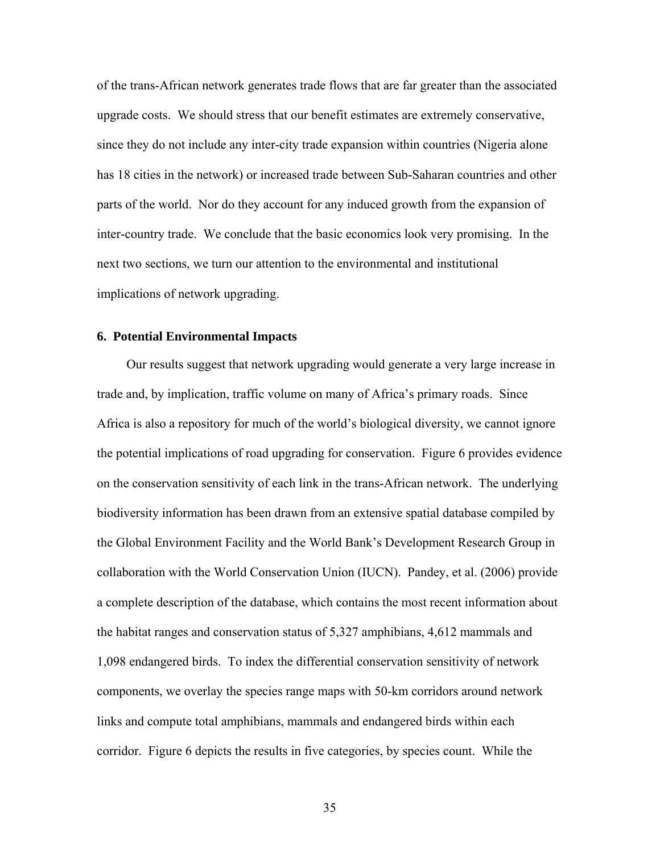of the trans-African network generates trade flows that are far greater than the associated upgrade costs. We should stress that our benefit estimates are extremely conservative, since they do not include any inter-city trade expansion within countries (Nigeria alone has 18 cities in the network) or increased trade between Sub-Saharan countries and other parts of the world. Nor do they account for any induced growth from the expansion of inter-country trade. We conclude that the basic economics look very promising. In the next two sections, we turn our attention to the environmental and institutional implications of network upgrading.

## **6. Potential Environmental Impacts**

Our results suggest that network upgrading would generate a very large increase in trade and, by implication, traffic volume on many of Africa's primary roads. Since Africa is also a repository for much of the world's biological diversity, we cannot ignore the potential implications of road upgrading for conservation. Figure 6 provides evidence on the conservation sensitivity of each link in the trans-African network. The underlying biodiversity information has been drawn from an extensive spatial database compiled by the Global Environment Facility and the World Bank's Development Research Group in collaboration with the World Conservation Union (IUCN). Pandey, et al. (2006) provide a complete description of the database, which contains the most recent information about the habitat ranges and conservation status of 5,327 amphibians, 4,612 mammals and 1,098 endangered birds. To index the differential conservation sensitivity of network components, we overlay the species range maps with 50-km corridors around network links and compute total amphibians, mammals and endangered birds within each corridor. Figure 6 depicts the results in five categories, by species count. While the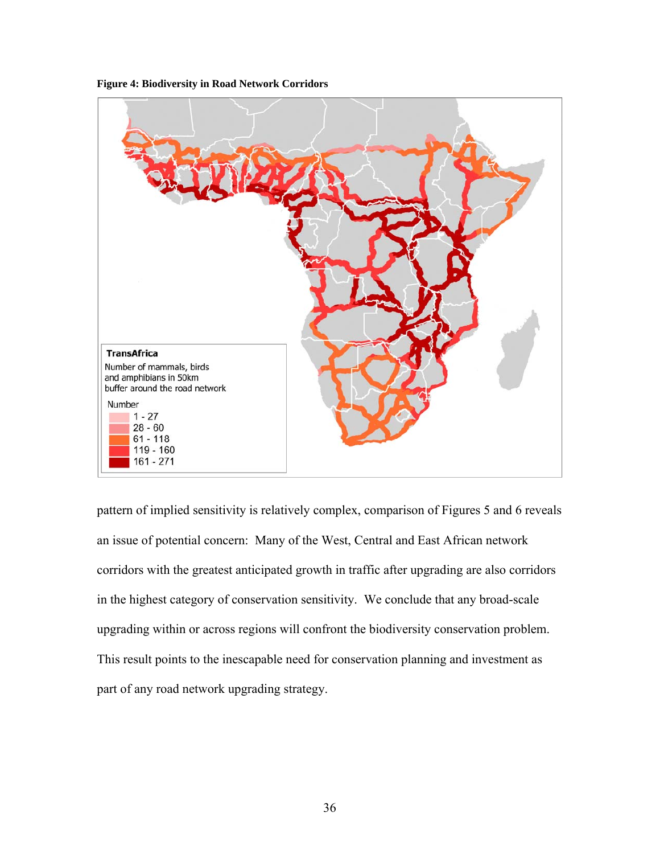



pattern of implied sensitivity is relatively complex, comparison of Figures 5 and 6 reveals an issue of potential concern: Many of the West, Central and East African network corridors with the greatest anticipated growth in traffic after upgrading are also corridors in the highest category of conservation sensitivity. We conclude that any broad-scale upgrading within or across regions will confront the biodiversity conservation problem. This result points to the inescapable need for conservation planning and investment as part of any road network upgrading strategy.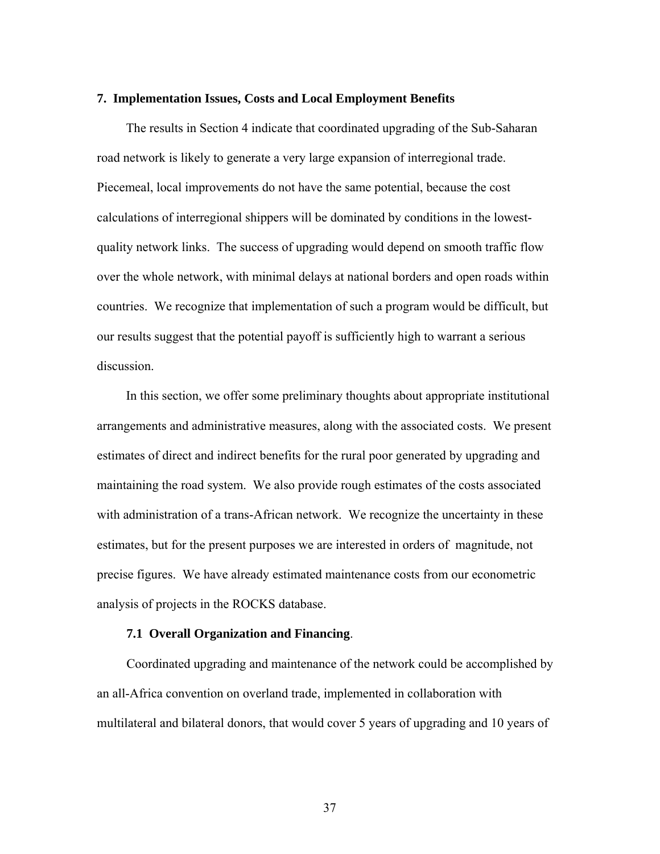#### **7. Implementation Issues, Costs and Local Employment Benefits**

The results in Section 4 indicate that coordinated upgrading of the Sub-Saharan road network is likely to generate a very large expansion of interregional trade. Piecemeal, local improvements do not have the same potential, because the cost calculations of interregional shippers will be dominated by conditions in the lowestquality network links. The success of upgrading would depend on smooth traffic flow over the whole network, with minimal delays at national borders and open roads within countries. We recognize that implementation of such a program would be difficult, but our results suggest that the potential payoff is sufficiently high to warrant a serious discussion.

In this section, we offer some preliminary thoughts about appropriate institutional arrangements and administrative measures, along with the associated costs. We present estimates of direct and indirect benefits for the rural poor generated by upgrading and maintaining the road system. We also provide rough estimates of the costs associated with administration of a trans-African network. We recognize the uncertainty in these estimates, but for the present purposes we are interested in orders of magnitude, not precise figures. We have already estimated maintenance costs from our econometric analysis of projects in the ROCKS database.

## **7.1 Overall Organization and Financing**.

Coordinated upgrading and maintenance of the network could be accomplished by an all-Africa convention on overland trade, implemented in collaboration with multilateral and bilateral donors, that would cover 5 years of upgrading and 10 years of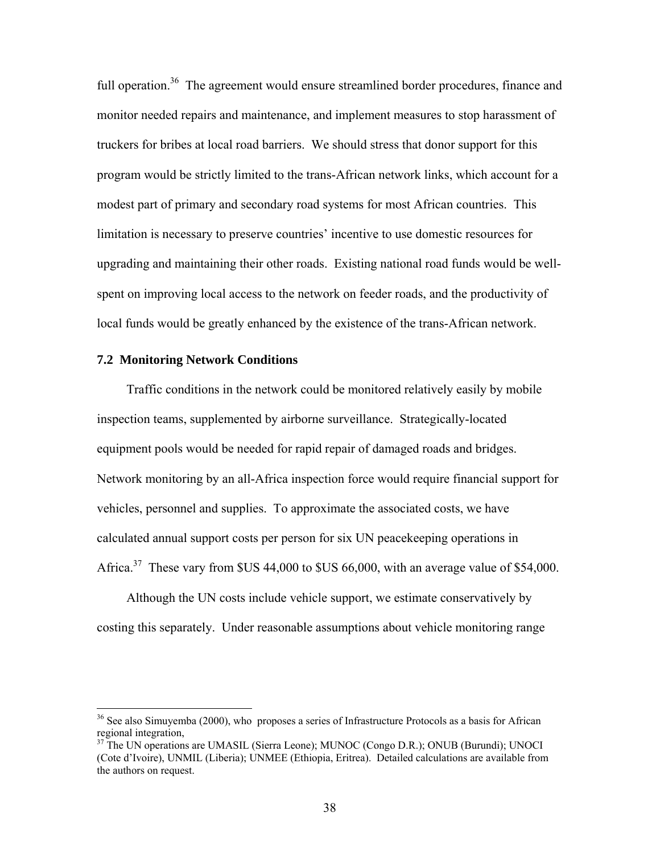full operation.<sup>36</sup> The agreement would ensure streamlined border procedures, finance and monitor needed repairs and maintenance, and implement measures to stop harassment of truckers for bribes at local road barriers. We should stress that donor support for this program would be strictly limited to the trans-African network links, which account for a modest part of primary and secondary road systems for most African countries. This limitation is necessary to preserve countries' incentive to use domestic resources for upgrading and maintaining their other roads. Existing national road funds would be wellspent on improving local access to the network on feeder roads, and the productivity of local funds would be greatly enhanced by the existence of the trans-African network.

#### **7.2 Monitoring Network Conditions**

1

Traffic conditions in the network could be monitored relatively easily by mobile inspection teams, supplemented by airborne surveillance. Strategically-located equipment pools would be needed for rapid repair of damaged roads and bridges. Network monitoring by an all-Africa inspection force would require financial support for vehicles, personnel and supplies. To approximate the associated costs, we have calculated annual support costs per person for six UN peacekeeping operations in Africa.<sup>37</sup> These vary from \$US 44,000 to \$US 66,000, with an average value of \$54,000.

Although the UN costs include vehicle support, we estimate conservatively by costing this separately. Under reasonable assumptions about vehicle monitoring range

 $36$  See also Simuyemba (2000), who proposes a series of Infrastructure Protocols as a basis for African regional integration,

<sup>&</sup>lt;sup>37</sup> The UN operations are UMASIL (Sierra Leone); MUNOC (Congo D.R.); ONUB (Burundi); UNOCI (Cote d'Ivoire), UNMIL (Liberia); UNMEE (Ethiopia, Eritrea). Detailed calculations are available from the authors on request.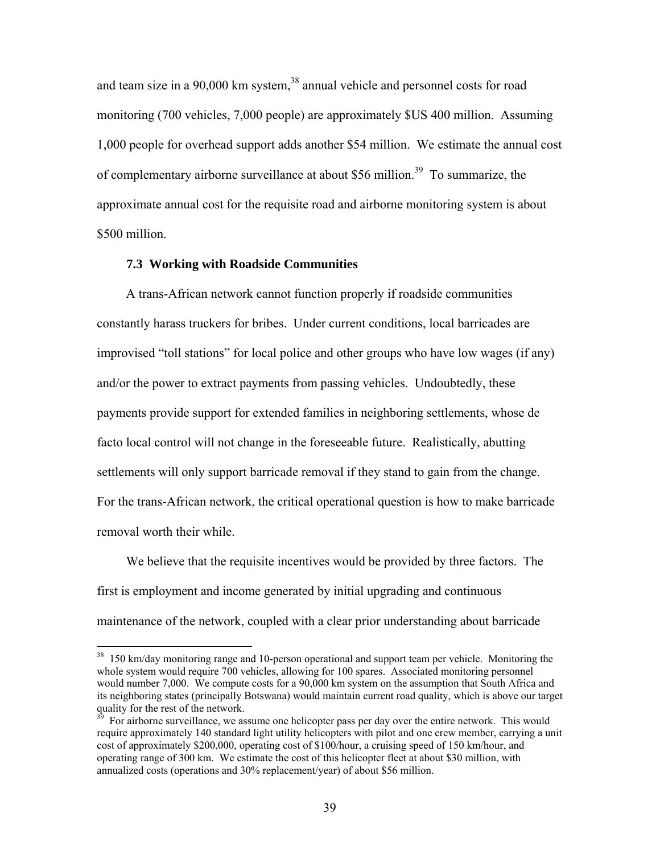and team size in a 90,000 km system,<sup>38</sup> annual vehicle and personnel costs for road monitoring (700 vehicles, 7,000 people) are approximately \$US 400 million. Assuming 1,000 people for overhead support adds another \$54 million. We estimate the annual cost of complementary airborne surveillance at about \$56 million.<sup>39</sup> To summarize, the approximate annual cost for the requisite road and airborne monitoring system is about \$500 million.

#### **7.3 Working with Roadside Communities**

 $\overline{a}$ 

A trans-African network cannot function properly if roadside communities constantly harass truckers for bribes. Under current conditions, local barricades are improvised "toll stations" for local police and other groups who have low wages (if any) and/or the power to extract payments from passing vehicles. Undoubtedly, these payments provide support for extended families in neighboring settlements, whose de facto local control will not change in the foreseeable future. Realistically, abutting settlements will only support barricade removal if they stand to gain from the change. For the trans-African network, the critical operational question is how to make barricade removal worth their while.

We believe that the requisite incentives would be provided by three factors. The first is employment and income generated by initial upgrading and continuous maintenance of the network, coupled with a clear prior understanding about barricade

<sup>&</sup>lt;sup>38</sup> 150 km/day monitoring range and 10-person operational and support team per vehicle. Monitoring the whole system would require 700 vehicles, allowing for 100 spares. Associated monitoring personnel would number 7,000. We compute costs for a 90,000 km system on the assumption that South Africa and its neighboring states (principally Botswana) would maintain current road quality, which is above our target quality for the rest of the network.

<sup>39</sup> For airborne surveillance, we assume one helicopter pass per day over the entire network. This would require approximately 140 standard light utility helicopters with pilot and one crew member, carrying a unit cost of approximately \$200,000, operating cost of \$100/hour, a cruising speed of 150 km/hour, and operating range of 300 km. We estimate the cost of this helicopter fleet at about \$30 million, with annualized costs (operations and 30% replacement/year) of about \$56 million.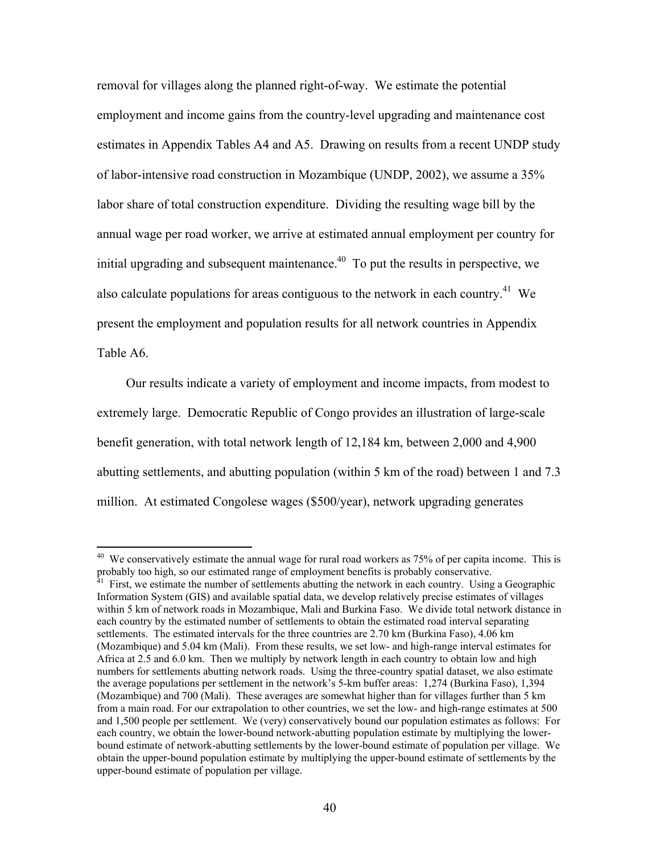removal for villages along the planned right-of-way. We estimate the potential employment and income gains from the country-level upgrading and maintenance cost estimates in Appendix Tables A4 and A5. Drawing on results from a recent UNDP study of labor-intensive road construction in Mozambique (UNDP, 2002), we assume a 35% labor share of total construction expenditure. Dividing the resulting wage bill by the annual wage per road worker, we arrive at estimated annual employment per country for initial upgrading and subsequent maintenance.<sup> $40$ </sup> To put the results in perspective, we also calculate populations for areas contiguous to the network in each country.<sup>41</sup> We present the employment and population results for all network countries in Appendix Table A6.

Our results indicate a variety of employment and income impacts, from modest to extremely large. Democratic Republic of Congo provides an illustration of large-scale benefit generation, with total network length of 12,184 km, between 2,000 and 4,900 abutting settlements, and abutting population (within 5 km of the road) between 1 and 7.3 million. At estimated Congolese wages (\$500/year), network upgrading generates

 $40\,$ We conservatively estimate the annual wage for rural road workers as 75% of per capita income. This is probably too high, so our estimated range of employment benefits is probably conservative.

<sup>41</sup> First, we estimate the number of settlements abutting the network in each country. Using a Geographic Information System (GIS) and available spatial data, we develop relatively precise estimates of villages within 5 km of network roads in Mozambique, Mali and Burkina Faso. We divide total network distance in each country by the estimated number of settlements to obtain the estimated road interval separating settlements. The estimated intervals for the three countries are 2.70 km (Burkina Faso), 4.06 km (Mozambique) and 5.04 km (Mali). From these results, we set low- and high-range interval estimates for Africa at 2.5 and 6.0 km. Then we multiply by network length in each country to obtain low and high numbers for settlements abutting network roads. Using the three-country spatial dataset, we also estimate the average populations per settlement in the network's 5-km buffer areas: 1,274 (Burkina Faso), 1,394 (Mozambique) and 700 (Mali). These averages are somewhat higher than for villages further than 5 km from a main road. For our extrapolation to other countries, we set the low- and high-range estimates at 500 and 1,500 people per settlement. We (very) conservatively bound our population estimates as follows: For each country, we obtain the lower-bound network-abutting population estimate by multiplying the lowerbound estimate of network-abutting settlements by the lower-bound estimate of population per village. We obtain the upper-bound population estimate by multiplying the upper-bound estimate of settlements by the upper-bound estimate of population per village.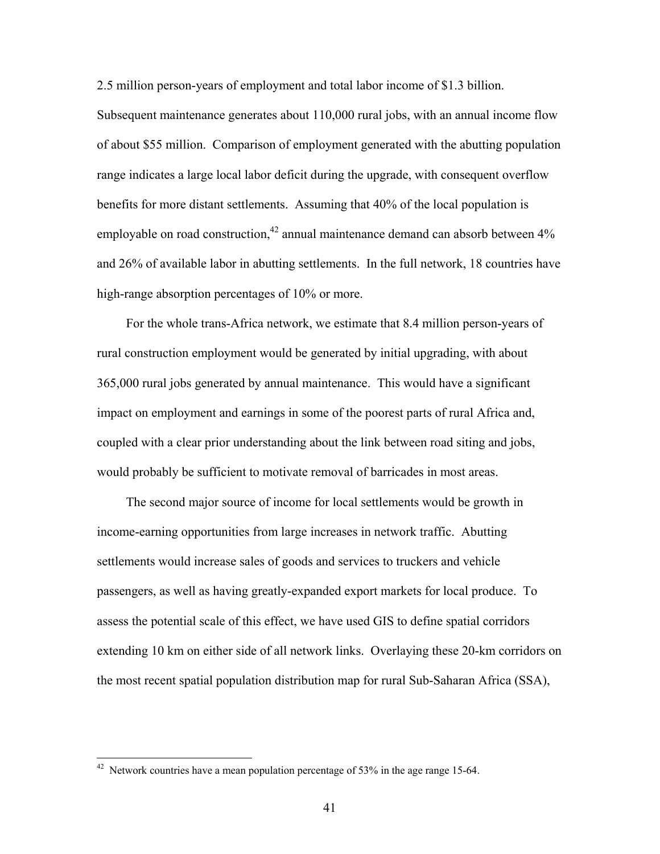2.5 million person-years of employment and total labor income of \$1.3 billion.

Subsequent maintenance generates about 110,000 rural jobs, with an annual income flow of about \$55 million. Comparison of employment generated with the abutting population range indicates a large local labor deficit during the upgrade, with consequent overflow benefits for more distant settlements. Assuming that 40% of the local population is employable on road construction, $42$  annual maintenance demand can absorb between  $4\%$ and 26% of available labor in abutting settlements. In the full network, 18 countries have high-range absorption percentages of 10% or more.

For the whole trans-Africa network, we estimate that 8.4 million person-years of rural construction employment would be generated by initial upgrading, with about 365,000 rural jobs generated by annual maintenance. This would have a significant impact on employment and earnings in some of the poorest parts of rural Africa and, coupled with a clear prior understanding about the link between road siting and jobs, would probably be sufficient to motivate removal of barricades in most areas.

The second major source of income for local settlements would be growth in income-earning opportunities from large increases in network traffic. Abutting settlements would increase sales of goods and services to truckers and vehicle passengers, as well as having greatly-expanded export markets for local produce. To assess the potential scale of this effect, we have used GIS to define spatial corridors extending 10 km on either side of all network links. Overlaying these 20-km corridors on the most recent spatial population distribution map for rural Sub-Saharan Africa (SSA),

 $\overline{a}$ 

<sup>&</sup>lt;sup>42</sup> Network countries have a mean population percentage of 53% in the age range 15-64.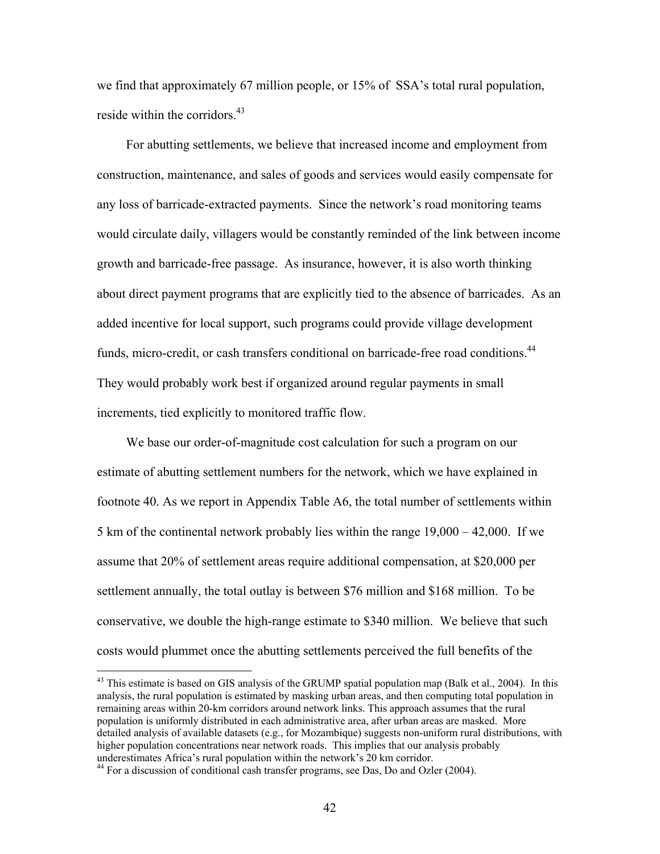we find that approximately 67 million people, or 15% of SSA's total rural population, reside within the corridors.<sup>43</sup>

For abutting settlements, we believe that increased income and employment from construction, maintenance, and sales of goods and services would easily compensate for any loss of barricade-extracted payments. Since the network's road monitoring teams would circulate daily, villagers would be constantly reminded of the link between income growth and barricade-free passage. As insurance, however, it is also worth thinking about direct payment programs that are explicitly tied to the absence of barricades. As an added incentive for local support, such programs could provide village development funds, micro-credit, or cash transfers conditional on barricade-free road conditions.<sup>44</sup> They would probably work best if organized around regular payments in small increments, tied explicitly to monitored traffic flow.

We base our order-of-magnitude cost calculation for such a program on our estimate of abutting settlement numbers for the network, which we have explained in footnote 40. As we report in Appendix Table A6, the total number of settlements within 5 km of the continental network probably lies within the range 19,000 – 42,000. If we assume that 20% of settlement areas require additional compensation, at \$20,000 per settlement annually, the total outlay is between \$76 million and \$168 million. To be conservative, we double the high-range estimate to \$340 million. We believe that such costs would plummet once the abutting settlements perceived the full benefits of the

 $\overline{a}$ 

<sup>&</sup>lt;sup>43</sup> This estimate is based on GIS analysis of the GRUMP spatial population map (Balk et al., 2004). In this analysis, the rural population is estimated by masking urban areas, and then computing total population in remaining areas within 20-km corridors around network links. This approach assumes that the rural population is uniformly distributed in each administrative area, after urban areas are masked. More detailed analysis of available datasets (e.g., for Mozambique) suggests non-uniform rural distributions, with higher population concentrations near network roads. This implies that our analysis probably underestimates Africa's rural population within the network's 20 km corridor.

 $44$  For a discussion of conditional cash transfer programs, see Das, Do and Ozler (2004).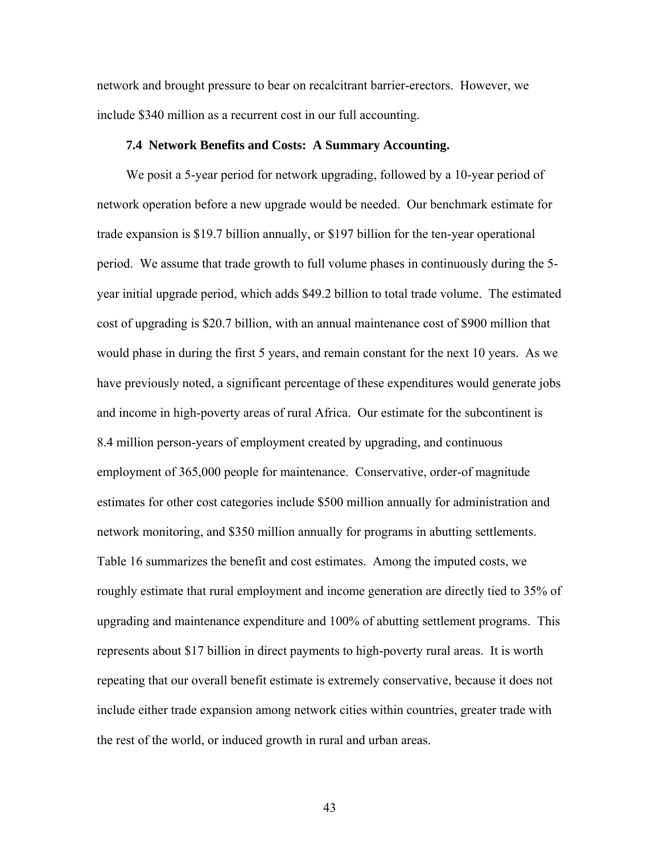network and brought pressure to bear on recalcitrant barrier-erectors. However, we include \$340 million as a recurrent cost in our full accounting.

## **7.4 Network Benefits and Costs: A Summary Accounting.**

We posit a 5-year period for network upgrading, followed by a 10-year period of network operation before a new upgrade would be needed. Our benchmark estimate for trade expansion is \$19.7 billion annually, or \$197 billion for the ten-year operational period. We assume that trade growth to full volume phases in continuously during the 5 year initial upgrade period, which adds \$49.2 billion to total trade volume. The estimated cost of upgrading is \$20.7 billion, with an annual maintenance cost of \$900 million that would phase in during the first 5 years, and remain constant for the next 10 years. As we have previously noted, a significant percentage of these expenditures would generate jobs and income in high-poverty areas of rural Africa. Our estimate for the subcontinent is 8.4 million person-years of employment created by upgrading, and continuous employment of 365,000 people for maintenance. Conservative, order-of magnitude estimates for other cost categories include \$500 million annually for administration and network monitoring, and \$350 million annually for programs in abutting settlements. Table 16 summarizes the benefit and cost estimates. Among the imputed costs, we roughly estimate that rural employment and income generation are directly tied to 35% of upgrading and maintenance expenditure and 100% of abutting settlement programs. This represents about \$17 billion in direct payments to high-poverty rural areas. It is worth repeating that our overall benefit estimate is extremely conservative, because it does not include either trade expansion among network cities within countries, greater trade with the rest of the world, or induced growth in rural and urban areas.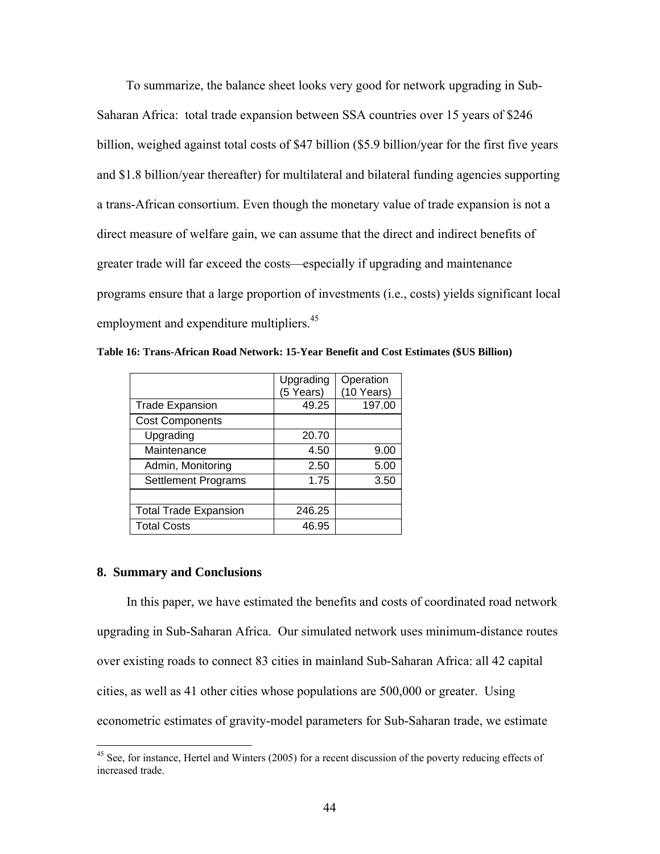To summarize, the balance sheet looks very good for network upgrading in Sub-Saharan Africa: total trade expansion between SSA countries over 15 years of \$246 billion, weighed against total costs of \$47 billion (\$5.9 billion/year for the first five years and \$1.8 billion/year thereafter) for multilateral and bilateral funding agencies supporting a trans-African consortium. Even though the monetary value of trade expansion is not a direct measure of welfare gain, we can assume that the direct and indirect benefits of greater trade will far exceed the costs—especially if upgrading and maintenance programs ensure that a large proportion of investments (i.e., costs) yields significant local employment and expenditure multipliers.<sup>45</sup>

|                              | Upgrading | Operation  |
|------------------------------|-----------|------------|
|                              | (5 Years) | (10 Years) |
| <b>Trade Expansion</b>       | 49.25     | 197.00     |
| <b>Cost Components</b>       |           |            |
| Upgrading                    | 20.70     |            |
| Maintenance                  | 4.50      | 9.00       |
| Admin, Monitoring            | 2.50      | 5.00       |
| <b>Settlement Programs</b>   | 1.75      | 3.50       |
|                              |           |            |
| <b>Total Trade Expansion</b> | 246.25    |            |
| <b>Total Costs</b>           | 46.95     |            |

**Table 16: Trans-African Road Network: 15-Year Benefit and Cost Estimates (\$US Billion)** 

#### **8. Summary and Conclusions**

1

In this paper, we have estimated the benefits and costs of coordinated road network upgrading in Sub-Saharan Africa. Our simulated network uses minimum-distance routes over existing roads to connect 83 cities in mainland Sub-Saharan Africa: all 42 capital cities, as well as 41 other cities whose populations are 500,000 or greater. Using econometric estimates of gravity-model parameters for Sub-Saharan trade, we estimate

<sup>&</sup>lt;sup>45</sup> See, for instance, Hertel and Winters (2005) for a recent discussion of the poverty reducing effects of increased trade.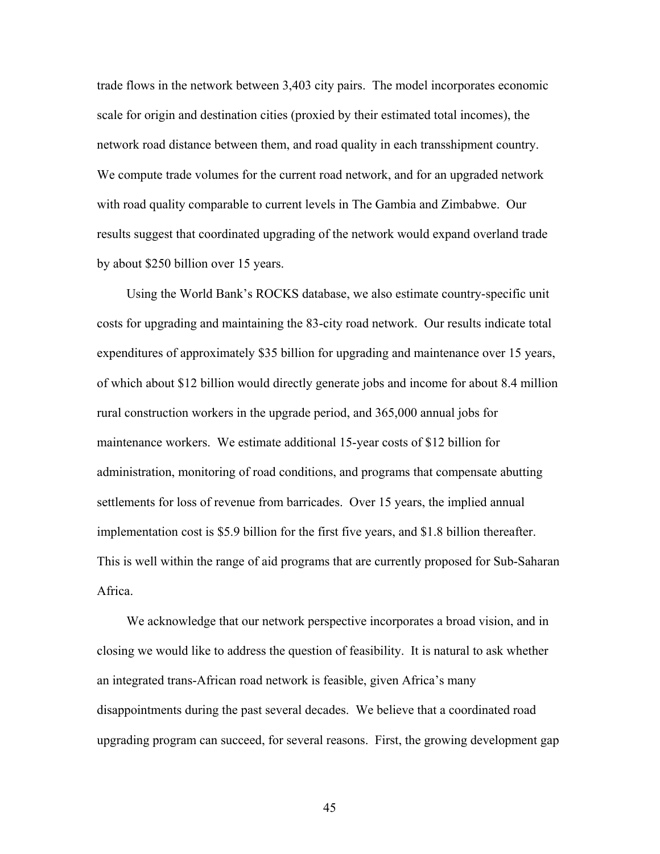trade flows in the network between 3,403 city pairs. The model incorporates economic scale for origin and destination cities (proxied by their estimated total incomes), the network road distance between them, and road quality in each transshipment country. We compute trade volumes for the current road network, and for an upgraded network with road quality comparable to current levels in The Gambia and Zimbabwe. Our results suggest that coordinated upgrading of the network would expand overland trade by about \$250 billion over 15 years.

Using the World Bank's ROCKS database, we also estimate country-specific unit costs for upgrading and maintaining the 83-city road network. Our results indicate total expenditures of approximately \$35 billion for upgrading and maintenance over 15 years, of which about \$12 billion would directly generate jobs and income for about 8.4 million rural construction workers in the upgrade period, and 365,000 annual jobs for maintenance workers. We estimate additional 15-year costs of \$12 billion for administration, monitoring of road conditions, and programs that compensate abutting settlements for loss of revenue from barricades. Over 15 years, the implied annual implementation cost is \$5.9 billion for the first five years, and \$1.8 billion thereafter. This is well within the range of aid programs that are currently proposed for Sub-Saharan Africa.

We acknowledge that our network perspective incorporates a broad vision, and in closing we would like to address the question of feasibility. It is natural to ask whether an integrated trans-African road network is feasible, given Africa's many disappointments during the past several decades. We believe that a coordinated road upgrading program can succeed, for several reasons. First, the growing development gap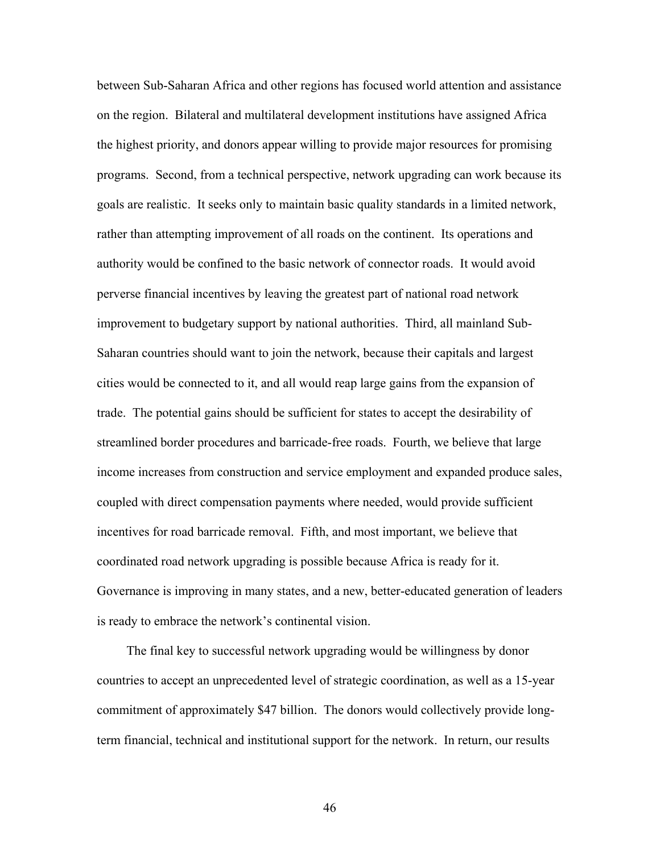between Sub-Saharan Africa and other regions has focused world attention and assistance on the region. Bilateral and multilateral development institutions have assigned Africa the highest priority, and donors appear willing to provide major resources for promising programs. Second, from a technical perspective, network upgrading can work because its goals are realistic. It seeks only to maintain basic quality standards in a limited network, rather than attempting improvement of all roads on the continent. Its operations and authority would be confined to the basic network of connector roads. It would avoid perverse financial incentives by leaving the greatest part of national road network improvement to budgetary support by national authorities. Third, all mainland Sub-Saharan countries should want to join the network, because their capitals and largest cities would be connected to it, and all would reap large gains from the expansion of trade. The potential gains should be sufficient for states to accept the desirability of streamlined border procedures and barricade-free roads. Fourth, we believe that large income increases from construction and service employment and expanded produce sales, coupled with direct compensation payments where needed, would provide sufficient incentives for road barricade removal. Fifth, and most important, we believe that coordinated road network upgrading is possible because Africa is ready for it. Governance is improving in many states, and a new, better-educated generation of leaders is ready to embrace the network's continental vision.

The final key to successful network upgrading would be willingness by donor countries to accept an unprecedented level of strategic coordination, as well as a 15-year commitment of approximately \$47 billion. The donors would collectively provide longterm financial, technical and institutional support for the network. In return, our results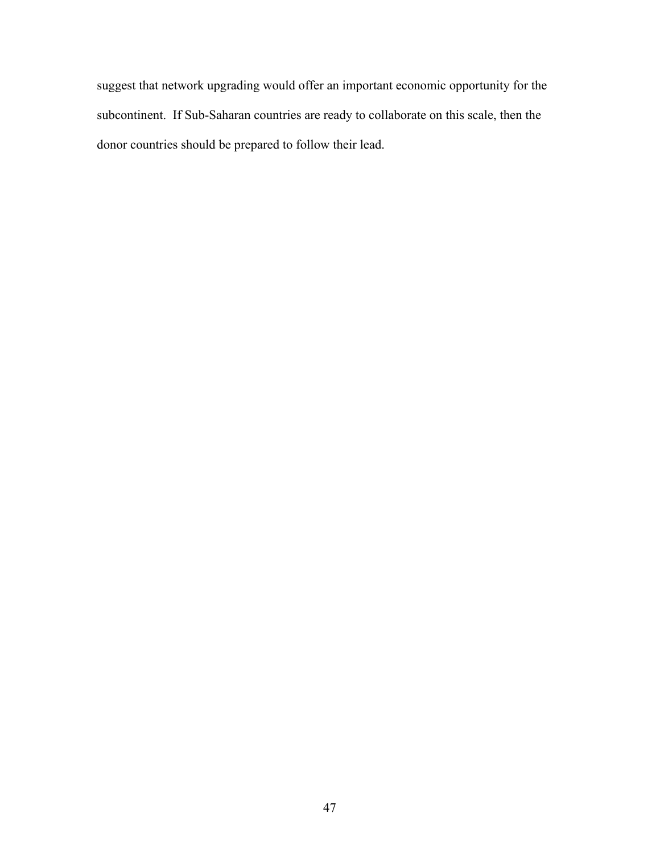suggest that network upgrading would offer an important economic opportunity for the subcontinent. If Sub-Saharan countries are ready to collaborate on this scale, then the donor countries should be prepared to follow their lead.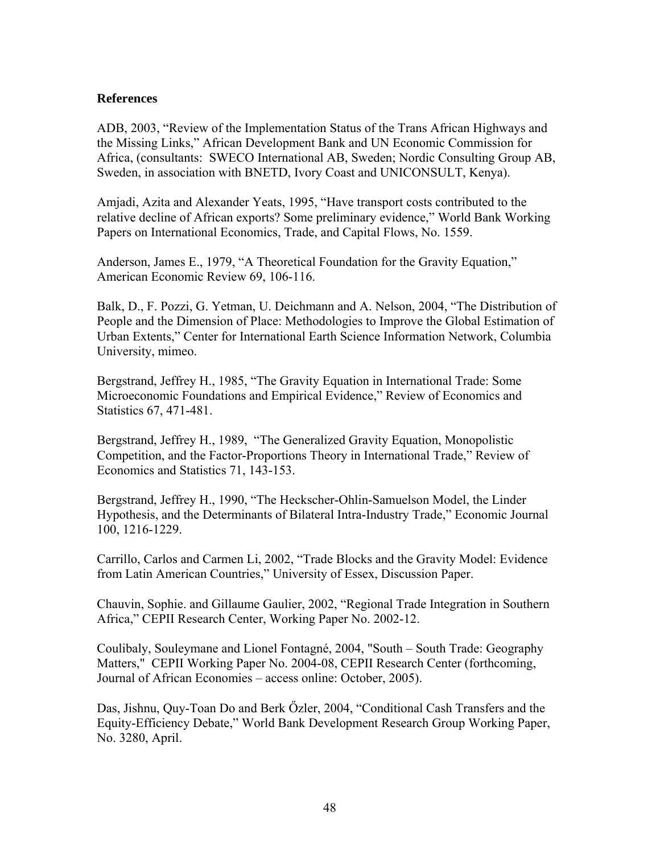## **References**

ADB, 2003, "Review of the Implementation Status of the Trans African Highways and the Missing Links," African Development Bank and UN Economic Commission for Africa, (consultants: SWECO International AB, Sweden; Nordic Consulting Group AB, Sweden, in association with BNETD, Ivory Coast and UNICONSULT, Kenya).

Amjadi, Azita and Alexander Yeats, 1995, "Have transport costs contributed to the relative decline of African exports? Some preliminary evidence," World Bank Working Papers on International Economics, Trade, and Capital Flows, No. 1559.

Anderson, James E., 1979, "A Theoretical Foundation for the Gravity Equation," American Economic Review 69, 106-116.

Balk, D., F. Pozzi, G. Yetman, U. Deichmann and A. Nelson, 2004, "The Distribution of People and the Dimension of Place: Methodologies to Improve the Global Estimation of Urban Extents," Center for International Earth Science Information Network, Columbia University, mimeo.

Bergstrand, Jeffrey H., 1985, "The Gravity Equation in International Trade: Some Microeconomic Foundations and Empirical Evidence," Review of Economics and Statistics 67, 471-481.

Bergstrand, Jeffrey H., 1989, "The Generalized Gravity Equation, Monopolistic Competition, and the Factor-Proportions Theory in International Trade," Review of Economics and Statistics 71, 143-153.

Bergstrand, Jeffrey H., 1990, "The Heckscher-Ohlin-Samuelson Model, the Linder Hypothesis, and the Determinants of Bilateral Intra-Industry Trade," Economic Journal 100, 1216-1229.

Carrillo, Carlos and Carmen Li, 2002, "Trade Blocks and the Gravity Model: Evidence from Latin American Countries," University of Essex, Discussion Paper.

Chauvin, Sophie. and Gillaume Gaulier, 2002, "Regional Trade Integration in Southern Africa," CEPII Research Center, Working Paper No. 2002-12.

Coulibaly, Souleymane and Lionel Fontagné, 2004, "South – South Trade: Geography Matters," CEPII Working Paper No. 2004-08, CEPII Research Center (forthcoming, Journal of African Economies – access online: October, 2005).

Das, Jishnu, Quy-Toan Do and Berk Őzler, 2004, "Conditional Cash Transfers and the Equity-Efficiency Debate," World Bank Development Research Group Working Paper, No. 3280, April.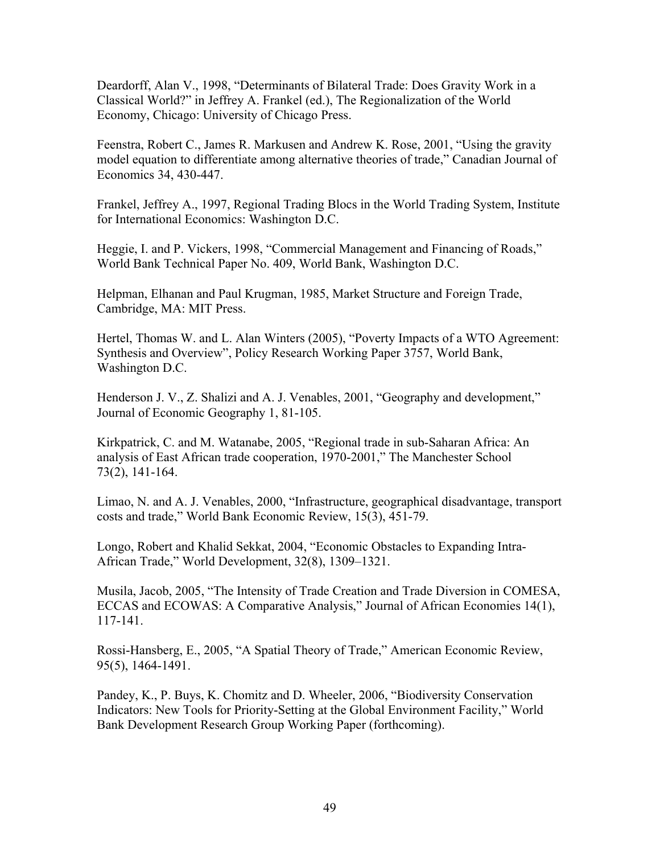Deardorff, Alan V., 1998, "Determinants of Bilateral Trade: Does Gravity Work in a Classical World?" in Jeffrey A. Frankel (ed.), The Regionalization of the World Economy, Chicago: University of Chicago Press.

Feenstra, Robert C., James R. Markusen and Andrew K. Rose, 2001, "Using the gravity model equation to differentiate among alternative theories of trade," Canadian Journal of Economics 34, 430-447.

Frankel, Jeffrey A., 1997, Regional Trading Blocs in the World Trading System, Institute for International Economics: Washington D.C.

Heggie, I. and P. Vickers, 1998, "Commercial Management and Financing of Roads," World Bank Technical Paper No. 409, World Bank, Washington D.C.

Helpman, Elhanan and Paul Krugman, 1985, Market Structure and Foreign Trade, Cambridge, MA: MIT Press.

Hertel, Thomas W. and L. Alan Winters (2005), "Poverty Impacts of a WTO Agreement: Synthesis and Overview", Policy Research Working Paper 3757, World Bank, Washington D.C.

Henderson J. V., Z. Shalizi and A. J. Venables, 2001, "Geography and development," Journal of Economic Geography 1, 81-105.

Kirkpatrick, C. and M. Watanabe, 2005, "Regional trade in sub-Saharan Africa: An analysis of East African trade cooperation, 1970-2001," The Manchester School 73(2), 141-164.

Limao, N. and A. J. Venables, 2000, "Infrastructure, geographical disadvantage, transport costs and trade," World Bank Economic Review, 15(3), 451-79.

Longo, Robert and Khalid Sekkat, 2004, "Economic Obstacles to Expanding Intra-African Trade," World Development, 32(8), 1309–1321.

Musila, Jacob, 2005, "The Intensity of Trade Creation and Trade Diversion in COMESA, ECCAS and ECOWAS: A Comparative Analysis," Journal of African Economies 14(1), 117-141.

Rossi-Hansberg, E., 2005, "A Spatial Theory of Trade," American Economic Review, 95(5), 1464-1491.

Pandey, K., P. Buys, K. Chomitz and D. Wheeler, 2006, "Biodiversity Conservation Indicators: New Tools for Priority-Setting at the Global Environment Facility," World Bank Development Research Group Working Paper (forthcoming).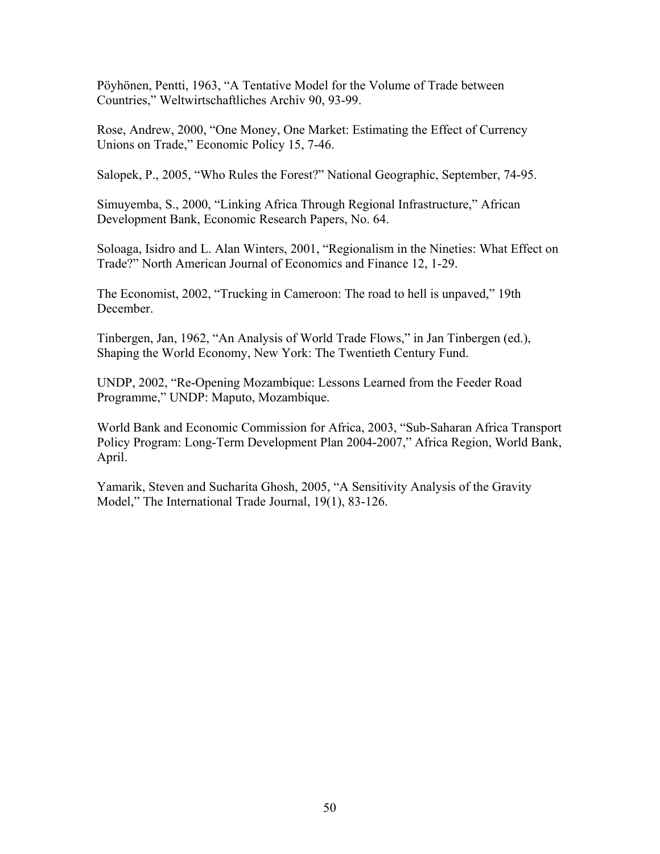Pöyhönen, Pentti, 1963, "A Tentative Model for the Volume of Trade between Countries," Weltwirtschaftliches Archiv 90, 93-99.

Rose, Andrew, 2000, "One Money, One Market: Estimating the Effect of Currency Unions on Trade," Economic Policy 15, 7-46.

Salopek, P., 2005, "Who Rules the Forest?" National Geographic, September, 74-95.

Simuyemba, S., 2000, "Linking Africa Through Regional Infrastructure," African Development Bank, Economic Research Papers, No. 64.

Soloaga, Isidro and L. Alan Winters, 2001, "Regionalism in the Nineties: What Effect on Trade?" North American Journal of Economics and Finance 12, 1-29.

The Economist, 2002, "Trucking in Cameroon: The road to hell is unpaved," 19th December.

Tinbergen, Jan, 1962, "An Analysis of World Trade Flows," in Jan Tinbergen (ed.), Shaping the World Economy, New York: The Twentieth Century Fund.

UNDP, 2002, "Re-Opening Mozambique: Lessons Learned from the Feeder Road Programme," UNDP: Maputo, Mozambique.

World Bank and Economic Commission for Africa, 2003, "Sub-Saharan Africa Transport Policy Program: Long-Term Development Plan 2004-2007," Africa Region, World Bank, April.

Yamarik, Steven and Sucharita Ghosh, 2005, "A Sensitivity Analysis of the Gravity Model," The International Trade Journal, 19(1), 83-126.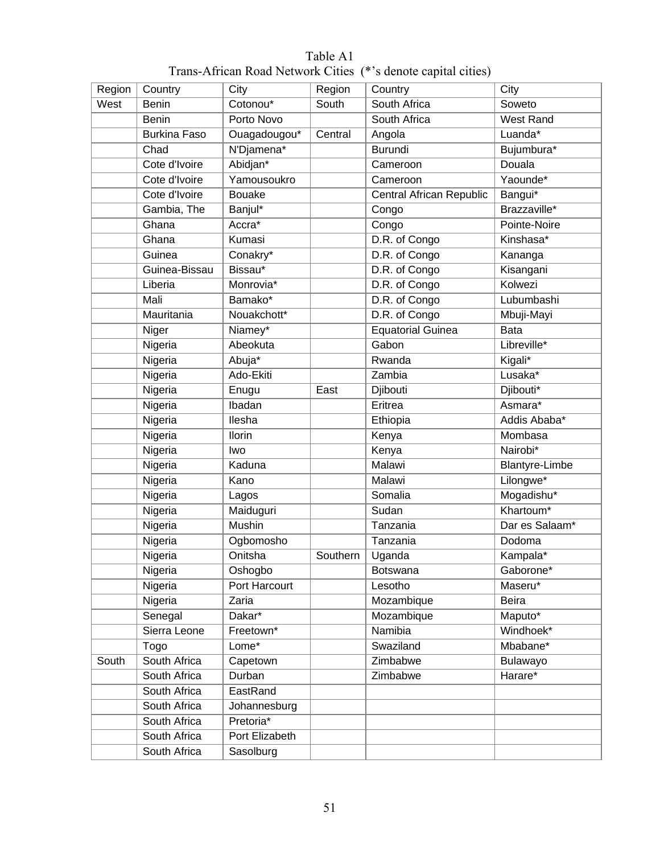| Region | Country             | City           | Region   | Country                  | City                  |
|--------|---------------------|----------------|----------|--------------------------|-----------------------|
| West   | <b>Benin</b>        | Cotonou*       | South    | South Africa             | Soweto                |
|        | <b>Benin</b>        | Porto Novo     |          | South Africa             | West Rand             |
|        | <b>Burkina Faso</b> | Ouagadougou*   | Central  | Angola                   | Luanda*               |
|        | Chad                | N'Djamena*     |          | <b>Burundi</b>           | Bujumbura*            |
|        | Cote d'Ivoire       | Abidjan*       |          | Cameroon                 | Douala                |
|        | Cote d'Ivoire       | Yamousoukro    |          | Cameroon                 | Yaounde*              |
|        | Cote d'Ivoire       | <b>Bouake</b>  |          | Central African Republic | Bangui*               |
|        | Gambia, The         | Banjul*        |          | Congo                    | Brazzaville*          |
|        | Ghana               | Accra*         |          | Congo                    | Pointe-Noire          |
|        | Ghana               | Kumasi         |          | D.R. of Congo            | Kinshasa*             |
|        | Guinea              | Conakry*       |          | D.R. of Congo            | Kananga               |
|        | Guinea-Bissau       | Bissau*        |          | D.R. of Congo            | Kisangani             |
|        | Liberia             | Monrovia*      |          | D.R. of Congo            | Kolwezi               |
|        | Mali                | Bamako*        |          | D.R. of Congo            | Lubumbashi            |
|        |                     |                |          |                          |                       |
|        | Mauritania          | Nouakchott*    |          | D.R. of Congo            | Mbuji-Mayi            |
|        | Niger               | Niamey*        |          | <b>Equatorial Guinea</b> | <b>Bata</b>           |
|        | Nigeria             | Abeokuta       |          | Gabon                    | Libreville*           |
|        | Nigeria             | Abuja*         |          | Rwanda                   | Kigali*               |
|        | Nigeria             | Ado-Ekiti      |          | Zambia                   | Lusaka*               |
|        | Nigeria             | Enugu          | East     | Djibouti                 | Djibouti*             |
|        | Nigeria             | <b>Ibadan</b>  |          | Eritrea                  | Asmara*               |
|        | Nigeria             | llesha         |          | Ethiopia                 | Addis Ababa*          |
|        | Nigeria             | Ilorin         |          | Kenya                    | Mombasa               |
|        | Nigeria             | Iwo            |          | Kenya                    | Nairobi*              |
|        | Nigeria             | Kaduna         |          | Malawi                   | <b>Blantyre-Limbe</b> |
|        | Nigeria             | Kano           |          | <b>Malawi</b>            | Lilongwe*             |
|        | Nigeria             | Lagos          |          | Somalia                  | Mogadishu*            |
|        | Nigeria             | Maiduguri      |          | Sudan                    | Khartoum*             |
|        | Nigeria             | <b>Mushin</b>  |          | Tanzania                 | Dar es Salaam*        |
|        | Nigeria             | Ogbomosho      |          | Tanzania                 | Dodoma                |
|        | Nigeria             | Onitsha        | Southern | Uganda                   | Kampala*              |
|        | Nigeria             | Oshogbo        |          | <b>Botswana</b>          | Gaborone*             |
|        | Nigeria             | Port Harcourt  |          | Lesotho                  | Maseru*               |
|        | Nigeria             | Zaria          |          | Mozambique               | <b>Beira</b>          |
|        | Senegal             | Dakar*         |          | Mozambique               | Maputo*               |
|        | Sierra Leone        | Freetown*      |          | Namibia                  | Windhoek*             |
|        | Togo                | $Lome*$        |          | Swaziland                | Mbabane*              |
| South  | South Africa        | Capetown       |          | Zimbabwe                 | Bulawayo              |
|        | South Africa        | Durban         |          | Zimbabwe                 | Harare*               |
|        | South Africa        | EastRand       |          |                          |                       |
|        | South Africa        | Johannesburg   |          |                          |                       |
|        | South Africa        | Pretoria*      |          |                          |                       |
|        | South Africa        | Port Elizabeth |          |                          |                       |
|        | South Africa        | Sasolburg      |          |                          |                       |

## Table A1 Trans-African Road Network Cities (\*'s denote capital cities)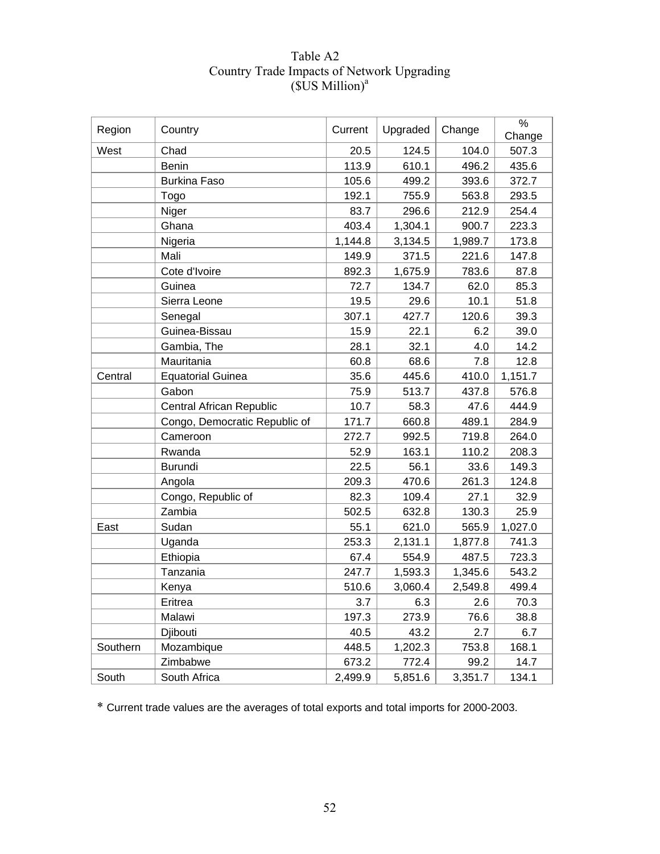| Region   | Country                       | Current | Upgraded | Change  | $\%$<br>Change |
|----------|-------------------------------|---------|----------|---------|----------------|
| West     | Chad                          | 20.5    | 124.5    | 104.0   | 507.3          |
|          | <b>Benin</b>                  | 113.9   | 610.1    | 496.2   | 435.6          |
|          | <b>Burkina Faso</b>           | 105.6   | 499.2    | 393.6   | 372.7          |
|          | Togo                          | 192.1   | 755.9    | 563.8   | 293.5          |
|          | Niger                         | 83.7    | 296.6    | 212.9   | 254.4          |
|          | Ghana                         | 403.4   | 1,304.1  | 900.7   | 223.3          |
|          | Nigeria                       | 1,144.8 | 3,134.5  | 1,989.7 | 173.8          |
|          | Mali                          | 149.9   | 371.5    | 221.6   | 147.8          |
|          | Cote d'Ivoire                 | 892.3   | 1,675.9  | 783.6   | 87.8           |
|          | Guinea                        | 72.7    | 134.7    | 62.0    | 85.3           |
|          | Sierra Leone                  | 19.5    | 29.6     | 10.1    | 51.8           |
|          | Senegal                       | 307.1   | 427.7    | 120.6   | 39.3           |
|          | Guinea-Bissau                 | 15.9    | 22.1     | 6.2     | 39.0           |
|          | Gambia, The                   | 28.1    | 32.1     | 4.0     | 14.2           |
|          | Mauritania                    | 60.8    | 68.6     | 7.8     | 12.8           |
| Central  | <b>Equatorial Guinea</b>      | 35.6    | 445.6    | 410.0   | 1,151.7        |
|          | Gabon                         | 75.9    | 513.7    | 437.8   | 576.8          |
|          | Central African Republic      | 10.7    | 58.3     | 47.6    | 444.9          |
|          | Congo, Democratic Republic of | 171.7   | 660.8    | 489.1   | 284.9          |
|          | Cameroon                      | 272.7   | 992.5    | 719.8   | 264.0          |
|          | Rwanda                        | 52.9    | 163.1    | 110.2   | 208.3          |
|          | <b>Burundi</b>                | 22.5    | 56.1     | 33.6    | 149.3          |
|          | Angola                        | 209.3   | 470.6    | 261.3   | 124.8          |
|          | Congo, Republic of            | 82.3    | 109.4    | 27.1    | 32.9           |
|          | Zambia                        | 502.5   | 632.8    | 130.3   | 25.9           |
| East     | Sudan                         | 55.1    | 621.0    | 565.9   | 1,027.0        |
|          | Uganda                        | 253.3   | 2,131.1  | 1,877.8 | 741.3          |
|          | Ethiopia                      | 67.4    | 554.9    | 487.5   | 723.3          |
|          | Tanzania                      | 247.7   | 1,593.3  | 1,345.6 | 543.2          |
|          | Kenya                         | 510.6   | 3,060.4  | 2,549.8 | 499.4          |
|          | Eritrea                       | 3.7     | 6.3      | 2.6     | 70.3           |
|          | Malawi                        | 197.3   | 273.9    | 76.6    | 38.8           |
|          | Djibouti                      | 40.5    | 43.2     | 2.7     | 6.7            |
| Southern | Mozambique                    | 448.5   | 1,202.3  | 753.8   | 168.1          |
|          | Zimbabwe                      | 673.2   | 772.4    | 99.2    | 14.7           |
| South    | South Africa                  | 2,499.9 | 5,851.6  | 3,351.7 | 134.1          |

## Table A2 Country Trade Impacts of Network Upgrading  $( $\overline{S}$ US Million)<sup>a</sup>$

\* Current trade values are the averages of total exports and total imports for 2000-2003.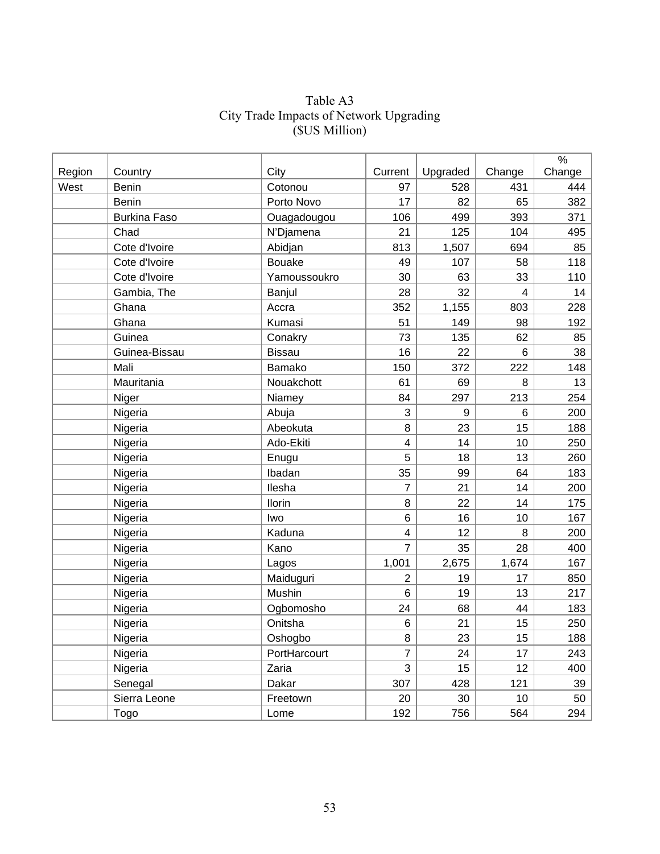## Table A3 City Trade Impacts of Network Upgrading (\$US Million)

|        |                     |               |                         |                  |        | $\%$   |
|--------|---------------------|---------------|-------------------------|------------------|--------|--------|
| Region | Country             | City          | Current                 | Upgraded         | Change | Change |
| West   | <b>Benin</b>        | Cotonou       | 97                      | 528              | 431    | 444    |
|        | <b>Benin</b>        | Porto Novo    | 17                      | 82               | 65     | 382    |
|        | <b>Burkina Faso</b> | Ouagadougou   | 106                     | 499              | 393    | 371    |
|        | Chad                | N'Djamena     | 21                      | 125              | 104    | 495    |
|        | Cote d'Ivoire       | Abidjan       | 813                     | 1,507            | 694    | 85     |
|        | Cote d'Ivoire       | <b>Bouake</b> | 49                      | 107              | 58     | 118    |
|        | Cote d'Ivoire       | Yamoussoukro  | 30                      | 63               | 33     | 110    |
|        | Gambia, The         | Banjul        | 28                      | 32               | 4      | 14     |
|        | Ghana               | Accra         | 352                     | 1,155            | 803    | 228    |
|        | Ghana               | Kumasi        | 51                      | 149              | 98     | 192    |
|        | Guinea              | Conakry       | 73                      | 135              | 62     | 85     |
|        | Guinea-Bissau       | <b>Bissau</b> | 16                      | 22               | 6      | 38     |
|        | Mali                | Bamako        | 150                     | 372              | 222    | 148    |
|        | Mauritania          | Nouakchott    | 61                      | 69               | 8      | 13     |
|        | Niger               | Niamey        | 84                      | 297              | 213    | 254    |
|        | Nigeria             | Abuja         | 3                       | 9                | 6      | 200    |
|        | Nigeria             | Abeokuta      | 8                       | 23               | 15     | 188    |
|        | Nigeria             | Ado-Ekiti     | $\overline{\mathbf{4}}$ | 14               | 10     | 250    |
|        | Nigeria             | Enugu         | 5                       | 18               | 13     | 260    |
|        | Nigeria             | Ibadan        | 35                      | 99               | 64     | 183    |
|        | Nigeria             | Ilesha        | $\overline{7}$          | 21               | 14     | 200    |
|        | Nigeria             | Ilorin        | 8                       | 22               | 14     | 175    |
|        | Nigeria             | Iwo           | 6                       | 16               | 10     | 167    |
|        | Nigeria             | Kaduna        | $\overline{\mathbf{4}}$ | 12               | 8      | 200    |
|        | Nigeria             | Kano          | $\overline{7}$          | 35               | 28     | 400    |
|        | Nigeria             | Lagos         | 1,001                   | 2,675            | 1,674  | 167    |
|        | Nigeria             | Maiduguri     | $\overline{2}$          | 19               | 17     | 850    |
|        | Nigeria             | Mushin        | 6                       | 19               | 13     | 217    |
|        | Nigeria             | Ogbomosho     | 24                      | 68               | 44     | 183    |
|        | Nigeria             | Onitsha       | 6                       | 21               | 15     | 250    |
|        | Nigeria             | Oshogbo       | 8                       | 23               | 15     | 188    |
|        | Nigeria             | PortHarcourt  | $\overline{7}$          | 24               | 17     | 243    |
|        | Nigeria             | Zaria         | 3                       | 15 <sub>15</sub> | 12     | 400    |
|        | Senegal             | Dakar         | 307                     | 428              | 121    | 39     |
|        | Sierra Leone        | Freetown      | 20                      | 30               | 10     | 50     |
|        | Togo                | Lome          | 192                     | 756              | 564    | 294    |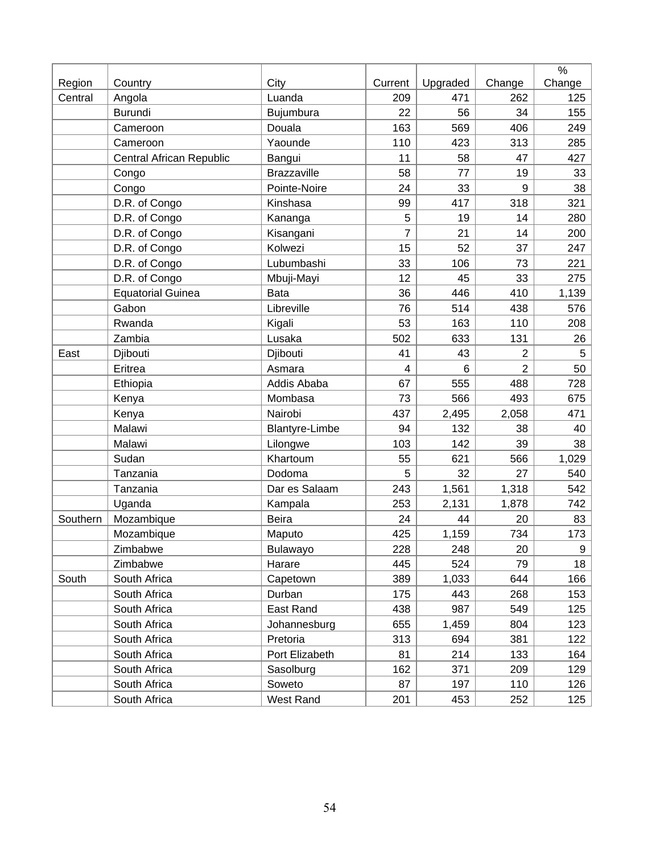|          |                          |                       |         |          |                | $\%$   |
|----------|--------------------------|-----------------------|---------|----------|----------------|--------|
| Region   | Country                  | City                  | Current | Upgraded | Change         | Change |
| Central  | Angola                   | Luanda                | 209     | 471      | 262            | 125    |
|          | <b>Burundi</b>           | Bujumbura             | 22      | 56       | 34             | 155    |
|          | Cameroon                 | Douala                | 163     | 569      | 406            | 249    |
|          | Cameroon                 | Yaounde               | 110     | 423      | 313            | 285    |
|          | Central African Republic | Bangui                | 11      | 58       | 47             | 427    |
|          | Congo                    | <b>Brazzaville</b>    | 58      | 77       | 19             | 33     |
|          | Congo                    | Pointe-Noire          | 24      | 33       | 9              | 38     |
|          | D.R. of Congo            | Kinshasa              | 99      | 417      | 318            | 321    |
|          | D.R. of Congo            | Kananga               | 5       | 19       | 14             | 280    |
|          | D.R. of Congo            | Kisangani             | 7       | 21       | 14             | 200    |
|          | D.R. of Congo            | Kolwezi               | 15      | 52       | 37             | 247    |
|          | D.R. of Congo            | Lubumbashi            | 33      | 106      | 73             | 221    |
|          | D.R. of Congo            | Mbuji-Mayi            | 12      | 45       | 33             | 275    |
|          | <b>Equatorial Guinea</b> | <b>Bata</b>           | 36      | 446      | 410            | 1,139  |
|          | Gabon                    | Libreville            | 76      | 514      | 438            | 576    |
|          | Rwanda                   | Kigali                | 53      | 163      | 110            | 208    |
|          | Zambia                   | Lusaka                | 502     | 633      | 131            | 26     |
| East     | Djibouti                 | Djibouti              | 41      | 43       | $\overline{2}$ | 5      |
|          | Eritrea                  | Asmara                | 4       | 6        | $\overline{2}$ | 50     |
|          | Ethiopia                 | Addis Ababa           | 67      | 555      | 488            | 728    |
|          | Kenya                    | Mombasa               | 73      | 566      | 493            | 675    |
|          | Kenya                    | Nairobi               | 437     | 2,495    | 2,058          | 471    |
|          | Malawi                   | <b>Blantyre-Limbe</b> | 94      | 132      | 38             | 40     |
|          | Malawi                   | Lilongwe              | 103     | 142      | 39             | 38     |
|          | Sudan                    | Khartoum              | 55      | 621      | 566            | 1,029  |
|          | Tanzania                 | Dodoma                | 5       | 32       | 27             | 540    |
|          | Tanzania                 | Dar es Salaam         | 243     | 1,561    | 1,318          | 542    |
|          | Uganda                   | Kampala               | 253     | 2,131    | 1,878          | 742    |
| Southern | Mozambique               | Beira                 | 24      | 44       | 20             | 83     |
|          | Mozambique               | Maputo                | 425     | 1,159    | 734            | 173    |
|          | Zimbabwe                 | Bulawayo              | 228     | 248      | 20             | 9      |
|          | Zimbabwe                 | Harare                | 445     | 524      | 79             | 18     |
| South    | South Africa             | Capetown              | 389     | 1,033    | 644            | 166    |
|          | South Africa             | Durban                | 175     | 443      | 268            | 153    |
|          | South Africa             | East Rand             | 438     | 987      | 549            | 125    |
|          | South Africa             | Johannesburg          | 655     | 1,459    | 804            | 123    |
|          | South Africa             | Pretoria              | 313     | 694      | 381            | 122    |
|          | South Africa             | Port Elizabeth        | 81      | 214      | 133            | 164    |
|          | South Africa             | Sasolburg             | 162     | 371      | 209            | 129    |
|          | South Africa             | Soweto                | 87      | 197      | 110            | 126    |
|          | South Africa             | West Rand             | 201     | 453      | 252            | 125    |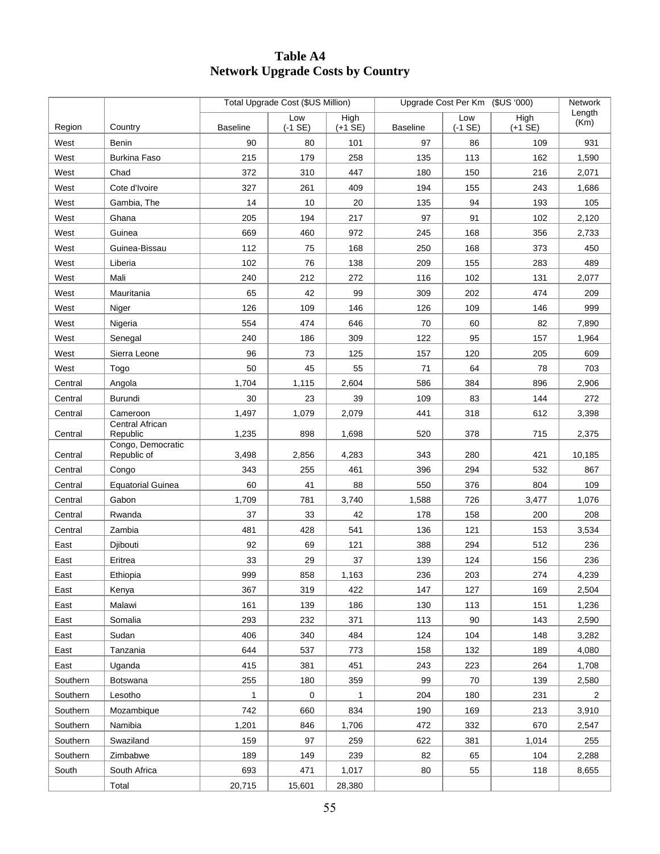## **Table A4 Network Upgrade Costs by Country**

|          |                                  |                 | Total Upgrade Cost (\$US Million) |                           |                 | Upgrade Cost Per Km (\$US '000) |                              | Network        |
|----------|----------------------------------|-----------------|-----------------------------------|---------------------------|-----------------|---------------------------------|------------------------------|----------------|
| Region   | Country                          | <b>Baseline</b> | Low<br>$(-1 SE)$                  | High<br>$(+1 \text{ SE})$ | <b>Baseline</b> | Low<br>$(-1 SE)$                | High<br>$(+1 \overline{SE})$ | Length<br>(Km) |
| West     | Benin                            | 90              | 80                                | 101                       | 97              | 86                              | 109                          | 931            |
| West     | <b>Burkina Faso</b>              | 215             | 179                               | 258                       | 135             | 113                             | 162                          | 1,590          |
| West     | Chad                             | 372             | 310                               | 447                       | 180             | 150                             | 216                          | 2,071          |
| West     | Cote d'Ivoire                    | 327             | 261                               | 409                       | 194             | 155                             | 243                          | 1,686          |
| West     | Gambia, The                      | 14              | 10                                | 20                        | 135             | 94                              | 193                          | 105            |
| West     | Ghana                            | 205             | 194                               | 217                       | 97              | 91                              | 102                          | 2,120          |
| West     | Guinea                           | 669             | 460                               | 972                       | 245             | 168                             | 356                          | 2,733          |
| West     | Guinea-Bissau                    | 112             | 75                                | 168                       | 250             | 168                             | 373                          | 450            |
| West     | Liberia                          | 102             | 76                                | 138                       | 209             | 155                             | 283                          | 489            |
| West     | Mali                             | 240             | 212                               | 272                       | 116             | 102                             | 131                          | 2,077          |
| West     | Mauritania                       | 65              | 42                                | 99                        | 309             | 202                             | 474                          | 209            |
| West     | Niger                            | 126             | 109                               | 146                       | 126             | 109                             | 146                          | 999            |
| West     | Nigeria                          | 554             | 474                               | 646                       | 70              | 60                              | 82                           | 7,890          |
| West     | Senegal                          | 240             | 186                               | 309                       | 122             | 95                              | 157                          | 1,964          |
| West     | Sierra Leone                     | 96              | 73                                | 125                       | 157             | 120                             | 205                          | 609            |
| West     | Togo                             | 50              | 45                                | 55                        | 71              | 64                              | 78                           | 703            |
| Central  | Angola                           | 1,704           | 1,115                             | 2,604                     | 586             | 384                             | 896                          | 2,906          |
| Central  | Burundi                          | 30              | 23                                | 39                        | 109             | 83                              | 144                          | 272            |
| Central  | Cameroon                         | 1,497           | 1,079                             | 2,079                     | 441             | 318                             | 612                          | 3,398          |
| Central  | Central African<br>Republic      | 1,235           | 898                               | 1,698                     | 520             | 378                             | 715                          | 2,375          |
| Central  | Congo, Democratic<br>Republic of | 3,498           | 2,856                             | 4,283                     | 343             | 280                             | 421                          | 10,185         |
| Central  | Congo                            | 343             | 255                               | 461                       | 396             | 294                             | 532                          | 867            |
| Central  | <b>Equatorial Guinea</b>         | 60              | 41                                | 88                        | 550             | 376                             | 804                          | 109            |
| Central  | Gabon                            | 1,709           | 781                               | 3,740                     | 1,588           | 726                             | 3,477                        | 1,076          |
| Central  | Rwanda                           | 37              | 33                                | 42                        | 178             | 158                             | 200                          | 208            |
| Central  | Zambia                           | 481             | 428                               | 541                       | 136             | 121                             | 153                          | 3,534          |
| East     | Djibouti                         | 92              | 69                                | 121                       | 388             | 294                             | 512                          | 236            |
| East     | Eritrea                          | 33              | 29                                | 37                        | 139             | 124                             | 156                          | 236            |
| East     | Ethiopia                         | 999             | 858                               | 1,163                     | 236             | 203                             | 274                          | 4,239          |
| East     | Kenya                            | 367             | 319                               | 422                       | 147             | 127                             | 169                          | 2,504          |
| East     | Malawi                           | 161             | 139                               | 186                       | 130             | 113                             | 151                          | 1,236          |
| East     | Somalia                          | 293             | 232                               | 371                       | 113             | 90                              | 143                          | 2,590          |
| East     | Sudan                            | 406             | 340                               | 484                       | 124             | 104                             | 148                          | 3,282          |
| East     | Tanzania                         | 644             | 537                               | 773                       | 158             | 132                             | 189                          | 4,080          |
| East     | Uganda                           | 415             | 381                               | 451                       | 243             | 223                             | 264                          | 1,708          |
| Southern | <b>Botswana</b>                  | 255             | 180                               | 359                       | 99              | 70                              | 139                          | 2,580          |
| Southern | Lesotho                          | 1               | 0                                 | 1                         | 204             | 180                             | 231                          | 2              |
| Southern | Mozambique                       | 742             | 660                               | 834                       | 190             | 169                             | 213                          | 3,910          |
| Southern | Namibia                          | 1,201           | 846                               | 1,706                     | 472             | 332                             | 670                          | 2,547          |
| Southern | Swaziland                        | 159             | 97                                | 259                       | 622             | 381                             | 1,014                        | 255            |
| Southern | Zimbabwe                         | 189             | 149                               | 239                       | 82              | 65                              | 104                          | 2,288          |
| South    | South Africa                     | 693             | 471                               | 1,017                     | 80              | 55                              | 118                          | 8,655          |
|          | Total                            | 20,715          | 15,601                            | 28,380                    |                 |                                 |                              |                |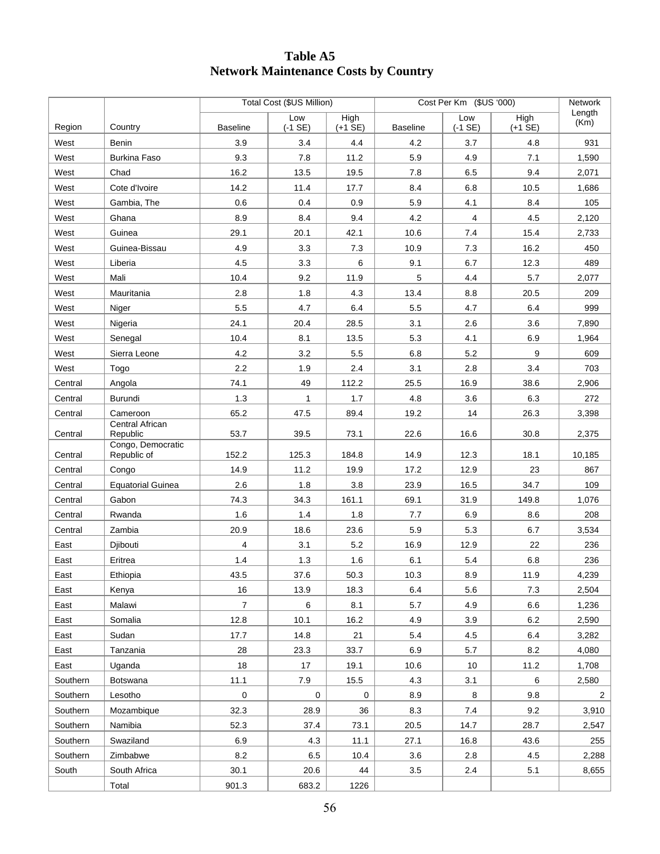## **Table A5 Network Maintenance Costs by Country**

|          |                                  | Total Cost (\$US Million) |                  |                   | Cost Per Km (\$US '000) |                  |                   | Network        |
|----------|----------------------------------|---------------------------|------------------|-------------------|-------------------------|------------------|-------------------|----------------|
| Region   | Country                          | <b>Baseline</b>           | Low<br>$(-1 SE)$ | High<br>$(+1$ SE) | <b>Baseline</b>         | Low<br>$(-1$ SE) | High<br>$(+1$ SE) | Length<br>(Km) |
| West     | Benin                            | 3.9                       | 3.4              | 4.4               | 4.2                     | 3.7              | 4.8               | 931            |
| West     | <b>Burkina Faso</b>              | 9.3                       | 7.8              | 11.2              | 5.9                     | 4.9              | 7.1               | 1,590          |
| West     | Chad                             | 16.2                      | 13.5             | 19.5              | 7.8                     | 6.5              | 9.4               | 2,071          |
| West     | Cote d'Ivoire                    | 14.2                      | 11.4             | 17.7              | 8.4                     | 6.8              | 10.5              | 1,686          |
| West     | Gambia, The                      | 0.6                       | 0.4              | 0.9               | 5.9                     | 4.1              | 8.4               | 105            |
| West     | Ghana                            | 8.9                       | 8.4              | 9.4               | 4.2                     | 4                | 4.5               | 2,120          |
| West     | Guinea                           | 29.1                      | 20.1             | 42.1              | 10.6                    | 7.4              | 15.4              | 2,733          |
| West     | Guinea-Bissau                    | 4.9                       | 3.3              | 7.3               | 10.9                    | 7.3              | 16.2              | 450            |
| West     | Liberia                          | 4.5                       | 3.3              | 6                 | 9.1                     | 6.7              | 12.3              | 489            |
| West     | Mali                             | 10.4                      | 9.2              | 11.9              | 5                       | 4.4              | 5.7               | 2,077          |
| West     | Mauritania                       | 2.8                       | 1.8              | 4.3               | 13.4                    | 8.8              | 20.5              | 209            |
| West     | Niger                            | 5.5                       | 4.7              | 6.4               | 5.5                     | 4.7              | 6.4               | 999            |
| West     | Nigeria                          | 24.1                      | 20.4             | 28.5              | 3.1                     | 2.6              | 3.6               | 7,890          |
| West     | Senegal                          | 10.4                      | 8.1              | 13.5              | 5.3                     | 4.1              | 6.9               | 1,964          |
| West     | Sierra Leone                     | 4.2                       | 3.2              | 5.5               | 6.8                     | 5.2              | 9                 | 609            |
| West     | Togo                             | 2.2                       | 1.9              | 2.4               | 3.1                     | 2.8              | 3.4               | 703            |
| Central  | Angola                           | 74.1                      | 49               | 112.2             | 25.5                    | 16.9             | 38.6              | 2,906          |
| Central  | Burundi                          | 1.3                       | 1                | 1.7               | 4.8                     | 3.6              | 6.3               | 272            |
| Central  | Cameroon                         | 65.2                      | 47.5             | 89.4              | 19.2                    | 14               | 26.3              | 3,398          |
| Central  | Central African<br>Republic      | 53.7                      | 39.5             | 73.1              | 22.6                    | 16.6             | 30.8              | 2,375          |
| Central  | Congo, Democratic<br>Republic of | 152.2                     | 125.3            | 184.8             | 14.9                    | 12.3             | 18.1              | 10,185         |
| Central  | Congo                            | 14.9                      | 11.2             | 19.9              | 17.2                    | 12.9             | 23                | 867            |
| Central  | <b>Equatorial Guinea</b>         | 2.6                       | 1.8              | 3.8               | 23.9                    | 16.5             | 34.7              | 109            |
| Central  | Gabon                            | 74.3                      | 34.3             | 161.1             | 69.1                    | 31.9             | 149.8             | 1,076          |
| Central  | Rwanda                           | 1.6                       | 1.4              | 1.8               | 7.7                     | 6.9              | 8.6               | 208            |
| Central  | Zambia                           | 20.9                      | 18.6             | 23.6              | 5.9                     | 5.3              | 6.7               | 3,534          |
| East     | Djibouti                         | 4                         | 3.1              | 5.2               | 16.9                    | 12.9             | 22                | 236            |
| East     | Eritrea                          | 1.4                       | 1.3              | 1.6               | 6.1                     | 5.4              | 6.8               | 236            |
| East     | Ethiopia                         | 43.5                      | 37.6             | 50.3              | 10.3                    | 8.9              | 11.9              | 4,239          |
| East     | Kenya                            | 16                        | 13.9             | 18.3              | 6.4                     | 5.6              | 7.3               | 2,504          |
| East     | Malawi                           | $\overline{7}$            | 6                | 8.1               | 5.7                     | 4.9              | 6.6               | 1,236          |
| East     | Somalia                          | 12.8                      | 10.1             | 16.2              | 4.9                     | 3.9              | 6.2               | 2,590          |
| East     | Sudan                            | 17.7                      | 14.8             | 21                | 5.4                     | 4.5              | 6.4               | 3,282          |
| East     | Tanzania                         | 28                        | 23.3             | 33.7              | 6.9                     | 5.7              | 8.2               | 4,080          |
| East     | Uganda                           | 18                        | 17               | 19.1              | 10.6                    | 10               | 11.2              | 1,708          |
| Southern | Botswana                         | 11.1                      | 7.9              | 15.5              | 4.3                     | 3.1              | 6                 | 2,580          |
| Southern | Lesotho                          | $\mathsf{O}\xspace$       | $\pmb{0}$        | 0                 | 8.9                     | 8                | 9.8               | $\overline{c}$ |
| Southern | Mozambique                       | 32.3                      | 28.9             | 36                | 8.3                     | 7.4              | 9.2               | 3,910          |
| Southern | Namibia                          | 52.3                      | 37.4             | 73.1              | 20.5                    | 14.7             | 28.7              | 2,547          |
| Southern | Swaziland                        | 6.9                       | 4.3              | 11.1              | 27.1                    | 16.8             | 43.6              | 255            |
| Southern | Zimbabwe                         | 8.2                       | $6.5\,$          | 10.4              | 3.6                     | 2.8              | 4.5               | 2,288          |
| South    | South Africa                     | 30.1                      | 20.6             | 44                | 3.5                     | 2.4              | 5.1               | 8,655          |
|          | Total                            | 901.3                     | 683.2            | 1226              |                         |                  |                   |                |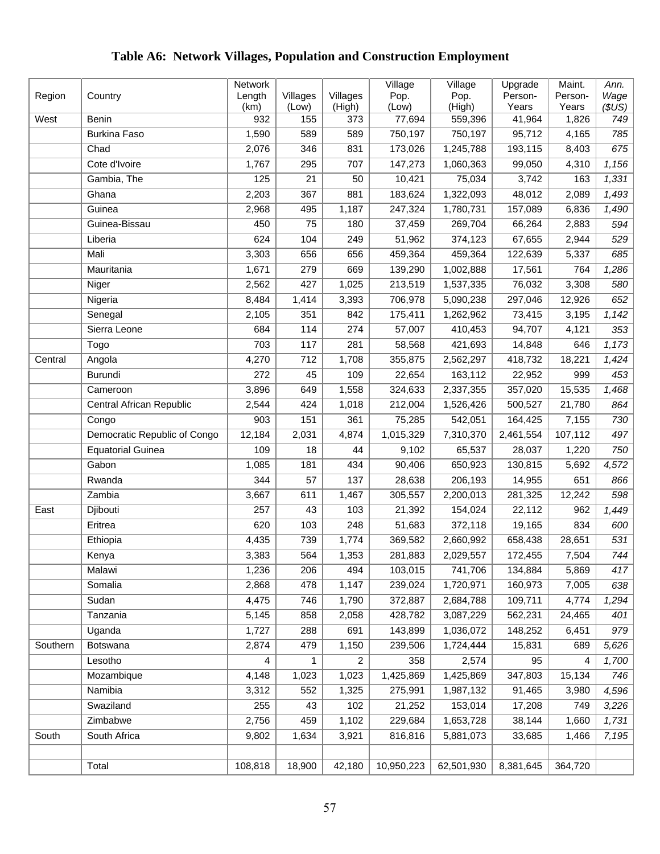#### Region | Country **Network** Length (km) Villages (Low) Villages (High) Village Pop. (Low) Village Pop. (High) Upgrade Person-Years Maint. Person-Years *Ann. Wage (\$US)*  West Benin 932 155 373 77,694 559,396 41,964 1,826 *749*  Burkina Faso 1,590 589 589 750,197 750,197 95,712 4,165 *785*  Chad 2,076 346 831 173,026 1,245,788 193,115 8,403 *675*  Cote d'Ivoire 1,767 295 707 147,273 1,060,363 99,050 4,310 *1,156*  Gambia, The 125 21 50 10,421 75,034 3,742 163 *1,331*  Ghana 2,203 367 881 183,624 1,322,093 48,012 2,089 *1,493*  Guinea 2,968 495 1,187 247,324 1,780,731 157,089 6,836 *1,490*  Guinea-Bissau 450 75 180 37,459 269,704 66,264 2,883 *594*  Liberia 624 104 249 51,962 374,123 67,655 2,944 *529*  Mali 3,303 656 656 459,364 459,364 122,639 5,337 *685*  Mauritania 1,671 279 669 139,290 1,002,888 17,561 764 *1,286*  Niger 2,562 427 1,025 213,519 1,537,335 76,032 3,308 *580*  Nigeria 8,484 1,414 3,393 706,978 5,090,238 297,046 12,926 *652*  Senegal 2,105 351 842 175,411 1,262,962 73,415 3,195 *1,142*  Sierra Leone 684 114 274 57,007 410,453 94,707 4,121 *353*  Togo 703 117 281 58,568 421,693 14,848 646 *1,173*  Central Angola 4,270 712 1,708 355,875 2,562,297 418,732 18,221 *1,424*  Burundi 272 45 109 22,654 163,112 22,952 999 *453*  Cameroon 3,896 649 1,558 324,633 2,337,355 357,020 15,535 *1,468*  Central African Republic 2,544 424 1,018 212,004 1,526,426 500,527 21,780 *864*  Congo 903 151 361 75,285 542,051 164,425 7,155 *730*  Democratic Republic of Congo 12,184 2,031 4,874 1,015,329 7,310,370 2,461,554 107,112 *497*  Equatorial Guinea 109 18 44 9,102 65,537 28,037 1,220 *750*  Gabon 1,085 181 434 90,406 650,923 130,815 5,692 *4,572*  Rwanda 344 57 137 28,638 206,193 14,955 651 *866*  Zambia 3,667 611 1,467 305,557 2,200,013 281,325 12,242 *598*  East Djibouti 257 43 103 21,392 154,024 22,112 962 *1,449*  Eritrea 620 103 248 51,683 372,118 19,165 834 *600*  Ethiopia 4,435 739 1,774 369,582 2,660,992 658,438 28,651 *531*  Kenya 3,383 564 1,353 281,883 2,029,557 172,455 7,504 *744*  Malawi 1,236 206 494 103,015 741,706 134,884 5,869 *417*  Somalia 2,868 478 1,147 239,024 1,720,971 160,973 7,005 *638*  Sudan 4,475 746 1,790 372,887 2,684,788 109,711 4,774 *1,294*  Tanzania 5,145 858 2,058 428,782 3,087,229 562,231 24,465 *401*  Uganda 1,727 288 691 143,899 1,036,072 148,252 6,451 *979*  Southern Botswana 2,874 479 1,150 239,506 1,724,444 15,831 689 *5,626*  Lesotho 4 1 2 358 2,574 95 4 *1,700*  Mozambique 4,148 1,023 1,023 1,425,869 1,425,869 347,803 15,134 *746*  Namibia 3,312 552 1,325 275,991 1,987,132 91,465 3,980 *4,596*  Swaziland 255 43 102 21,252 153,014 17,208 749 *3,226*  Zimbabwe 2,756 459 1,102 229,684 1,653,728 38,144 1,660 *1,731*  South South Africa 9,802 1,634 3,921 816,816 5,881,073 33,685 1,466 *7,195*  Total 108,818 18,900 42,180 10,950,223 62,501,930 8,381,645 364,720

## **Table A6: Network Villages, Population and Construction Employment**